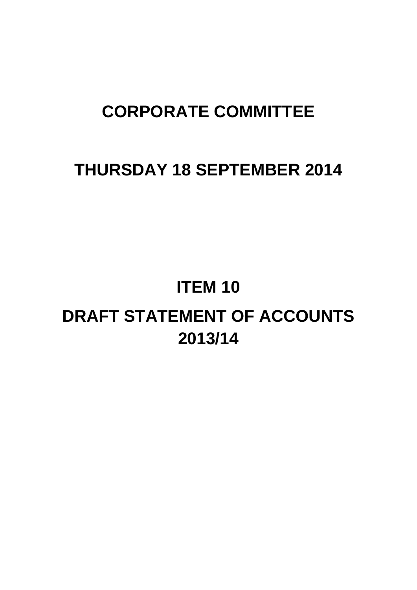# **CORPORATE COMMITTEE**

# **THURSDAY 18 SEPTEMBER 2014**

# **ITEM 10**

# **DRAFT STATEMENT OF ACCOUNTS 2013/14**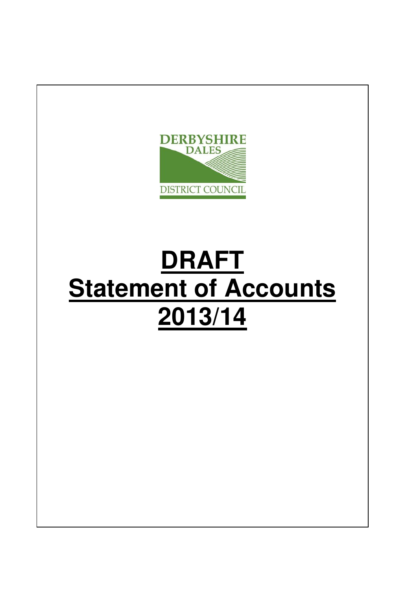

# **DRAFT Statement of Accounts 2013/14**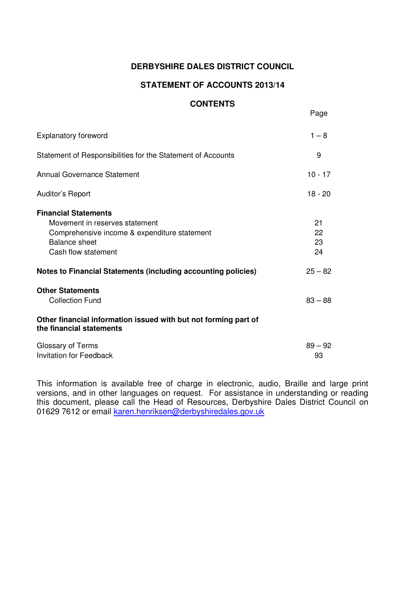# **DERBYSHIRE DALES DISTRICT COUNCIL**

## **STATEMENT OF ACCOUNTS 2013/14**

#### **CONTENTS**

Page

| <b>Explanatory foreword</b>                                                                                                                                  | $1 - 8$              |
|--------------------------------------------------------------------------------------------------------------------------------------------------------------|----------------------|
| Statement of Responsibilities for the Statement of Accounts                                                                                                  | 9                    |
| <b>Annual Governance Statement</b>                                                                                                                           | $10 - 17$            |
| Auditor's Report                                                                                                                                             | $18 - 20$            |
| <b>Financial Statements</b><br>Movement in reserves statement<br>Comprehensive income & expenditure statement<br><b>Balance sheet</b><br>Cash flow statement | 21<br>22<br>23<br>24 |
| Notes to Financial Statements (including accounting policies)                                                                                                | $25 - 82$            |
| <b>Other Statements</b><br>Collection Fund<br>Other financial information issued with but not forming part of                                                | $83 - 88$            |
| the financial statements                                                                                                                                     |                      |
| Glossary of Terms<br><b>Invitation for Feedback</b>                                                                                                          | $89 - 92$<br>93      |

This information is available free of charge in electronic, audio, Braille and large print versions, and in other languages on request. For assistance in understanding or reading this document, please call the Head of Resources, Derbyshire Dales District Council on 01629 7612 or email karen.henriksen@derbyshiredales.gov.uk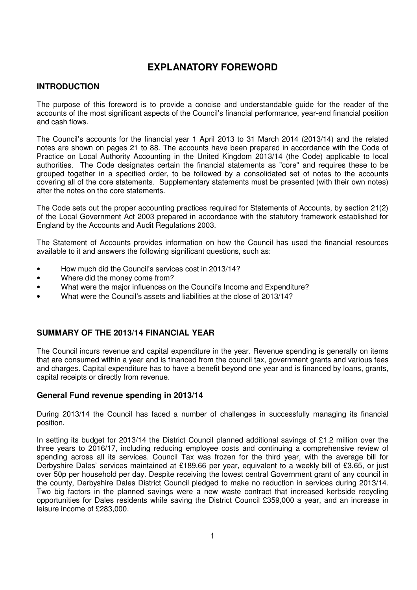# **EXPLANATORY FOREWORD**

#### **INTRODUCTION**

The purpose of this foreword is to provide a concise and understandable guide for the reader of the accounts of the most significant aspects of the Council's financial performance, year-end financial position and cash flows.

The Council's accounts for the financial year 1 April 2013 to 31 March 2014 (2013/14) and the related notes are shown on pages 21 to 88. The accounts have been prepared in accordance with the Code of Practice on Local Authority Accounting in the United Kingdom 2013/14 (the Code) applicable to local authorities. The Code designates certain the financial statements as "core" and requires these to be grouped together in a specified order, to be followed by a consolidated set of notes to the accounts covering all of the core statements. Supplementary statements must be presented (with their own notes) after the notes on the core statements.

The Code sets out the proper accounting practices required for Statements of Accounts, by section 21(2) of the Local Government Act 2003 prepared in accordance with the statutory framework established for England by the Accounts and Audit Regulations 2003.

The Statement of Accounts provides information on how the Council has used the financial resources available to it and answers the following significant questions, such as:

- How much did the Council's services cost in 2013/14?
- Where did the money come from?
- What were the major influences on the Council's Income and Expenditure?
- What were the Council's assets and liabilities at the close of 2013/14?

#### **SUMMARY OF THE 2013/14 FINANCIAL YEAR**

The Council incurs revenue and capital expenditure in the year. Revenue spending is generally on items that are consumed within a year and is financed from the council tax, government grants and various fees and charges. Capital expenditure has to have a benefit beyond one year and is financed by loans, grants, capital receipts or directly from revenue.

#### **General Fund revenue spending in 2013/14**

During 2013/14 the Council has faced a number of challenges in successfully managing its financial position.

In setting its budget for 2013/14 the District Council planned additional savings of £1.2 million over the three years to 2016/17, including reducing employee costs and continuing a comprehensive review of spending across all its services. Council Tax was frozen for the third year, with the average bill for Derbyshire Dales' services maintained at £189.66 per year, equivalent to a weekly bill of £3.65, or just over 50p per household per day. Despite receiving the lowest central Government grant of any council in the county, Derbyshire Dales District Council pledged to make no reduction in services during 2013/14. Two big factors in the planned savings were a new waste contract that increased kerbside recycling opportunities for Dales residents while saving the District Council £359,000 a year, and an increase in leisure income of £283,000.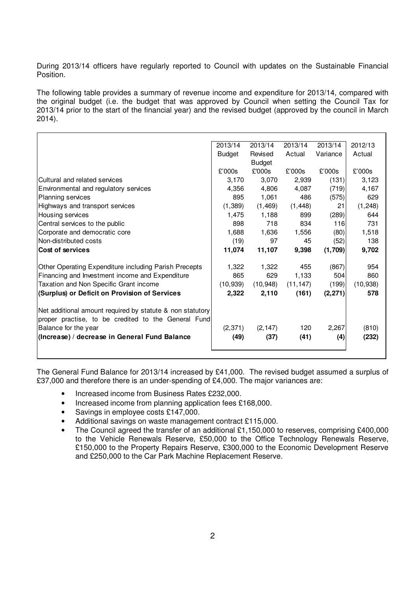During 2013/14 officers have regularly reported to Council with updates on the Sustainable Financial Position.

The following table provides a summary of revenue income and expenditure for 2013/14, compared with the original budget (i.e. the budget that was approved by Council when setting the Council Tax for 2013/14 prior to the start of the financial year) and the revised budget (approved by the council in March 2014).

|                                                           | 2013/14       | 2013/14       | 2013/14   | 2013/14  | 2012/13   |
|-----------------------------------------------------------|---------------|---------------|-----------|----------|-----------|
|                                                           | <b>Budget</b> | Revised       | Actual    | Variance | Actual    |
|                                                           |               | <b>Budget</b> |           |          |           |
|                                                           | £'000s        | £'000s        | £'000s    | £'000s   | £'000s    |
| Cultural and related services                             | 3,170         | 3,070         | 2,939     | (131)    | 3,123     |
| Environmental and regulatory services                     | 4,356         | 4,806         | 4,087     | (719)    | 4,167     |
| <b>Planning services</b>                                  | 895           | 1,061         | 486       | (575)    | 629       |
| Highways and transport services                           | (1, 389)      | (1, 469)      | (1, 448)  | 21       | (1, 248)  |
| Housing services                                          | 1,475         | 1,188         | 899       | (289)    | 644       |
| Central services to the public                            | 898           | 718           | 834       | 116      | 731       |
| Corporate and democratic core                             | 1,688         | 1,636         | 1,556     | (80)     | 1,518     |
| Non-distributed costs                                     | (19)          | 97            | 45        | (52)     | 138       |
| Cost of services                                          | 11,074        | 11,107        | 9,398     | (1,709)  | 9,702     |
|                                                           |               |               | 455       |          | 954       |
| Other Operating Expenditure including Parish Precepts     | 1,322         | 1,322         |           | (867)    |           |
| Financing and Investment income and Expenditure           | 865           | 629           | 1,133     | 504      | 860       |
| Taxation and Non Specific Grant income                    | (10, 939)     | (10, 948)     | (11, 147) | (199)    | (10, 938) |
| (Surplus) or Deficit on Provision of Services             | 2,322         | 2,110         | (161)     | (2,271)  | 578       |
| Net additional amount required by statute & non statutory |               |               |           |          |           |
| proper practise, to be credited to the General Fund       |               |               |           |          |           |
| Balance for the year                                      | (2, 371)      | (2, 147)      | 120       | 2,267    | (810)     |
| (Increase) / decrease in General Fund Balance             | (49)          | (37)          | (41)      | (4)      | (232)     |
|                                                           |               |               |           |          |           |
|                                                           |               |               |           |          |           |

The General Fund Balance for 2013/14 increased by £41,000. The revised budget assumed a surplus of £37,000 and therefore there is an under-spending of £4,000. The major variances are:

- Increased income from Business Rates £232,000.
- Increased income from planning application fees £168,000.
- Savings in employee costs £147,000.
- Additional savings on waste management contract £115,000.
- The Council agreed the transfer of an additional £1,150,000 to reserves, comprising £400,000 to the Vehicle Renewals Reserve, £50,000 to the Office Technology Renewals Reserve, £150,000 to the Property Repairs Reserve, £300,000 to the Economic Development Reserve and £250,000 to the Car Park Machine Replacement Reserve.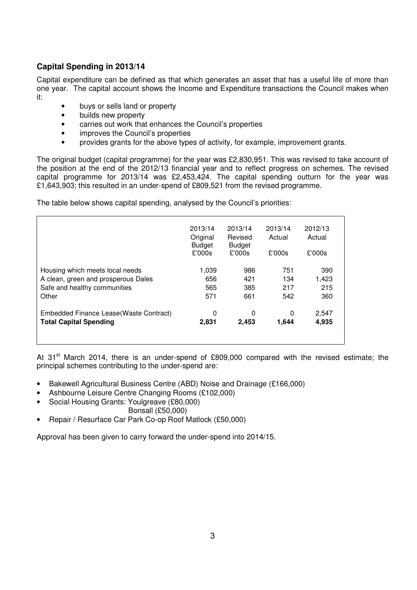## **Capital Spending in 2013/14**

Capital expenditure can be defined as that which generates an asset that has a useful life of more than one year. The capital account shows the Income and Expenditure transactions the Council makes when it:

- buys or sells land or property
- builds new property
- carries out work that enhances the Council's properties
- improves the Council's properties
- provides grants for the above types of activity, for example, improvement grants.

The original budget (capital programme) for the year was £2,830,951. This was revised to take account of the position at the end of the 2012/13 financial year and to reflect progress on schemes. The revised capital programme for 2013/14 was £2,453,424. The capital spending outturn for the year was £1,643,903; this resulted in an under-spend of £809,521 from the revised programme.

The table below shows capital spending, analysed by the Council's priorities:

|                                         | 2013/14<br>Original<br><b>Budget</b><br>£'000s | 2013/14<br>Revised<br><b>Budget</b><br>£'000s | 2013/14<br>Actual<br>£'000s | 2012/13<br>Actual<br>£'000s |
|-----------------------------------------|------------------------------------------------|-----------------------------------------------|-----------------------------|-----------------------------|
| Housing which meets local needs         | 1,039                                          | 986                                           | 751                         | 390                         |
| A clean, green and prosperous Dales     | 656                                            | 421                                           | 134                         | 1,423                       |
| Safe and healthy communities            | 565                                            | 385                                           | 217                         | 215                         |
| Other                                   | 571                                            | 661                                           | 542                         | 360                         |
| Embedded Finance Lease (Waste Contract) | 0                                              | 0                                             | 0                           | 2,547                       |
| <b>Total Capital Spending</b>           | 2,831                                          | 2.453                                         | 1,644                       | 4,935                       |

At 31<sup>st</sup> March 2014, there is an under-spend of £809,000 compared with the revised estimate; the principal schemes contributing to the under-spend are:

- Bakewell Agricultural Business Centre (ABD) Noise and Drainage (£166,000)
- Ashbourne Leisure Centre Changing Rooms (£102,000)
- Social Housing Grants: Youlgreave (£80,000)
	- Bonsall (£50,000)
- Repair / Resurface Car Park Co-op Roof Matlock (£50,000)

Approval has been given to carry forward the under-spend into 2014/15.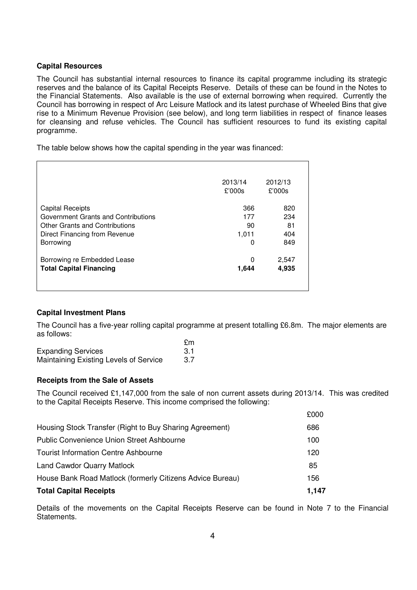#### **Capital Resources**

The Council has substantial internal resources to finance its capital programme including its strategic reserves and the balance of its Capital Receipts Reserve. Details of these can be found in the Notes to the Financial Statements. Also available is the use of external borrowing when required. Currently the Council has borrowing in respect of Arc Leisure Matlock and its latest purchase of Wheeled Bins that give rise to a Minimum Revenue Provision (see below), and long term liabilities in respect of finance leases for cleansing and refuse vehicles. The Council has sufficient resources to fund its existing capital programme.

The table below shows how the capital spending in the year was financed:

|                                     | 2013/14<br>£'000s | 2012/13<br>£'000s |
|-------------------------------------|-------------------|-------------------|
| <b>Capital Receipts</b>             | 366               | 820               |
| Government Grants and Contributions | 177               | 234               |
| Other Grants and Contributions      | 90                | 81                |
| Direct Financing from Revenue       | 1,011             | 404               |
| Borrowing                           |                   | 849               |
| Borrowing re Embedded Lease         | O                 | 2,547             |
| <b>Total Capital Financing</b>      | 1,644             | 4,935             |
|                                     |                   |                   |

#### **Capital Investment Plans**

The Council has a five-year rolling capital programme at present totalling £6.8m. The major elements are as follows:

|                                               | £m  |
|-----------------------------------------------|-----|
| <b>Expanding Services</b>                     |     |
| <b>Maintaining Existing Levels of Service</b> | 3.7 |

#### **Receipts from the Sale of Assets**

The Council received £1,147,000 from the sale of non current assets during 2013/14. This was credited to the Capital Receipts Reserve. This income comprised the following:

| <b>Total Capital Receipts</b>                             | 1.147 |
|-----------------------------------------------------------|-------|
| House Bank Road Matlock (formerly Citizens Advice Bureau) | 156   |
| <b>Land Cawdor Quarry Matlock</b>                         | 85    |
| <b>Tourist Information Centre Ashbourne</b>               | 120   |
| <b>Public Convenience Union Street Ashbourne</b>          | 100   |
| Housing Stock Transfer (Right to Buy Sharing Agreement)   | 686   |
|                                                           | £000  |

Details of the movements on the Capital Receipts Reserve can be found in Note 7 to the Financial Statements.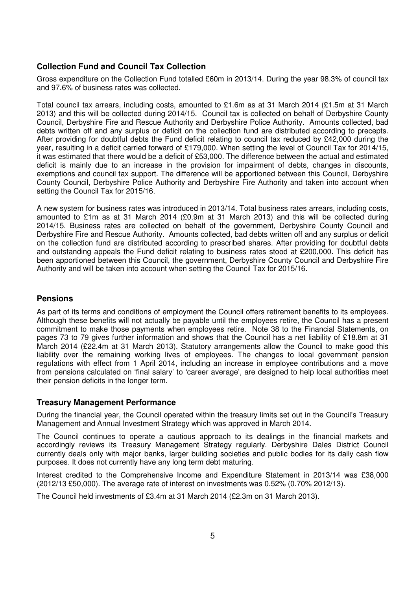#### **Collection Fund and Council Tax Collection**

Gross expenditure on the Collection Fund totalled £60m in 2013/14. During the year 98.3% of council tax and 97.6% of business rates was collected.

Total council tax arrears, including costs, amounted to £1.6m as at 31 March 2014 (£1.5m at 31 March 2013) and this will be collected during 2014/15. Council tax is collected on behalf of Derbyshire County Council, Derbyshire Fire and Rescue Authority and Derbyshire Police Authority. Amounts collected, bad debts written off and any surplus or deficit on the collection fund are distributed according to precepts. After providing for doubtful debts the Fund deficit relating to council tax reduced by £42,000 during the year, resulting in a deficit carried forward of £179,000. When setting the level of Council Tax for 2014/15, it was estimated that there would be a deficit of £53,000. The difference between the actual and estimated deficit is mainly due to an increase in the provision for impairment of debts, changes in discounts, exemptions and council tax support. The difference will be apportioned between this Council, Derbyshire County Council, Derbyshire Police Authority and Derbyshire Fire Authority and taken into account when setting the Council Tax for 2015/16.

A new system for business rates was introduced in 2013/14. Total business rates arrears, including costs, amounted to £1m as at 31 March 2014 (£0.9m at 31 March 2013) and this will be collected during 2014/15. Business rates are collected on behalf of the government, Derbyshire County Council and Derbyshire Fire and Rescue Authority. Amounts collected, bad debts written off and any surplus or deficit on the collection fund are distributed according to prescribed shares. After providing for doubtful debts and outstanding appeals the Fund deficit relating to business rates stood at £200,000. This deficit has been apportioned between this Council, the government, Derbyshire County Council and Derbyshire Fire Authority and will be taken into account when setting the Council Tax for 2015/16.

#### **Pensions**

As part of its terms and conditions of employment the Council offers retirement benefits to its employees. Although these benefits will not actually be payable until the employees retire, the Council has a present commitment to make those payments when employees retire. Note 38 to the Financial Statements, on pages 73 to 79 gives further information and shows that the Council has a net liability of £18.8m at 31 March 2014 (£22.4m at 31 March 2013). Statutory arrangements allow the Council to make good this liability over the remaining working lives of employees. The changes to local government pension regulations with effect from 1 April 2014, including an increase in employee contributions and a move from pensions calculated on 'final salary' to 'career average', are designed to help local authorities meet their pension deficits in the longer term.

#### **Treasury Management Performance**

During the financial year, the Council operated within the treasury limits set out in the Council's Treasury Management and Annual Investment Strategy which was approved in March 2014.

The Council continues to operate a cautious approach to its dealings in the financial markets and accordingly reviews its Treasury Management Strategy regularly. Derbyshire Dales District Council currently deals only with major banks, larger building societies and public bodies for its daily cash flow purposes. It does not currently have any long term debt maturing.

Interest credited to the Comprehensive Income and Expenditure Statement in 2013/14 was £38,000 (2012/13 £50,000). The average rate of interest on investments was 0.52% (0.70% 2012/13).

The Council held investments of £3.4m at 31 March 2014 (£2.3m on 31 March 2013).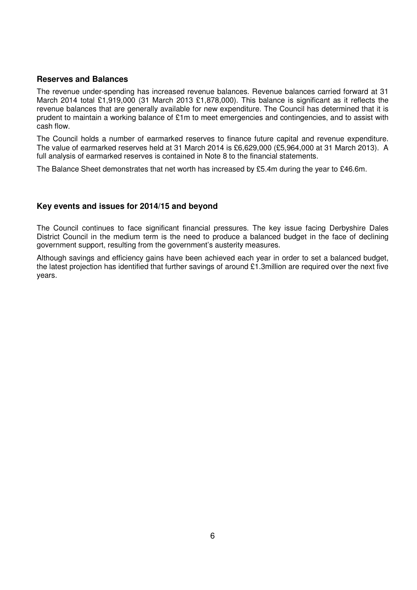#### **Reserves and Balances**

The revenue under-spending has increased revenue balances. Revenue balances carried forward at 31 March 2014 total £1,919,000 (31 March 2013 £1,878,000). This balance is significant as it reflects the revenue balances that are generally available for new expenditure. The Council has determined that it is prudent to maintain a working balance of £1m to meet emergencies and contingencies, and to assist with cash flow.

The Council holds a number of earmarked reserves to finance future capital and revenue expenditure. The value of earmarked reserves held at 31 March 2014 is £6,629,000 (£5,964,000 at 31 March 2013). A full analysis of earmarked reserves is contained in Note 8 to the financial statements.

The Balance Sheet demonstrates that net worth has increased by £5.4m during the year to £46.6m.

#### **Key events and issues for 2014/15 and beyond**

The Council continues to face significant financial pressures. The key issue facing Derbyshire Dales District Council in the medium term is the need to produce a balanced budget in the face of declining government support, resulting from the government's austerity measures.

Although savings and efficiency gains have been achieved each year in order to set a balanced budget, the latest projection has identified that further savings of around £1.3million are required over the next five years.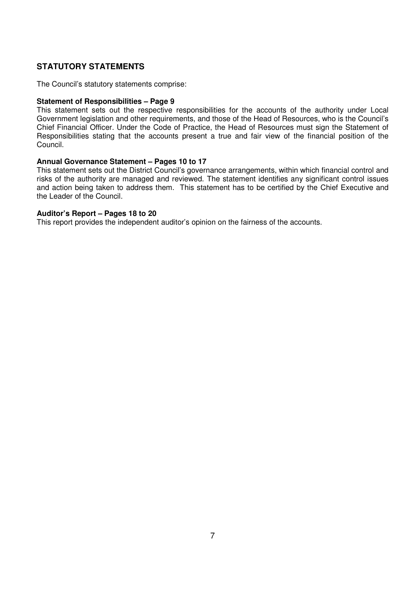#### **STATUTORY STATEMENTS**

The Council's statutory statements comprise:

#### **Statement of Responsibilities – Page 9**

This statement sets out the respective responsibilities for the accounts of the authority under Local Government legislation and other requirements, and those of the Head of Resources, who is the Council's Chief Financial Officer. Under the Code of Practice, the Head of Resources must sign the Statement of Responsibilities stating that the accounts present a true and fair view of the financial position of the Council.

#### **Annual Governance Statement – Pages 10 to 17**

This statement sets out the District Council's governance arrangements, within which financial control and risks of the authority are managed and reviewed. The statement identifies any significant control issues and action being taken to address them. This statement has to be certified by the Chief Executive and the Leader of the Council.

#### **Auditor's Report – Pages 18 to 20**

This report provides the independent auditor's opinion on the fairness of the accounts.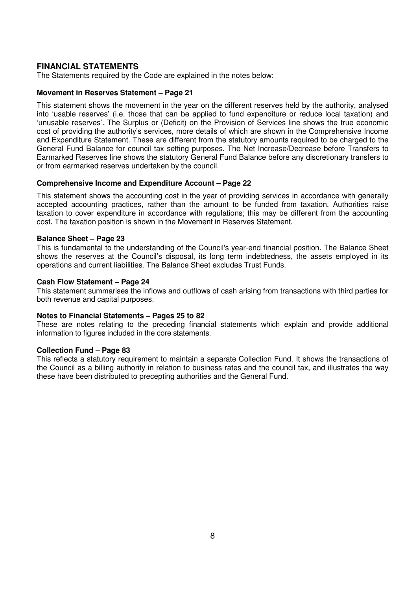#### **FINANCIAL STATEMENTS**

The Statements required by the Code are explained in the notes below:

#### **Movement in Reserves Statement – Page 21**

This statement shows the movement in the year on the different reserves held by the authority, analysed into 'usable reserves' (i.e. those that can be applied to fund expenditure or reduce local taxation) and 'unusable reserves'. The Surplus or (Deficit) on the Provision of Services line shows the true economic cost of providing the authority's services, more details of which are shown in the Comprehensive Income and Expenditure Statement. These are different from the statutory amounts required to be charged to the General Fund Balance for council tax setting purposes. The Net Increase/Decrease before Transfers to Earmarked Reserves line shows the statutory General Fund Balance before any discretionary transfers to or from earmarked reserves undertaken by the council.

#### **Comprehensive Income and Expenditure Account – Page 22**

This statement shows the accounting cost in the year of providing services in accordance with generally accepted accounting practices, rather than the amount to be funded from taxation. Authorities raise taxation to cover expenditure in accordance with regulations; this may be different from the accounting cost. The taxation position is shown in the Movement in Reserves Statement.

#### **Balance Sheet – Page 23**

This is fundamental to the understanding of the Council's year-end financial position. The Balance Sheet shows the reserves at the Council's disposal, its long term indebtedness, the assets employed in its operations and current liabilities. The Balance Sheet excludes Trust Funds.

#### **Cash Flow Statement – Page 24**

This statement summarises the inflows and outflows of cash arising from transactions with third parties for both revenue and capital purposes.

#### **Notes to Financial Statements – Pages 25 to 82**

These are notes relating to the preceding financial statements which explain and provide additional information to figures included in the core statements.

#### **Collection Fund – Page 83**

This reflects a statutory requirement to maintain a separate Collection Fund. It shows the transactions of the Council as a billing authority in relation to business rates and the council tax, and illustrates the way these have been distributed to precepting authorities and the General Fund.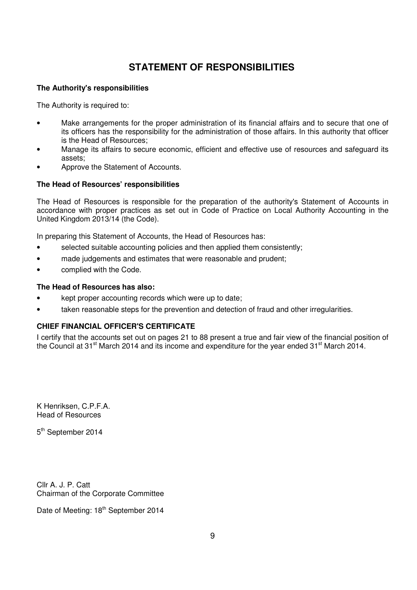# **STATEMENT OF RESPONSIBILITIES**

#### **The Authority's responsibilities**

The Authority is required to:

- Make arrangements for the proper administration of its financial affairs and to secure that one of its officers has the responsibility for the administration of those affairs. In this authority that officer is the Head of Resources;
- Manage its affairs to secure economic, efficient and effective use of resources and safeguard its assets;
- Approve the Statement of Accounts.

#### **The Head of Resources' responsibilities**

The Head of Resources is responsible for the preparation of the authority's Statement of Accounts in accordance with proper practices as set out in Code of Practice on Local Authority Accounting in the United Kingdom 2013/14 (the Code).

In preparing this Statement of Accounts, the Head of Resources has:

- selected suitable accounting policies and then applied them consistently;
- made judgements and estimates that were reasonable and prudent;
- complied with the Code.

#### **The Head of Resources has also:**

- kept proper accounting records which were up to date:
- taken reasonable steps for the prevention and detection of fraud and other irregularities.

#### **CHIEF FINANCIAL OFFICER'S CERTIFICATE**

I certify that the accounts set out on pages 21 to 88 present a true and fair view of the financial position of the Council at 31<sup>st</sup> March 2014 and its income and expenditure for the year ended 31<sup>st</sup> March 2014.

K Henriksen, C.P.F.A. Head of Resources

5<sup>th</sup> September 2014

Cllr A. J. P. Catt Chairman of the Corporate Committee

Date of Meeting: 18<sup>th</sup> September 2014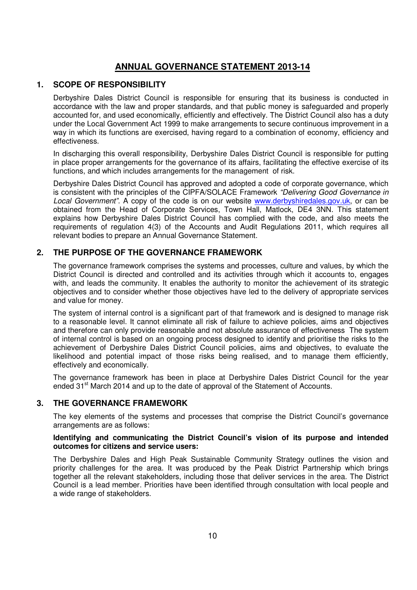# **ANNUAL GOVERNANCE STATEMENT 2013-14**

#### **1. SCOPE OF RESPONSIBILITY**

Derbyshire Dales District Council is responsible for ensuring that its business is conducted in accordance with the law and proper standards, and that public money is safeguarded and properly accounted for, and used economically, efficiently and effectively. The District Council also has a duty under the Local Government Act 1999 to make arrangements to secure continuous improvement in a way in which its functions are exercised, having regard to a combination of economy, efficiency and effectiveness.

In discharging this overall responsibility, Derbyshire Dales District Council is responsible for putting in place proper arrangements for the governance of its affairs, facilitating the effective exercise of its functions, and which includes arrangements for the management of risk.

Derbyshire Dales District Council has approved and adopted a code of corporate governance, which is consistent with the principles of the CIPFA/SOLACE Framework "Delivering Good Governance in Local Government". A copy of the code is on our website www.derbyshiredales.gov.uk, or can be obtained from the Head of Corporate Services, Town Hall, Matlock, DE4 3NN. This statement explains how Derbyshire Dales District Council has complied with the code, and also meets the requirements of regulation 4(3) of the Accounts and Audit Regulations 2011, which requires all relevant bodies to prepare an Annual Governance Statement.

#### **2. THE PURPOSE OF THE GOVERNANCE FRAMEWORK**

The governance framework comprises the systems and processes, culture and values, by which the District Council is directed and controlled and its activities through which it accounts to, engages with, and leads the community. It enables the authority to monitor the achievement of its strategic objectives and to consider whether those objectives have led to the delivery of appropriate services and value for money.

The system of internal control is a significant part of that framework and is designed to manage risk to a reasonable level. It cannot eliminate all risk of failure to achieve policies, aims and objectives and therefore can only provide reasonable and not absolute assurance of effectiveness The system of internal control is based on an ongoing process designed to identify and prioritise the risks to the achievement of Derbyshire Dales District Council policies, aims and objectives, to evaluate the likelihood and potential impact of those risks being realised, and to manage them efficiently, effectively and economically.

The governance framework has been in place at Derbyshire Dales District Council for the year ended 31<sup>st</sup> March 2014 and up to the date of approval of the Statement of Accounts.

#### **3. THE GOVERNANCE FRAMEWORK**

The key elements of the systems and processes that comprise the District Council's governance arrangements are as follows:

#### **Identifying and communicating the District Council's vision of its purpose and intended outcomes for citizens and service users:**

The Derbyshire Dales and High Peak Sustainable Community Strategy outlines the vision and priority challenges for the area. It was produced by the Peak District Partnership which brings together all the relevant stakeholders, including those that deliver services in the area. The District Council is a lead member. Priorities have been identified through consultation with local people and a wide range of stakeholders.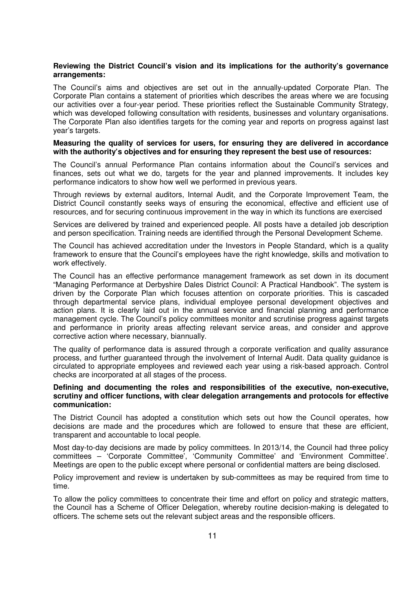#### **Reviewing the District Council's vision and its implications for the authority's governance arrangements:**

The Council's aims and objectives are set out in the annually-updated Corporate Plan. The Corporate Plan contains a statement of priorities which describes the areas where we are focusing our activities over a four-year period. These priorities reflect the Sustainable Community Strategy, which was developed following consultation with residents, businesses and voluntary organisations. The Corporate Plan also identifies targets for the coming year and reports on progress against last year's targets.

#### **Measuring the quality of services for users, for ensuring they are delivered in accordance with the authority's objectives and for ensuring they represent the best use of resources:**

The Council's annual Performance Plan contains information about the Council's services and finances, sets out what we do, targets for the year and planned improvements. It includes key performance indicators to show how well we performed in previous years.

Through reviews by external auditors, Internal Audit, and the Corporate Improvement Team, the District Council constantly seeks ways of ensuring the economical, effective and efficient use of resources, and for securing continuous improvement in the way in which its functions are exercised

Services are delivered by trained and experienced people. All posts have a detailed job description and person specification. Training needs are identified through the Personal Development Scheme.

The Council has achieved accreditation under the Investors in People Standard, which is a quality framework to ensure that the Council's employees have the right knowledge, skills and motivation to work effectively.

The Council has an effective performance management framework as set down in its document "Managing Performance at Derbyshire Dales District Council: A Practical Handbook". The system is driven by the Corporate Plan which focuses attention on corporate priorities. This is cascaded through departmental service plans, individual employee personal development objectives and action plans. It is clearly laid out in the annual service and financial planning and performance management cycle. The Council's policy committees monitor and scrutinise progress against targets and performance in priority areas affecting relevant service areas, and consider and approve corrective action where necessary, biannually.

The quality of performance data is assured through a corporate verification and quality assurance process, and further guaranteed through the involvement of Internal Audit. Data quality guidance is circulated to appropriate employees and reviewed each year using a risk-based approach. Control checks are incorporated at all stages of the process.

#### **Defining and documenting the roles and responsibilities of the executive, non-executive, scrutiny and officer functions, with clear delegation arrangements and protocols for effective communication:**

The District Council has adopted a constitution which sets out how the Council operates, how decisions are made and the procedures which are followed to ensure that these are efficient, transparent and accountable to local people.

Most day-to-day decisions are made by policy committees. In 2013/14, the Council had three policy committees – 'Corporate Committee', 'Community Committee' and 'Environment Committee'. Meetings are open to the public except where personal or confidential matters are being disclosed.

Policy improvement and review is undertaken by sub-committees as may be required from time to time.

To allow the policy committees to concentrate their time and effort on policy and strategic matters, the Council has a Scheme of Officer Delegation, whereby routine decision-making is delegated to officers. The scheme sets out the relevant subject areas and the responsible officers.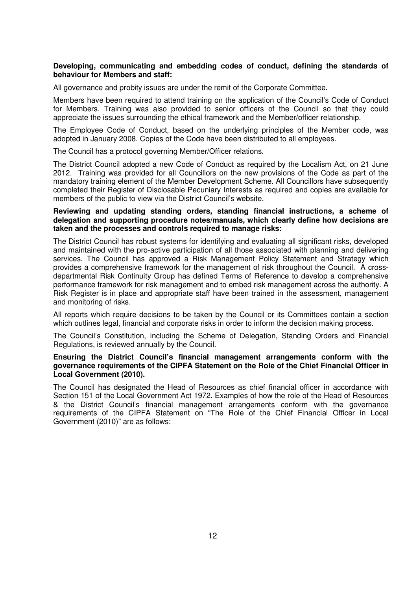#### **Developing, communicating and embedding codes of conduct, defining the standards of behaviour for Members and staff:**

All governance and probity issues are under the remit of the Corporate Committee.

Members have been required to attend training on the application of the Council's Code of Conduct for Members. Training was also provided to senior officers of the Council so that they could appreciate the issues surrounding the ethical framework and the Member/officer relationship.

The Employee Code of Conduct, based on the underlying principles of the Member code, was adopted in January 2008. Copies of the Code have been distributed to all employees.

The Council has a protocol governing Member/Officer relations.

The District Council adopted a new Code of Conduct as required by the Localism Act, on 21 June 2012. Training was provided for all Councillors on the new provisions of the Code as part of the mandatory training element of the Member Development Scheme. All Councillors have subsequently completed their Register of Disclosable Pecuniary Interests as required and copies are available for members of the public to view via the District Council's website.

#### **Reviewing and updating standing orders, standing financial instructions, a scheme of delegation and supporting procedure notes/manuals, which clearly define how decisions are taken and the processes and controls required to manage risks:**

The District Council has robust systems for identifying and evaluating all significant risks, developed and maintained with the pro-active participation of all those associated with planning and delivering services. The Council has approved a Risk Management Policy Statement and Strategy which provides a comprehensive framework for the management of risk throughout the Council. A crossdepartmental Risk Continuity Group has defined Terms of Reference to develop a comprehensive performance framework for risk management and to embed risk management across the authority. A Risk Register is in place and appropriate staff have been trained in the assessment, management and monitoring of risks.

All reports which require decisions to be taken by the Council or its Committees contain a section which outlines legal, financial and corporate risks in order to inform the decision making process.

The Council's Constitution, including the Scheme of Delegation, Standing Orders and Financial Regulations, is reviewed annually by the Council.

#### **Ensuring the District Council's financial management arrangements conform with the governance requirements of the CIPFA Statement on the Role of the Chief Financial Officer in Local Government (2010).**

The Council has designated the Head of Resources as chief financial officer in accordance with Section 151 of the Local Government Act 1972. Examples of how the role of the Head of Resources & the District Council's financial management arrangements conform with the governance requirements of the CIPFA Statement on "The Role of the Chief Financial Officer in Local Government (2010)" are as follows: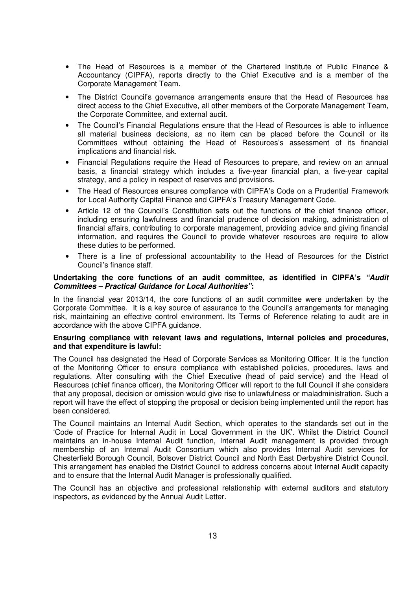- The Head of Resources is a member of the Chartered Institute of Public Finance & Accountancy (CIPFA), reports directly to the Chief Executive and is a member of the Corporate Management Team.
- The District Council's governance arrangements ensure that the Head of Resources has direct access to the Chief Executive, all other members of the Corporate Management Team, the Corporate Committee, and external audit.
- The Council's Financial Regulations ensure that the Head of Resources is able to influence all material business decisions, as no item can be placed before the Council or its Committees without obtaining the Head of Resources's assessment of its financial implications and financial risk.
- Financial Regulations require the Head of Resources to prepare, and review on an annual basis, a financial strategy which includes a five-year financial plan, a five-year capital strategy, and a policy in respect of reserves and provisions.
- The Head of Resources ensures compliance with CIPFA's Code on a Prudential Framework for Local Authority Capital Finance and CIPFA's Treasury Management Code.
- Article 12 of the Council's Constitution sets out the functions of the chief finance officer, including ensuring lawfulness and financial prudence of decision making, administration of financial affairs, contributing to corporate management, providing advice and giving financial information, and requires the Council to provide whatever resources are require to allow these duties to be performed.
- There is a line of professional accountability to the Head of Resources for the District Council's finance staff.

#### **Undertaking the core functions of an audit committee, as identified in CIPFA's "Audit Committees – Practical Guidance for Local Authorities":**

In the financial year 2013/14, the core functions of an audit committee were undertaken by the Corporate Committee. It is a key source of assurance to the Council's arrangements for managing risk, maintaining an effective control environment. Its Terms of Reference relating to audit are in accordance with the above CIPFA guidance.

#### **Ensuring compliance with relevant laws and regulations, internal policies and procedures, and that expenditure is lawful:**

The Council has designated the Head of Corporate Services as Monitoring Officer. It is the function of the Monitoring Officer to ensure compliance with established policies, procedures, laws and regulations. After consulting with the Chief Executive (head of paid service) and the Head of Resources (chief finance officer), the Monitoring Officer will report to the full Council if she considers that any proposal, decision or omission would give rise to unlawfulness or maladministration. Such a report will have the effect of stopping the proposal or decision being implemented until the report has been considered.

The Council maintains an Internal Audit Section, which operates to the standards set out in the 'Code of Practice for Internal Audit in Local Government in the UK'. Whilst the District Council maintains an in-house Internal Audit function, Internal Audit management is provided through membership of an Internal Audit Consortium which also provides Internal Audit services for Chesterfield Borough Council, Bolsover District Council and North East Derbyshire District Council. This arrangement has enabled the District Council to address concerns about Internal Audit capacity and to ensure that the Internal Audit Manager is professionally qualified.

The Council has an objective and professional relationship with external auditors and statutory inspectors, as evidenced by the Annual Audit Letter.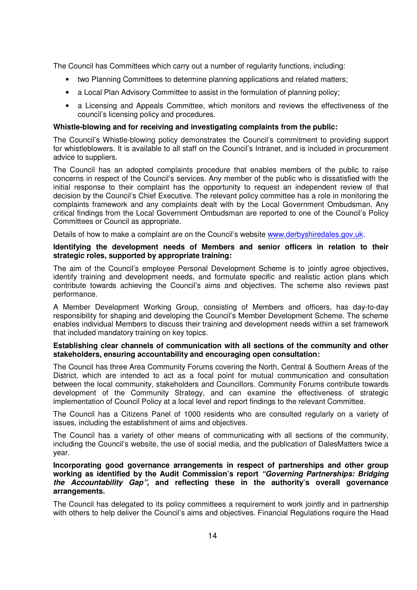The Council has Committees which carry out a number of regularity functions, including:

- two Planning Committees to determine planning applications and related matters;
- a Local Plan Advisory Committee to assist in the formulation of planning policy;
- a Licensing and Appeals Committee, which monitors and reviews the effectiveness of the council's licensing policy and procedures.

#### **Whistle-blowing and for receiving and investigating complaints from the public:**

The Council's Whistle-blowing policy demonstrates the Council's commitment to providing support for whistleblowers. It is available to all staff on the Council's Intranet, and is included in procurement advice to suppliers.

The Council has an adopted complaints procedure that enables members of the public to raise concerns in respect of the Council's services. Any member of the public who is dissatisfied with the initial response to their complaint has the opportunity to request an independent review of that decision by the Council's Chief Executive. The relevant policy committee has a role in monitoring the complaints framework and any complaints dealt with by the Local Government Ombudsman. Any critical findings from the Local Government Ombudsman are reported to one of the Council's Policy Committees or Council as appropriate.

Details of how to make a complaint are on the Council's website www.derbyshiredales.gov.uk.

#### **Identifying the development needs of Members and senior officers in relation to their strategic roles, supported by appropriate training:**

The aim of the Council's employee Personal Development Scheme is to jointly agree objectives, identify training and development needs, and formulate specific and realistic action plans which contribute towards achieving the Council's aims and objectives. The scheme also reviews past performance.

A Member Development Working Group, consisting of Members and officers, has day-to-day responsibility for shaping and developing the Council's Member Development Scheme. The scheme enables individual Members to discuss their training and development needs within a set framework that included mandatory training on key topics.

#### **Establishing clear channels of communication with all sections of the community and other stakeholders, ensuring accountability and encouraging open consultation:**

The Council has three Area Community Forums covering the North, Central & Southern Areas of the District, which are intended to act as a focal point for mutual communication and consultation between the local community, stakeholders and Councillors. Community Forums contribute towards development of the Community Strategy, and can examine the effectiveness of strategic implementation of Council Policy at a local level and report findings to the relevant Committee.

The Council has a Citizens Panel of 1000 residents who are consulted regularly on a variety of issues, including the establishment of aims and objectives.

The Council has a variety of other means of communicating with all sections of the community, including the Council's website, the use of social media, and the publication of DalesMatters twice a year.

#### **Incorporating good governance arrangements in respect of partnerships and other group working as identified by the Audit Commission's report "Governing Partnerships: Bridging the Accountability Gap", and reflecting these in the authority's overall governance arrangements.**

The Council has delegated to its policy committees a requirement to work jointly and in partnership with others to help deliver the Council's aims and objectives. Financial Regulations require the Head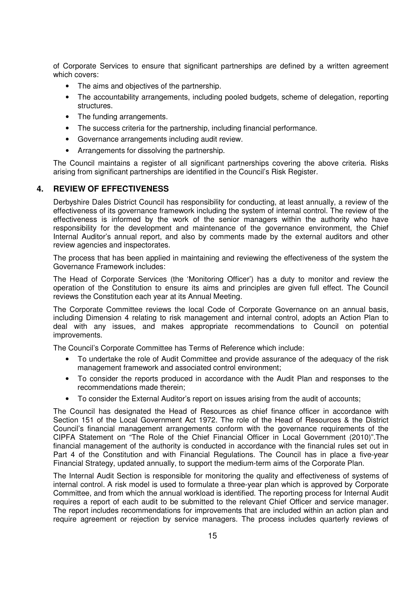of Corporate Services to ensure that significant partnerships are defined by a written agreement which covers:

- The aims and objectives of the partnership.
- The accountability arrangements, including pooled budgets, scheme of delegation, reporting structures.
- The funding arrangements.
- The success criteria for the partnership, including financial performance.
- Governance arrangements including audit review.
- Arrangements for dissolving the partnership.

The Council maintains a register of all significant partnerships covering the above criteria. Risks arising from significant partnerships are identified in the Council's Risk Register.

#### **4. REVIEW OF EFFECTIVENESS**

Derbyshire Dales District Council has responsibility for conducting, at least annually, a review of the effectiveness of its governance framework including the system of internal control. The review of the effectiveness is informed by the work of the senior managers within the authority who have responsibility for the development and maintenance of the governance environment, the Chief Internal Auditor's annual report, and also by comments made by the external auditors and other review agencies and inspectorates.

The process that has been applied in maintaining and reviewing the effectiveness of the system the Governance Framework includes:

The Head of Corporate Services (the 'Monitoring Officer') has a duty to monitor and review the operation of the Constitution to ensure its aims and principles are given full effect. The Council reviews the Constitution each year at its Annual Meeting.

The Corporate Committee reviews the local Code of Corporate Governance on an annual basis, including Dimension 4 relating to risk management and internal control, adopts an Action Plan to deal with any issues, and makes appropriate recommendations to Council on potential improvements.

The Council's Corporate Committee has Terms of Reference which include:

- To undertake the role of Audit Committee and provide assurance of the adequacy of the risk management framework and associated control environment;
- To consider the reports produced in accordance with the Audit Plan and responses to the recommendations made therein;
- To consider the External Auditor's report on issues arising from the audit of accounts;

The Council has designated the Head of Resources as chief finance officer in accordance with Section 151 of the Local Government Act 1972. The role of the Head of Resources & the District Council's financial management arrangements conform with the governance requirements of the CIPFA Statement on "The Role of the Chief Financial Officer in Local Government (2010)".The financial management of the authority is conducted in accordance with the financial rules set out in Part 4 of the Constitution and with Financial Regulations. The Council has in place a five-year Financial Strategy, updated annually, to support the medium-term aims of the Corporate Plan.

The Internal Audit Section is responsible for monitoring the quality and effectiveness of systems of internal control. A risk model is used to formulate a three-year plan which is approved by Corporate Committee, and from which the annual workload is identified. The reporting process for Internal Audit requires a report of each audit to be submitted to the relevant Chief Officer and service manager. The report includes recommendations for improvements that are included within an action plan and require agreement or rejection by service managers. The process includes quarterly reviews of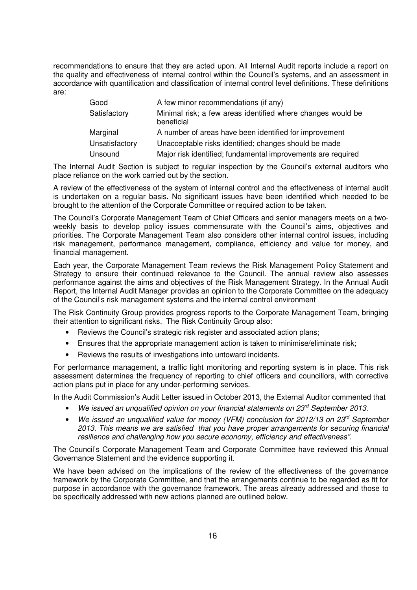recommendations to ensure that they are acted upon. All Internal Audit reports include a report on the quality and effectiveness of internal control within the Council's systems, and an assessment in accordance with quantification and classification of internal control level definitions. These definitions are:

| Good           | A few minor recommendations (if any)                                      |
|----------------|---------------------------------------------------------------------------|
| Satisfactory   | Minimal risk; a few areas identified where changes would be<br>beneficial |
| Marginal       | A number of areas have been identified for improvement                    |
| Unsatisfactory | Unacceptable risks identified; changes should be made                     |
| Unsound        | Major risk identified; fundamental improvements are required              |

The Internal Audit Section is subject to regular inspection by the Council's external auditors who place reliance on the work carried out by the section.

A review of the effectiveness of the system of internal control and the effectiveness of internal audit is undertaken on a regular basis. No significant issues have been identified which needed to be brought to the attention of the Corporate Committee or required action to be taken.

The Council's Corporate Management Team of Chief Officers and senior managers meets on a twoweekly basis to develop policy issues commensurate with the Council's aims, objectives and priorities. The Corporate Management Team also considers other internal control issues, including risk management, performance management, compliance, efficiency and value for money, and financial management.

Each year, the Corporate Management Team reviews the Risk Management Policy Statement and Strategy to ensure their continued relevance to the Council. The annual review also assesses performance against the aims and objectives of the Risk Management Strategy. In the Annual Audit Report, the Internal Audit Manager provides an opinion to the Corporate Committee on the adequacy of the Council's risk management systems and the internal control environment

The Risk Continuity Group provides progress reports to the Corporate Management Team, bringing their attention to significant risks. The Risk Continuity Group also:

- Reviews the Council's strategic risk register and associated action plans;
- Ensures that the appropriate management action is taken to minimise/eliminate risk;
- Reviews the results of investigations into untoward incidents.

For performance management, a traffic light monitoring and reporting system is in place. This risk assessment determines the frequency of reporting to chief officers and councillors, with corrective action plans put in place for any under-performing services.

In the Audit Commission's Audit Letter issued in October 2013, the External Auditor commented that

- We issued an unqualified opinion on your financial statements on  $23<sup>rd</sup>$  September 2013.
- We issued an unqualified value for money (VFM) conclusion for 2012/13 on  $23^{rd}$  September 2013. This means we are satisfied that you have proper arrangements for securing financial resilience and challenging how you secure economy, efficiency and effectiveness".

The Council's Corporate Management Team and Corporate Committee have reviewed this Annual Governance Statement and the evidence supporting it.

We have been advised on the implications of the review of the effectiveness of the governance framework by the Corporate Committee, and that the arrangements continue to be regarded as fit for purpose in accordance with the governance framework. The areas already addressed and those to be specifically addressed with new actions planned are outlined below.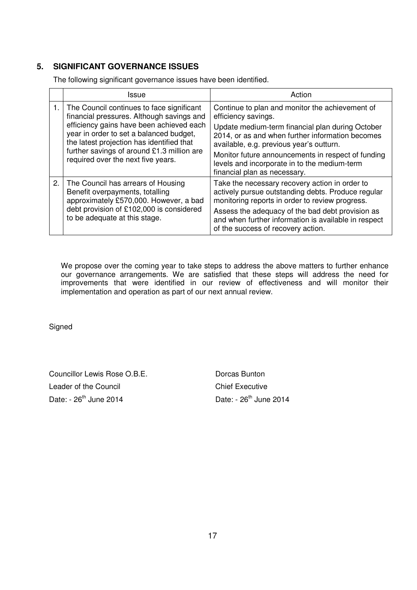# **5. SIGNIFICANT GOVERNANCE ISSUES**

The following significant governance issues have been identified.

|    | Issue                                                                                                                                                                                                                                                                                                          | Action                                                                                                                                                                                                                                                                                                                                                           |
|----|----------------------------------------------------------------------------------------------------------------------------------------------------------------------------------------------------------------------------------------------------------------------------------------------------------------|------------------------------------------------------------------------------------------------------------------------------------------------------------------------------------------------------------------------------------------------------------------------------------------------------------------------------------------------------------------|
| 1. | The Council continues to face significant<br>financial pressures. Although savings and<br>efficiency gains have been achieved each<br>year in order to set a balanced budget,<br>the latest projection has identified that<br>further savings of around £1.3 million are<br>required over the next five years. | Continue to plan and monitor the achievement of<br>efficiency savings.<br>Update medium-term financial plan during October<br>2014, or as and when further information becomes<br>available, e.g. previous year's outturn.<br>Monitor future announcements in respect of funding<br>levels and incorporate in to the medium-term<br>financial plan as necessary. |
| 2. | The Council has arrears of Housing<br>Benefit overpayments, totalling<br>approximately £570,000. However, a bad<br>debt provision of £102,000 is considered<br>to be adequate at this stage.                                                                                                                   | Take the necessary recovery action in order to<br>actively pursue outstanding debts. Produce regular<br>monitoring reports in order to review progress.<br>Assess the adequacy of the bad debt provision as<br>and when further information is available in respect<br>of the success of recovery action.                                                        |

We propose over the coming year to take steps to address the above matters to further enhance our governance arrangements. We are satisfied that these steps will address the need for improvements that were identified in our review of effectiveness and will monitor their implementation and operation as part of our next annual review.

**Signed** 

Councillor Lewis Rose O.B.E. Dorcas Bunton Leader of the Council Chief Executive Date:  $-26^{th}$  June 2014 Date:  $-26^{th}$  June 2014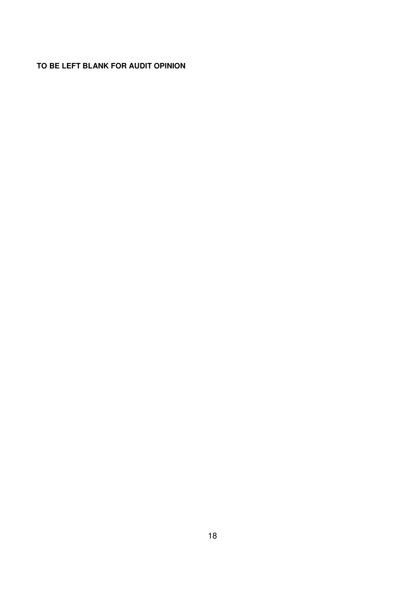# **TO BE LEFT BLANK FOR AUDIT OPINION**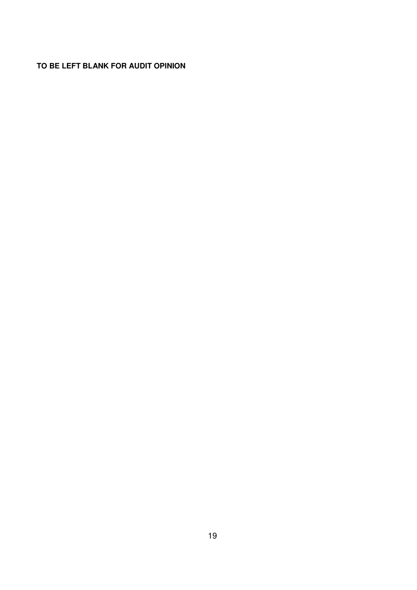# **TO BE LEFT BLANK FOR AUDIT OPINION**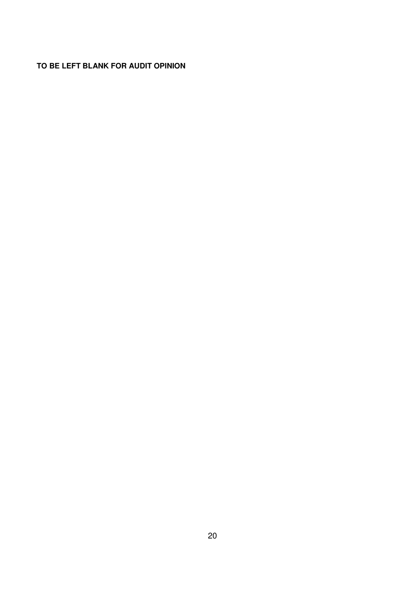# **TO BE LEFT BLANK FOR AUDIT OPINION**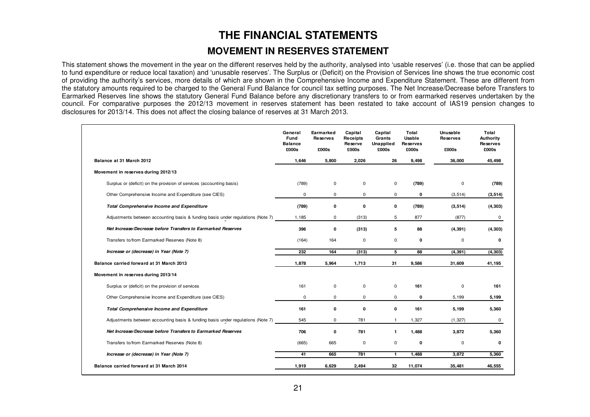# **THE FINANCIAL STATEMENTS MOVEMENT IN RESERVES STATEMENT**

This statement shows the movement in the year on the different reserves held by the authority, analysed into 'usable reserves' (i.e. those that can be applied to fund expenditure or reduce local taxation) and 'unusable reserves'. The Surplus or (Deficit) on the Provision of Services line shows the true economic cost of providing the authority's services, more details of which are shown in the Comprehensive Income and Expenditure Statement. These are different from the statutory amounts required to be charged to the General Fund Balance for council tax setting purposes. The Net Increase/Decrease before Transfers to Earmarked Reserves line shows the statutory General Fund Balance before any discretionary transfers to or from earmarked reserves undertaken by the council. For comparative purposes the 2012/13 movement in reserves statement has been restated to take account of IAS19 pension changes to disclosures for 2013/14. This does not affect the closing balance of reserves at 31 March 2013.

|                                                                                 | General<br>Fund<br><b>Balance</b><br>£000s | Earmarked<br>Reserves<br>£000s | Capital<br>Receipts<br>Reserve<br>£000s | Capital<br>Grants<br><b>Unapplied</b><br>£000s | Total<br>Usable<br>Reserves<br>£000s | Unusable<br><b>Reserves</b><br>£000s | Total<br><b>Authority</b><br><b>Reserves</b><br>£000s |
|---------------------------------------------------------------------------------|--------------------------------------------|--------------------------------|-----------------------------------------|------------------------------------------------|--------------------------------------|--------------------------------------|-------------------------------------------------------|
| Balance at 31 March 2012                                                        | 1,646                                      | 5,800                          | 2,026                                   | 26                                             | 9,498                                | 36,000                               | 45,498                                                |
| Movement in reserves during 2012/13                                             |                                            |                                |                                         |                                                |                                      |                                      |                                                       |
| Surplus or (deficit) on the provision of services (accounting basis)            | (789)                                      | 0                              | 0                                       | 0                                              | (789)                                | 0                                    | (789)                                                 |
| Other Comprehensive Income and Expenditure (see CIES)                           | 0                                          | 0                              | 0                                       | 0                                              | 0                                    | (3, 514)                             | (3, 514)                                              |
| <b>Total Comprehensive Income and Expenditure</b>                               | (789)                                      | 0                              | 0                                       | 0                                              | (789)                                | (3, 514)                             | (4, 303)                                              |
| Adjustments between accounting basis & funding basis under regulations (Note 7) | 1,185                                      | $\mathbf 0$                    | (313)                                   | 5                                              | 877                                  | (877)                                | 0                                                     |
| Net Increase/Decrease before Transfers to Earmarked Reserves                    | 396                                        | 0                              | (313)                                   | 5                                              | 88                                   | (4, 391)                             | (4, 303)                                              |
| Transfers to/from Earmarked Reserves (Note 8)                                   | (164)                                      | 164                            | 0                                       | 0                                              | 0                                    | 0                                    | 0                                                     |
| Increase or (decrease) in Year (Note 7)                                         | 232                                        | 164                            | (313)                                   | 5                                              | 88                                   | (4, 391)                             | (4, 303)                                              |
| Balance carried forward at 31 March 2013                                        |                                            | 5,964                          | 1,713                                   | 31                                             | 9,586                                | 31,609                               | 41,195                                                |
| Movement in reserves during 2013/14                                             |                                            |                                |                                         |                                                |                                      |                                      |                                                       |
| Surplus or (deficit) on the provision of services                               | 161                                        | $\mathbf 0$                    | 0                                       | 0                                              | 161                                  | $\mathsf 0$                          | 161                                                   |
| Other Comprehensive Income and Expenditure (see CIES)                           | 0                                          | $\mathbf 0$                    | $\mathbf 0$                             | 0                                              | 0                                    | 5,199                                | 5,199                                                 |
| <b>Total Comprehensive Income and Expenditure</b>                               | 161                                        | 0                              | 0                                       | 0                                              | 161                                  | 5,199                                | 5,360                                                 |
| Adjustments between accounting basis & funding basis under regulations (Note 7) | 545                                        | $\mathbf 0$                    | 781                                     | $\mathbf{1}$                                   | 1,327                                | (1, 327)                             | 0                                                     |
| Net Increase/Decrease before Transfers to Earmarked Reserves                    | 706                                        | 0                              | 781                                     | $\mathbf{1}$                                   | 1,488                                | 3,872                                | 5,360                                                 |
| Transfers to/from Earmarked Reserves (Note 8)                                   | (665)                                      | 665                            | 0                                       | 0                                              | 0                                    | 0                                    | 0                                                     |
| Increase or (decrease) in Year (Note 7)                                         | 41                                         | 665                            | 781                                     | $\mathbf{1}$                                   | 1,488                                | 3,872                                | 5,360                                                 |
| Balance carried forward at 31 March 2014                                        | 1,919                                      | 6,629                          | 2,494                                   | 32                                             | 11,074                               | 35,481                               | 46,555                                                |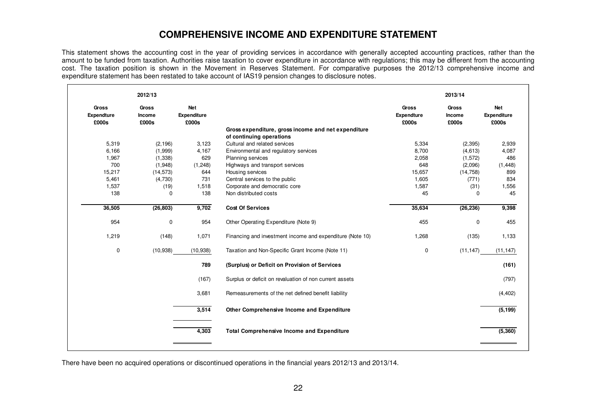# **COMPREHENSIVE INCOME AND EXPENDITURE STATEMENT**

This statement shows the accounting cost in the year of providing services in accordance with generally accepted accounting practices, rather than the amount to be funded from taxation. Authorities raise taxation to cover expenditure in accordance with regulations; this may be different from the accounting cost. The taxation position is shown in the Movement in Reserves Statement. For comparative purposes the 2012/13 comprehensive income and expenditure statement has been restated to take account of IAS19 pension changes to disclosure notes.

|                                            | 2012/13                         |                                    |                                                           |                                            | 2013/14                         |                                    |
|--------------------------------------------|---------------------------------|------------------------------------|-----------------------------------------------------------|--------------------------------------------|---------------------------------|------------------------------------|
| <b>Gross</b><br><b>Expendture</b><br>£000s | <b>Gross</b><br>Income<br>£000s | <b>Net</b><br>Expenditure<br>£000s |                                                           | <b>Gross</b><br><b>Expendture</b><br>£000s | <b>Gross</b><br>Income<br>£000s | <b>Net</b><br>Expenditure<br>£000s |
|                                            |                                 |                                    | Gross expenditure, gross income and net expenditure       |                                            |                                 |                                    |
| 5,319                                      |                                 |                                    | of continuing operations<br>Cultural and related services | 5,334                                      |                                 | 2,939                              |
| 6,166                                      | (2, 196)<br>(1,999)             | 3,123<br>4,167                     | Environmental and regulatory services                     | 8,700                                      | (2, 395)<br>(4,613)             | 4,087                              |
| 1,967                                      | (1, 338)                        | 629                                | Planning services                                         | 2,058                                      | (1, 572)                        | 486                                |
| 700                                        | (1,948)                         | (1, 248)                           | Highways and transport services                           | 648                                        | (2,096)                         | (1, 448)                           |
| 15,217                                     | (14, 573)                       | 644                                | Housing services                                          | 15,657                                     | (14, 758)                       | 899                                |
| 5,461                                      | (4,730)                         | 731                                | Central services to the public                            | 1,605                                      | (771)                           | 834                                |
| 1,537                                      | (19)                            | 1,518                              | Corporate and democratic core                             | 1,587                                      | (31)                            | 1,556                              |
| 138                                        | 0                               | 138                                | Non distributed costs                                     | 45                                         | $\Omega$                        | 45                                 |
| 36,505                                     | (26, 803)                       | 9,702                              | <b>Cost Of Services</b>                                   | 35,634                                     | (26, 236)                       | 9,398                              |
| 954                                        | 0                               | 954                                | Other Operating Expenditure (Note 9)                      | 455                                        | 0                               | 455                                |
| 1,219                                      | (148)                           | 1,071                              | Financing and investment income and expenditure (Note 10) | 1,268                                      | (135)                           | 1,133                              |
| 0                                          | (10, 938)                       | (10, 938)                          | Taxation and Non-Specific Grant Income (Note 11)          | 0                                          | (11, 147)                       | (11, 147)                          |
|                                            |                                 | 789                                | (Surplus) or Deficit on Provision of Services             |                                            |                                 | (161)                              |
|                                            |                                 | (167)                              | Surplus or deficit on revaluation of non current assets   |                                            |                                 | (797)                              |
|                                            |                                 | 3,681                              | Remeasurements of the net defined benefit liability       |                                            |                                 | (4, 402)                           |
|                                            |                                 | 3,514                              | Other Comprehensive Income and Expenditure                |                                            |                                 | (5, 199)                           |
|                                            |                                 |                                    |                                                           |                                            |                                 |                                    |

There have been no acquired operations or discontinued operations in the financial years 2012/13 and 2013/14.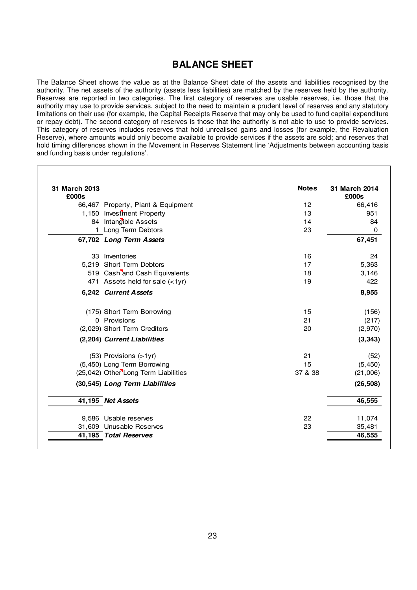# **BALANCE SHEET**

The Balance Sheet shows the value as at the Balance Sheet date of the assets and liabilities recognised by the authority. The net assets of the authority (assets less liabilities) are matched by the reserves held by the authority. Reserves are reported in two categories. The first category of reserves are usable reserves, i.e. those that the authority may use to provide services, subject to the need to maintain a prudent level of reserves and any statutory limitations on their use (for example, the Capital Receipts Reserve that may only be used to fund capital expenditure or repay debt). The second category of reserves is those that the authority is not able to use to provide services. This category of reserves includes reserves that hold unrealised gains and losses (for example, the Revaluation Reserve), where amounts would only become available to provide services if the assets are sold; and reserves that hold timing differences shown in the Movement in Reserves Statement line 'Adjustments between accounting basis and funding basis under regulations'.

| 31 March 2013<br>£000s |                                      | <b>Notes</b> | 31 March 2014<br>£000s |
|------------------------|--------------------------------------|--------------|------------------------|
|                        | 66,467 Property, Plant & Equipment   | 12           | 66,416                 |
|                        | 1,150 Investment Property            | 13           | 951                    |
|                        | 84 Intangible Assets                 | 14           | 84                     |
|                        | 1 Long Term Debtors                  | 23           | 0                      |
|                        | 67,702 Long Term Assets              |              | 67,451                 |
|                        | 33 Inventories                       | 16           | 24                     |
|                        | 5,219 Short Term Debtors             | 17           | 5,363                  |
|                        | 519 Cash and Cash Equivalents        | 18           | 3,146                  |
|                        | 471 Assets held for sale (<1yr)      | 19           | 422                    |
|                        | 6,242 Current Assets                 |              | 8,955                  |
|                        | (175) Short Term Borrowing           | 15           | (156)                  |
|                        | 0 Provisions                         | 21           | (217)                  |
|                        | (2,029) Short Term Creditors         | 20           | (2,970)                |
|                        | (2,204) Current Liabilities          |              | (3, 343)               |
|                        | (53) Provisions (>1yr)               | 21           | (52)                   |
|                        | (5,450) Long Term Borrowing          | 15           | (5, 450)               |
|                        | (25,042) Other Long Term Liabilities | 37 & 38      | (21,006)               |
|                        | (30,545) Long Term Liabilities       |              | (26, 508)              |
|                        | 41,195 Net Assets                    |              | 46,555                 |
|                        | 9,586 Usable reserves                | 22           | 11,074                 |
|                        | 31,609 Unusable Reserves             | 23           | 35,481                 |
|                        | 41,195 Total Reserves                |              | 46,555                 |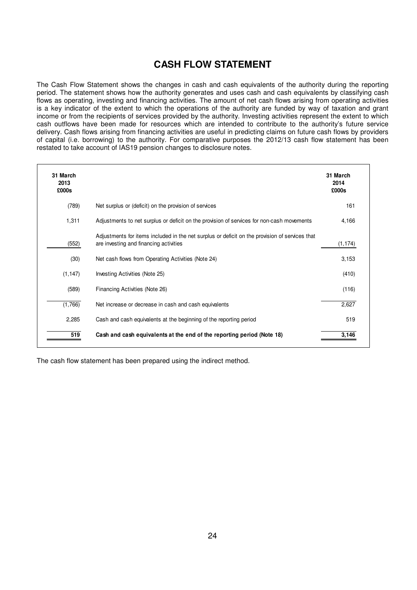# **CASH FLOW STATEMENT**

The Cash Flow Statement shows the changes in cash and cash equivalents of the authority during the reporting period. The statement shows how the authority generates and uses cash and cash equivalents by classifying cash flows as operating, investing and financing activities. The amount of net cash flows arising from operating activities is a key indicator of the extent to which the operations of the authority are funded by way of taxation and grant income or from the recipients of services provided by the authority. Investing activities represent the extent to which cash outflows have been made for resources which are intended to contribute to the authority's future service delivery. Cash flows arising from financing activities are useful in predicting claims on future cash flows by providers of capital (i.e. borrowing) to the authority. For comparative purposes the 2012/13 cash flow statement has been restated to take account of IAS19 pension changes to disclosure notes.

| 31 March<br>2013<br>£000s |                                                                                                                                          | 31 March<br>2014<br>£000s |
|---------------------------|------------------------------------------------------------------------------------------------------------------------------------------|---------------------------|
| (789)                     | Net surplus or (deficit) on the provision of services                                                                                    | 161                       |
| 1,311                     | Adjustments to net surplus or deficit on the provision of services for non-cash movements                                                | 4,166                     |
| (552)                     | Adjustments for items included in the net surplus or deficit on the provision of services that<br>are investing and financing activities | (1, 174)                  |
| (30)                      | Net cash flows from Operating Activities (Note 24)                                                                                       | 3,153                     |
| (1, 147)                  | Investing Activities (Note 25)                                                                                                           | (410)                     |
| (589)                     | Financing Activities (Note 26)                                                                                                           | (116)                     |
| (1,766)                   | Net increase or decrease in cash and cash equivalents                                                                                    | 2,627                     |
| 2,285                     | Cash and cash equivalents at the beginning of the reporting period                                                                       | 519                       |
| 519                       | Cash and cash equivalents at the end of the reporting period (Note 18)                                                                   | 3,146                     |

The cash flow statement has been prepared using the indirect method.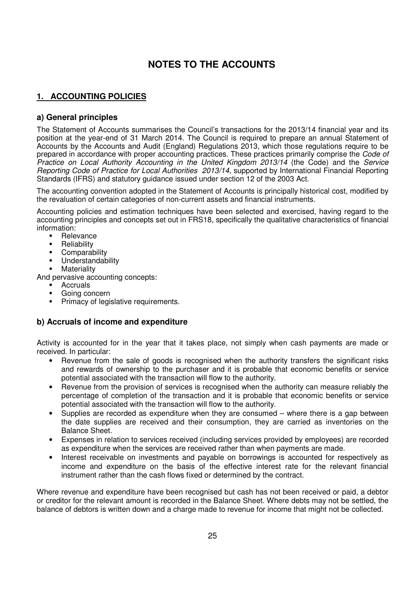# **NOTES TO THE ACCOUNTS**

# **1. ACCOUNTING POLICIES**

#### **a) General principles**

The Statement of Accounts summarises the Council's transactions for the 2013/14 financial year and its position at the year-end of 31 March 2014. The Council is required to prepare an annual Statement of Accounts by the Accounts and Audit (England) Regulations 2013, which those regulations require to be prepared in accordance with proper accounting practices. These practices primarily comprise the Code of Practice on Local Authority Accounting in the United Kingdom 2013/14 (the Code) and the Service Reporting Code of Practice for Local Authorities 2013/14, supported by International Financial Reporting Standards (IFRS) and statutory guidance issued under section 12 of the 2003 Act.

The accounting convention adopted in the Statement of Accounts is principally historical cost, modified by the revaluation of certain categories of non-current assets and financial instruments.

Accounting policies and estimation techniques have been selected and exercised, having regard to the accounting principles and concepts set out in FRS18, specifically the qualitative characteristics of financial information:

- Relevance
- **Reliability**
- **Comparability**
- Understandability
- **Materiality**

And pervasive accounting concepts:

- **Accruals**
- Going concern
- Primacy of legislative requirements.

#### **b) Accruals of income and expenditure**

Activity is accounted for in the year that it takes place, not simply when cash payments are made or received. In particular:

- Revenue from the sale of goods is recognised when the authority transfers the significant risks and rewards of ownership to the purchaser and it is probable that economic benefits or service potential associated with the transaction will flow to the authority.
- Revenue from the provision of services is recognised when the authority can measure reliably the percentage of completion of the transaction and it is probable that economic benefits or service potential associated with the transaction will flow to the authority.
- Supplies are recorded as expenditure when they are consumed where there is a gap between the date supplies are received and their consumption, they are carried as inventories on the Balance Sheet.
- Expenses in relation to services received (including services provided by employees) are recorded as expenditure when the services are received rather than when payments are made.
- Interest receivable on investments and payable on borrowings is accounted for respectively as income and expenditure on the basis of the effective interest rate for the relevant financial instrument rather than the cash flows fixed or determined by the contract.

Where revenue and expenditure have been recognised but cash has not been received or paid, a debtor or creditor for the relevant amount is recorded in the Balance Sheet. Where debts may not be settled, the balance of debtors is written down and a charge made to revenue for income that might not be collected.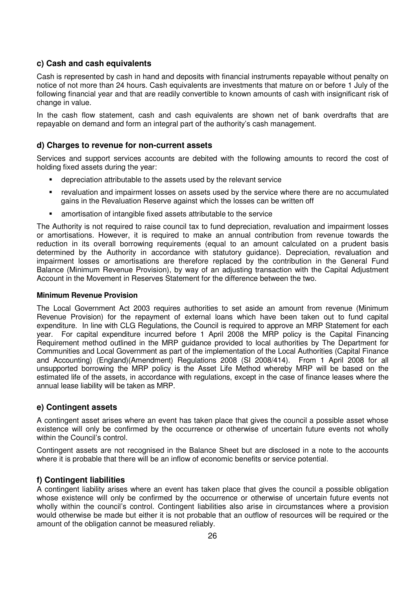#### **c) Cash and cash equivalents**

Cash is represented by cash in hand and deposits with financial instruments repayable without penalty on notice of not more than 24 hours. Cash equivalents are investments that mature on or before 1 July of the following financial year and that are readily convertible to known amounts of cash with insignificant risk of change in value.

In the cash flow statement, cash and cash equivalents are shown net of bank overdrafts that are repayable on demand and form an integral part of the authority's cash management.

#### **d) Charges to revenue for non-current assets**

Services and support services accounts are debited with the following amounts to record the cost of holding fixed assets during the year:

- depreciation attributable to the assets used by the relevant service
- revaluation and impairment losses on assets used by the service where there are no accumulated gains in the Revaluation Reserve against which the losses can be written off
- amortisation of intangible fixed assets attributable to the service

The Authority is not required to raise council tax to fund depreciation, revaluation and impairment losses or amortisations. However, it is required to make an annual contribution from revenue towards the reduction in its overall borrowing requirements (equal to an amount calculated on a prudent basis determined by the Authority in accordance with statutory guidance). Depreciation, revaluation and impairment losses or amortisations are therefore replaced by the contribution in the General Fund Balance (Minimum Revenue Provision), by way of an adjusting transaction with the Capital Adjustment Account in the Movement in Reserves Statement for the difference between the two.

#### **Minimum Revenue Provision**

The Local Government Act 2003 requires authorities to set aside an amount from revenue (Minimum Revenue Provision) for the repayment of external loans which have been taken out to fund capital expenditure. In line with CLG Regulations, the Council is required to approve an MRP Statement for each year. For capital expenditure incurred before 1 April 2008 the MRP policy is the Capital Financing Requirement method outlined in the MRP guidance provided to local authorities by The Department for Communities and Local Government as part of the implementation of the Local Authorities (Capital Finance and Accounting) (England)(Amendment) Regulations 2008 (SI 2008/414). From 1 April 2008 for all unsupported borrowing the MRP policy is the Asset Life Method whereby MRP will be based on the estimated life of the assets, in accordance with regulations, except in the case of finance leases where the annual lease liability will be taken as MRP.

#### **e) Contingent assets**

A contingent asset arises where an event has taken place that gives the council a possible asset whose existence will only be confirmed by the occurrence or otherwise of uncertain future events not wholly within the Council's control.

Contingent assets are not recognised in the Balance Sheet but are disclosed in a note to the accounts where it is probable that there will be an inflow of economic benefits or service potential.

#### **f) Contingent liabilities**

A contingent liability arises where an event has taken place that gives the council a possible obligation whose existence will only be confirmed by the occurrence or otherwise of uncertain future events not wholly within the council's control. Contingent liabilities also arise in circumstances where a provision would otherwise be made but either it is not probable that an outflow of resources will be required or the amount of the obligation cannot be measured reliably.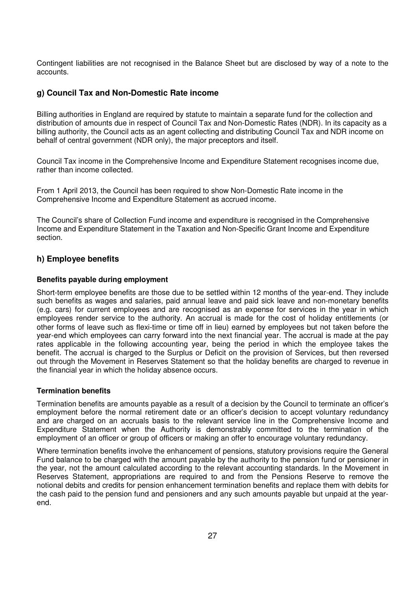Contingent liabilities are not recognised in the Balance Sheet but are disclosed by way of a note to the accounts.

#### **g) Council Tax and Non-Domestic Rate income**

Billing authorities in England are required by statute to maintain a separate fund for the collection and distribution of amounts due in respect of Council Tax and Non-Domestic Rates (NDR). In its capacity as a billing authority, the Council acts as an agent collecting and distributing Council Tax and NDR income on behalf of central government (NDR only), the major preceptors and itself.

Council Tax income in the Comprehensive Income and Expenditure Statement recognises income due, rather than income collected.

From 1 April 2013, the Council has been required to show Non-Domestic Rate income in the Comprehensive Income and Expenditure Statement as accrued income.

The Council's share of Collection Fund income and expenditure is recognised in the Comprehensive Income and Expenditure Statement in the Taxation and Non-Specific Grant Income and Expenditure section.

#### **h) Employee benefits**

#### **Benefits payable during employment**

Short-term employee benefits are those due to be settled within 12 months of the year-end. They include such benefits as wages and salaries, paid annual leave and paid sick leave and non-monetary benefits (e.g. cars) for current employees and are recognised as an expense for services in the year in which employees render service to the authority. An accrual is made for the cost of holiday entitlements (or other forms of leave such as flexi-time or time off in lieu) earned by employees but not taken before the year-end which employees can carry forward into the next financial year. The accrual is made at the pay rates applicable in the following accounting year, being the period in which the employee takes the benefit. The accrual is charged to the Surplus or Deficit on the provision of Services, but then reversed out through the Movement in Reserves Statement so that the holiday benefits are charged to revenue in the financial year in which the holiday absence occurs.

#### **Termination benefits**

Termination benefits are amounts payable as a result of a decision by the Council to terminate an officer's employment before the normal retirement date or an officer's decision to accept voluntary redundancy and are charged on an accruals basis to the relevant service line in the Comprehensive Income and Expenditure Statement when the Authority is demonstrably committed to the termination of the employment of an officer or group of officers or making an offer to encourage voluntary redundancy.

Where termination benefits involve the enhancement of pensions, statutory provisions require the General Fund balance to be charged with the amount payable by the authority to the pension fund or pensioner in the year, not the amount calculated according to the relevant accounting standards. In the Movement in Reserves Statement, appropriations are required to and from the Pensions Reserve to remove the notional debits and credits for pension enhancement termination benefits and replace them with debits for the cash paid to the pension fund and pensioners and any such amounts payable but unpaid at the yearend.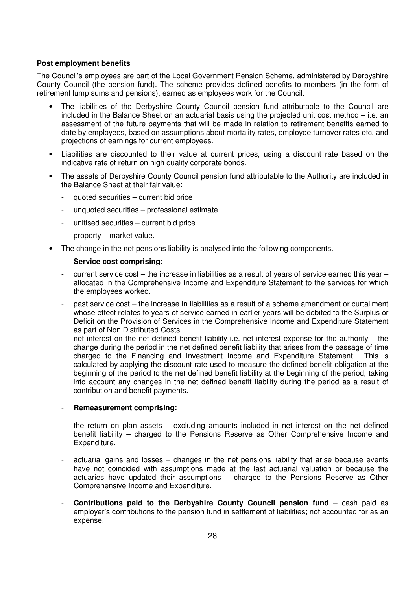#### **Post employment benefits**

The Council's employees are part of the Local Government Pension Scheme, administered by Derbyshire County Council (the pension fund). The scheme provides defined benefits to members (in the form of retirement lump sums and pensions), earned as employees work for the Council.

- The liabilities of the Derbyshire County Council pension fund attributable to the Council are included in the Balance Sheet on an actuarial basis using the projected unit cost method – i.e. an assessment of the future payments that will be made in relation to retirement benefits earned to date by employees, based on assumptions about mortality rates, employee turnover rates etc, and projections of earnings for current employees.
- Liabilities are discounted to their value at current prices, using a discount rate based on the indicative rate of return on high quality corporate bonds.
- The assets of Derbyshire County Council pension fund attributable to the Authority are included in the Balance Sheet at their fair value:
	- quoted securities current bid price
	- unquoted securities professional estimate
	- unitised securities current bid price
	- property market value.
- The change in the net pensions liability is analysed into the following components.
	- **Service cost comprising:**
	- current service cost the increase in liabilities as a result of years of service earned this year allocated in the Comprehensive Income and Expenditure Statement to the services for which the employees worked.
	- past service cost the increase in liabilities as a result of a scheme amendment or curtailment whose effect relates to years of service earned in earlier years will be debited to the Surplus or Deficit on the Provision of Services in the Comprehensive Income and Expenditure Statement as part of Non Distributed Costs.
	- net interest on the net defined benefit liability i.e. net interest expense for the authority the change during the period in the net defined benefit liability that arises from the passage of time charged to the Financing and Investment Income and Expenditure Statement. This is calculated by applying the discount rate used to measure the defined benefit obligation at the beginning of the period to the net defined benefit liability at the beginning of the period, taking into account any changes in the net defined benefit liability during the period as a result of contribution and benefit payments.

#### - **Remeasurement comprising:**

- the return on plan assets  $-$  excluding amounts included in net interest on the net defined benefit liability – charged to the Pensions Reserve as Other Comprehensive Income and Expenditure.
- actuarial gains and losses changes in the net pensions liability that arise because events have not coincided with assumptions made at the last actuarial valuation or because the actuaries have updated their assumptions – charged to the Pensions Reserve as Other Comprehensive Income and Expenditure.
- **Contributions paid to the Derbyshire County Council pension fund cash paid as** employer's contributions to the pension fund in settlement of liabilities; not accounted for as an expense.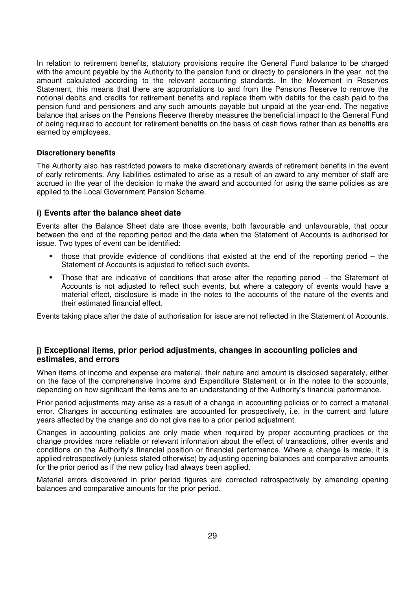In relation to retirement benefits, statutory provisions require the General Fund balance to be charged with the amount payable by the Authority to the pension fund or directly to pensioners in the year, not the amount calculated according to the relevant accounting standards. In the Movement in Reserves Statement, this means that there are appropriations to and from the Pensions Reserve to remove the notional debits and credits for retirement benefits and replace them with debits for the cash paid to the pension fund and pensioners and any such amounts payable but unpaid at the year-end. The negative balance that arises on the Pensions Reserve thereby measures the beneficial impact to the General Fund of being required to account for retirement benefits on the basis of cash flows rather than as benefits are earned by employees.

#### **Discretionary benefits**

The Authority also has restricted powers to make discretionary awards of retirement benefits in the event of early retirements. Any liabilities estimated to arise as a result of an award to any member of staff are accrued in the year of the decision to make the award and accounted for using the same policies as are applied to the Local Government Pension Scheme.

#### **i) Events after the balance sheet date**

Events after the Balance Sheet date are those events, both favourable and unfavourable, that occur between the end of the reporting period and the date when the Statement of Accounts is authorised for issue. Two types of event can be identified:

- those that provide evidence of conditions that existed at the end of the reporting period the Statement of Accounts is adjusted to reflect such events.
- Those that are indicative of conditions that arose after the reporting period the Statement of Accounts is not adjusted to reflect such events, but where a category of events would have a material effect, disclosure is made in the notes to the accounts of the nature of the events and their estimated financial effect.

Events taking place after the date of authorisation for issue are not reflected in the Statement of Accounts.

#### **j) Exceptional items, prior period adjustments, changes in accounting policies and estimates, and errors**

When items of income and expense are material, their nature and amount is disclosed separately, either on the face of the comprehensive Income and Expenditure Statement or in the notes to the accounts, depending on how significant the items are to an understanding of the Authority's financial performance.

Prior period adjustments may arise as a result of a change in accounting policies or to correct a material error. Changes in accounting estimates are accounted for prospectively, i.e. in the current and future years affected by the change and do not give rise to a prior period adjustment.

Changes in accounting policies are only made when required by proper accounting practices or the change provides more reliable or relevant information about the effect of transactions, other events and conditions on the Authority's financial position or financial performance. Where a change is made, it is applied retrospectively (unless stated otherwise) by adjusting opening balances and comparative amounts for the prior period as if the new policy had always been applied.

Material errors discovered in prior period figures are corrected retrospectively by amending opening balances and comparative amounts for the prior period.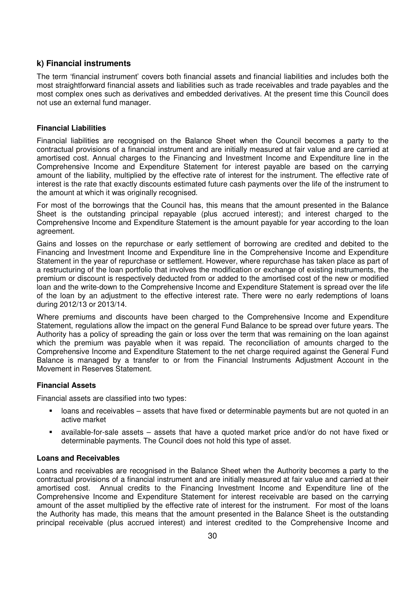#### **k) Financial instruments**

The term 'financial instrument' covers both financial assets and financial liabilities and includes both the most straightforward financial assets and liabilities such as trade receivables and trade payables and the most complex ones such as derivatives and embedded derivatives. At the present time this Council does not use an external fund manager.

#### **Financial Liabilities**

Financial liabilities are recognised on the Balance Sheet when the Council becomes a party to the contractual provisions of a financial instrument and are initially measured at fair value and are carried at amortised cost. Annual charges to the Financing and Investment Income and Expenditure line in the Comprehensive Income and Expenditure Statement for interest payable are based on the carrying amount of the liability, multiplied by the effective rate of interest for the instrument. The effective rate of interest is the rate that exactly discounts estimated future cash payments over the life of the instrument to the amount at which it was originally recognised.

For most of the borrowings that the Council has, this means that the amount presented in the Balance Sheet is the outstanding principal repayable (plus accrued interest); and interest charged to the Comprehensive Income and Expenditure Statement is the amount payable for year according to the loan agreement.

Gains and losses on the repurchase or early settlement of borrowing are credited and debited to the Financing and Investment Income and Expenditure line in the Comprehensive Income and Expenditure Statement in the year of repurchase or settlement. However, where repurchase has taken place as part of a restructuring of the loan portfolio that involves the modification or exchange of existing instruments, the premium or discount is respectively deducted from or added to the amortised cost of the new or modified loan and the write-down to the Comprehensive Income and Expenditure Statement is spread over the life of the loan by an adjustment to the effective interest rate. There were no early redemptions of loans during 2012/13 or 2013/14.

Where premiums and discounts have been charged to the Comprehensive Income and Expenditure Statement, regulations allow the impact on the general Fund Balance to be spread over future years. The Authority has a policy of spreading the gain or loss over the term that was remaining on the loan against which the premium was payable when it was repaid. The reconciliation of amounts charged to the Comprehensive Income and Expenditure Statement to the net charge required against the General Fund Balance is managed by a transfer to or from the Financial Instruments Adjustment Account in the Movement in Reserves Statement.

#### **Financial Assets**

Financial assets are classified into two types:

- loans and receivables assets that have fixed or determinable payments but are not quoted in an active market
- available-for-sale assets assets that have a quoted market price and/or do not have fixed or determinable payments. The Council does not hold this type of asset.

#### **Loans and Receivables**

Loans and receivables are recognised in the Balance Sheet when the Authority becomes a party to the contractual provisions of a financial instrument and are initially measured at fair value and carried at their amortised cost. Annual credits to the Financing Investment Income and Expenditure line of the Comprehensive Income and Expenditure Statement for interest receivable are based on the carrying amount of the asset multiplied by the effective rate of interest for the instrument. For most of the loans the Authority has made, this means that the amount presented in the Balance Sheet is the outstanding principal receivable (plus accrued interest) and interest credited to the Comprehensive Income and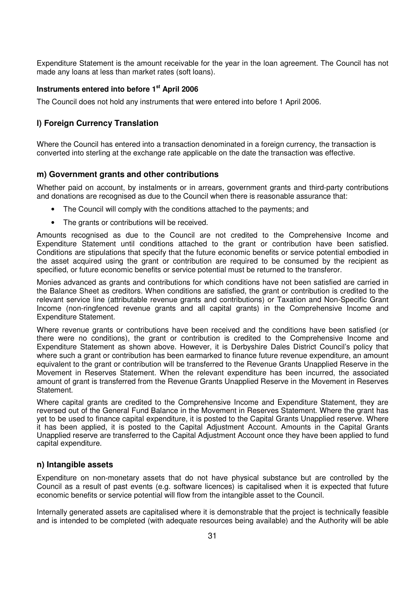Expenditure Statement is the amount receivable for the year in the loan agreement. The Council has not made any loans at less than market rates (soft loans).

#### **Instruments entered into before 1st April 2006**

The Council does not hold any instruments that were entered into before 1 April 2006.

#### **l) Foreign Currency Translation**

Where the Council has entered into a transaction denominated in a foreign currency, the transaction is converted into sterling at the exchange rate applicable on the date the transaction was effective.

#### **m) Government grants and other contributions**

Whether paid on account, by instalments or in arrears, government grants and third-party contributions and donations are recognised as due to the Council when there is reasonable assurance that:

- The Council will comply with the conditions attached to the payments; and
- The grants or contributions will be received.

Amounts recognised as due to the Council are not credited to the Comprehensive Income and Expenditure Statement until conditions attached to the grant or contribution have been satisfied. Conditions are stipulations that specify that the future economic benefits or service potential embodied in the asset acquired using the grant or contribution are required to be consumed by the recipient as specified, or future economic benefits or service potential must be returned to the transferor.

Monies advanced as grants and contributions for which conditions have not been satisfied are carried in the Balance Sheet as creditors. When conditions are satisfied, the grant or contribution is credited to the relevant service line (attributable revenue grants and contributions) or Taxation and Non-Specific Grant Income (non-ringfenced revenue grants and all capital grants) in the Comprehensive Income and Expenditure Statement.

Where revenue grants or contributions have been received and the conditions have been satisfied (or there were no conditions), the grant or contribution is credited to the Comprehensive Income and Expenditure Statement as shown above. However, it is Derbyshire Dales District Council's policy that where such a grant or contribution has been earmarked to finance future revenue expenditure, an amount equivalent to the grant or contribution will be transferred to the Revenue Grants Unapplied Reserve in the Movement in Reserves Statement. When the relevant expenditure has been incurred, the associated amount of grant is transferred from the Revenue Grants Unapplied Reserve in the Movement in Reserves **Statement** 

Where capital grants are credited to the Comprehensive Income and Expenditure Statement, they are reversed out of the General Fund Balance in the Movement in Reserves Statement. Where the grant has yet to be used to finance capital expenditure, it is posted to the Capital Grants Unapplied reserve. Where it has been applied, it is posted to the Capital Adjustment Account. Amounts in the Capital Grants Unapplied reserve are transferred to the Capital Adjustment Account once they have been applied to fund capital expenditure.

#### **n) Intangible assets**

Expenditure on non-monetary assets that do not have physical substance but are controlled by the Council as a result of past events (e.g. software licences) is capitalised when it is expected that future economic benefits or service potential will flow from the intangible asset to the Council.

Internally generated assets are capitalised where it is demonstrable that the project is technically feasible and is intended to be completed (with adequate resources being available) and the Authority will be able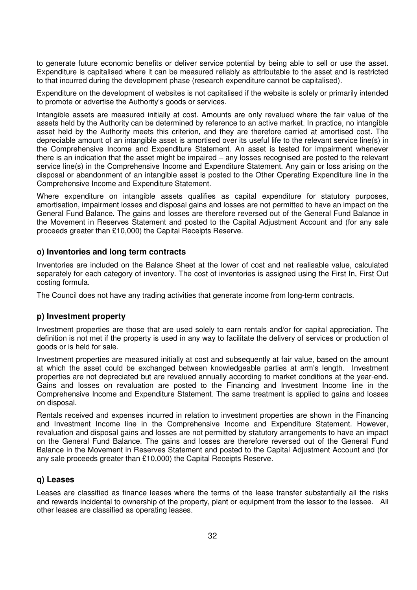to generate future economic benefits or deliver service potential by being able to sell or use the asset. Expenditure is capitalised where it can be measured reliably as attributable to the asset and is restricted to that incurred during the development phase (research expenditure cannot be capitalised).

Expenditure on the development of websites is not capitalised if the website is solely or primarily intended to promote or advertise the Authority's goods or services.

Intangible assets are measured initially at cost. Amounts are only revalued where the fair value of the assets held by the Authority can be determined by reference to an active market. In practice, no intangible asset held by the Authority meets this criterion, and they are therefore carried at amortised cost. The depreciable amount of an intangible asset is amortised over its useful life to the relevant service line(s) in the Comprehensive Income and Expenditure Statement. An asset is tested for impairment whenever there is an indication that the asset might be impaired – any losses recognised are posted to the relevant service line(s) in the Comprehensive Income and Expenditure Statement. Any gain or loss arising on the disposal or abandonment of an intangible asset is posted to the Other Operating Expenditure line in the Comprehensive Income and Expenditure Statement.

Where expenditure on intangible assets qualifies as capital expenditure for statutory purposes, amortisation, impairment losses and disposal gains and losses are not permitted to have an impact on the General Fund Balance. The gains and losses are therefore reversed out of the General Fund Balance in the Movement in Reserves Statement and posted to the Capital Adjustment Account and (for any sale proceeds greater than £10,000) the Capital Receipts Reserve.

#### **o) Inventories and long term contracts**

Inventories are included on the Balance Sheet at the lower of cost and net realisable value, calculated separately for each category of inventory. The cost of inventories is assigned using the First In, First Out costing formula.

The Council does not have any trading activities that generate income from long-term contracts.

#### **p) Investment property**

Investment properties are those that are used solely to earn rentals and/or for capital appreciation. The definition is not met if the property is used in any way to facilitate the delivery of services or production of goods or is held for sale.

Investment properties are measured initially at cost and subsequently at fair value, based on the amount at which the asset could be exchanged between knowledgeable parties at arm's length. Investment properties are not depreciated but are revalued annually according to market conditions at the year-end. Gains and losses on revaluation are posted to the Financing and Investment Income line in the Comprehensive Income and Expenditure Statement. The same treatment is applied to gains and losses on disposal.

Rentals received and expenses incurred in relation to investment properties are shown in the Financing and Investment Income line in the Comprehensive Income and Expenditure Statement. However, revaluation and disposal gains and losses are not permitted by statutory arrangements to have an impact on the General Fund Balance. The gains and losses are therefore reversed out of the General Fund Balance in the Movement in Reserves Statement and posted to the Capital Adjustment Account and (for any sale proceeds greater than £10,000) the Capital Receipts Reserve.

#### **q) Leases**

Leases are classified as finance leases where the terms of the lease transfer substantially all the risks and rewards incidental to ownership of the property, plant or equipment from the lessor to the lessee. All other leases are classified as operating leases.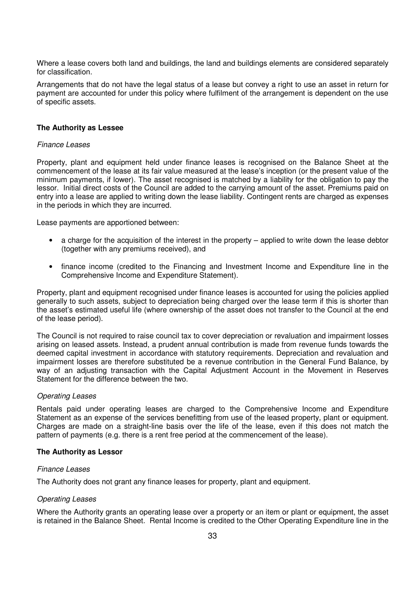Where a lease covers both land and buildings, the land and buildings elements are considered separately for classification.

Arrangements that do not have the legal status of a lease but convey a right to use an asset in return for payment are accounted for under this policy where fulfilment of the arrangement is dependent on the use of specific assets.

#### **The Authority as Lessee**

#### Finance Leases

Property, plant and equipment held under finance leases is recognised on the Balance Sheet at the commencement of the lease at its fair value measured at the lease's inception (or the present value of the minimum payments, if lower). The asset recognised is matched by a liability for the obligation to pay the lessor. Initial direct costs of the Council are added to the carrying amount of the asset. Premiums paid on entry into a lease are applied to writing down the lease liability. Contingent rents are charged as expenses in the periods in which they are incurred.

Lease payments are apportioned between:

- a charge for the acquisition of the interest in the property applied to write down the lease debtor (together with any premiums received), and
- finance income (credited to the Financing and Investment Income and Expenditure line in the Comprehensive Income and Expenditure Statement).

Property, plant and equipment recognised under finance leases is accounted for using the policies applied generally to such assets, subject to depreciation being charged over the lease term if this is shorter than the asset's estimated useful life (where ownership of the asset does not transfer to the Council at the end of the lease period).

The Council is not required to raise council tax to cover depreciation or revaluation and impairment losses arising on leased assets. Instead, a prudent annual contribution is made from revenue funds towards the deemed capital investment in accordance with statutory requirements. Depreciation and revaluation and impairment losses are therefore substituted be a revenue contribution in the General Fund Balance, by way of an adjusting transaction with the Capital Adjustment Account in the Movement in Reserves Statement for the difference between the two.

#### Operating Leases

Rentals paid under operating leases are charged to the Comprehensive Income and Expenditure Statement as an expense of the services benefitting from use of the leased property, plant or equipment. Charges are made on a straight-line basis over the life of the lease, even if this does not match the pattern of payments (e.g. there is a rent free period at the commencement of the lease).

#### **The Authority as Lessor**

#### Finance Leases

The Authority does not grant any finance leases for property, plant and equipment.

#### Operating Leases

Where the Authority grants an operating lease over a property or an item or plant or equipment, the asset is retained in the Balance Sheet. Rental Income is credited to the Other Operating Expenditure line in the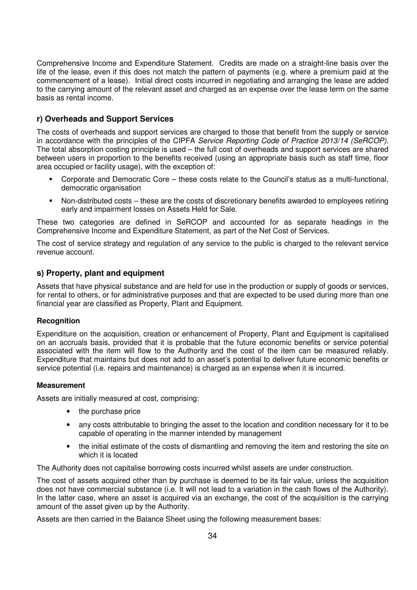Comprehensive Income and Expenditure Statement. Credits are made on a straight-line basis over the life of the lease, even if this does not match the pattern of payments (e.g. where a premium paid at the commencement of a lease). Initial direct costs incurred in negotiating and arranging the lease are added to the carrying amount of the relevant asset and charged as an expense over the lease term on the same basis as rental income.

### **r) Overheads and Support Services**

The costs of overheads and support services are charged to those that benefit from the supply or service in accordance with the principles of the CIPFA Service Reporting Code of Practice 2013/14 (SeRCOP). The total absorption costing principle is used – the full cost of overheads and support services are shared between users in proportion to the benefits received (using an appropriate basis such as staff time, floor area occupied or facility usage), with the exception of:

- Corporate and Democratic Core these costs relate to the Council's status as a multi-functional, democratic organisation
- Non-distributed costs these are the costs of discretionary benefits awarded to employees retiring early and impairment losses on Assets Held for Sale.

These two categories are defined in SeRCOP and accounted for as separate headings in the Comprehensive Income and Expenditure Statement, as part of the Net Cost of Services.

The cost of service strategy and regulation of any service to the public is charged to the relevant service revenue account.

### **s) Property, plant and equipment**

Assets that have physical substance and are held for use in the production or supply of goods or services, for rental to others, or for administrative purposes and that are expected to be used during more than one financial year are classified as Property, Plant and Equipment.

#### **Recognition**

Expenditure on the acquisition, creation or enhancement of Property, Plant and Equipment is capitalised on an accruals basis, provided that it is probable that the future economic benefits or service potential associated with the item will flow to the Authority and the cost of the item can be measured reliably. Expenditure that maintains but does not add to an asset's potential to deliver future economic benefits or service potential (i.e. repairs and maintenance) is charged as an expense when it is incurred.

#### **Measurement**

Assets are initially measured at cost, comprising:

- the purchase price
- any costs attributable to bringing the asset to the location and condition necessary for it to be capable of operating in the manner intended by management
- the initial estimate of the costs of dismantling and removing the item and restoring the site on which it is located

The Authority does not capitalise borrowing costs incurred whilst assets are under construction.

The cost of assets acquired other than by purchase is deemed to be its fair value, unless the acquisition does not have commercial substance (i.e. It will not lead to a variation in the cash flows of the Authority). In the latter case, where an asset is acquired via an exchange, the cost of the acquisition is the carrying amount of the asset given up by the Authority.

Assets are then carried in the Balance Sheet using the following measurement bases: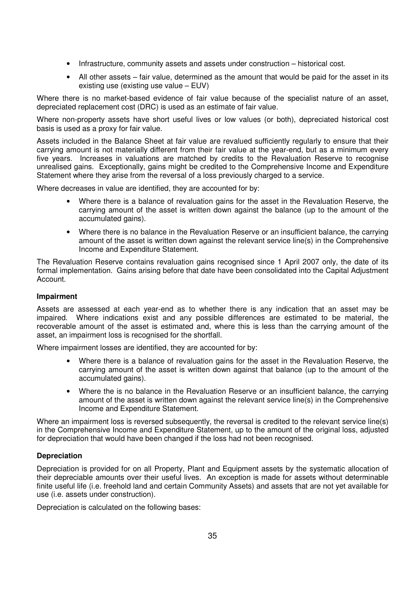- Infrastructure, community assets and assets under construction historical cost.
- All other assets fair value, determined as the amount that would be paid for the asset in its existing use (existing use value – EUV)

Where there is no market-based evidence of fair value because of the specialist nature of an asset, depreciated replacement cost (DRC) is used as an estimate of fair value.

Where non-property assets have short useful lives or low values (or both), depreciated historical cost basis is used as a proxy for fair value.

Assets included in the Balance Sheet at fair value are revalued sufficiently regularly to ensure that their carrying amount is not materially different from their fair value at the year-end, but as a minimum every five years. Increases in valuations are matched by credits to the Revaluation Reserve to recognise unrealised gains. Exceptionally, gains might be credited to the Comprehensive Income and Expenditure Statement where they arise from the reversal of a loss previously charged to a service.

Where decreases in value are identified, they are accounted for by:

- Where there is a balance of revaluation gains for the asset in the Revaluation Reserve, the carrying amount of the asset is written down against the balance (up to the amount of the accumulated gains).
- Where there is no balance in the Revaluation Reserve or an insufficient balance, the carrying amount of the asset is written down against the relevant service line(s) in the Comprehensive Income and Expenditure Statement.

The Revaluation Reserve contains revaluation gains recognised since 1 April 2007 only, the date of its formal implementation. Gains arising before that date have been consolidated into the Capital Adjustment Account.

#### **Impairment**

Assets are assessed at each year-end as to whether there is any indication that an asset may be impaired. Where indications exist and any possible differences are estimated to be material, the recoverable amount of the asset is estimated and, where this is less than the carrying amount of the asset, an impairment loss is recognised for the shortfall.

Where impairment losses are identified, they are accounted for by:

- Where there is a balance of revaluation gains for the asset in the Revaluation Reserve, the carrying amount of the asset is written down against that balance (up to the amount of the accumulated gains).
- Where the is no balance in the Revaluation Reserve or an insufficient balance, the carrying amount of the asset is written down against the relevant service line(s) in the Comprehensive Income and Expenditure Statement.

Where an impairment loss is reversed subsequently, the reversal is credited to the relevant service line(s) in the Comprehensive Income and Expenditure Statement, up to the amount of the original loss, adjusted for depreciation that would have been changed if the loss had not been recognised.

### **Depreciation**

Depreciation is provided for on all Property, Plant and Equipment assets by the systematic allocation of their depreciable amounts over their useful lives. An exception is made for assets without determinable finite useful life (i.e. freehold land and certain Community Assets) and assets that are not yet available for use (i.e. assets under construction).

Depreciation is calculated on the following bases: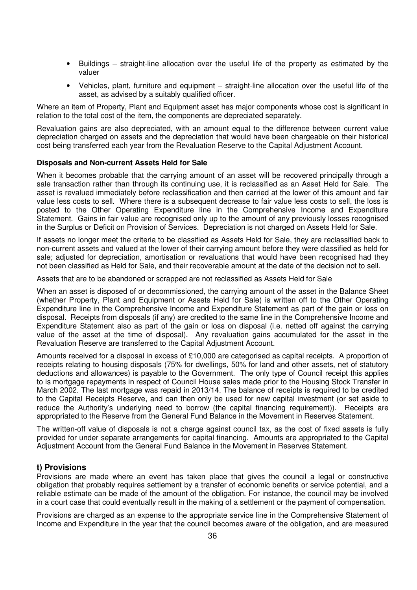- Buildings straight-line allocation over the useful life of the property as estimated by the valuer
- Vehicles, plant, furniture and equipment straight-line allocation over the useful life of the asset, as advised by a suitably qualified officer.

Where an item of Property, Plant and Equipment asset has major components whose cost is significant in relation to the total cost of the item, the components are depreciated separately.

Revaluation gains are also depreciated, with an amount equal to the difference between current value depreciation charged on assets and the depreciation that would have been chargeable on their historical cost being transferred each year from the Revaluation Reserve to the Capital Adjustment Account.

#### **Disposals and Non-current Assets Held for Sale**

When it becomes probable that the carrying amount of an asset will be recovered principally through a sale transaction rather than through its continuing use, it is reclassified as an Asset Held for Sale. The asset is revalued immediately before reclassification and then carried at the lower of this amount and fair value less costs to sell. Where there is a subsequent decrease to fair value less costs to sell, the loss is posted to the Other Operating Expenditure line in the Comprehensive Income and Expenditure Statement. Gains in fair value are recognised only up to the amount of any previously losses recognised in the Surplus or Deficit on Provision of Services. Depreciation is not charged on Assets Held for Sale.

If assets no longer meet the criteria to be classified as Assets Held for Sale, they are reclassified back to non-current assets and valued at the lower of their carrying amount before they were classified as held for sale; adjusted for depreciation, amortisation or revaluations that would have been recognised had they not been classified as Held for Sale, and their recoverable amount at the date of the decision not to sell.

Assets that are to be abandoned or scrapped are not reclassified as Assets Held for Sale

When an asset is disposed of or decommissioned, the carrying amount of the asset in the Balance Sheet (whether Property, Plant and Equipment or Assets Held for Sale) is written off to the Other Operating Expenditure line in the Comprehensive Income and Expenditure Statement as part of the gain or loss on disposal. Receipts from disposals (if any) are credited to the same line in the Comprehensive Income and Expenditure Statement also as part of the gain or loss on disposal (i.e. netted off against the carrying value of the asset at the time of disposal). Any revaluation gains accumulated for the asset in the Revaluation Reserve are transferred to the Capital Adjustment Account.

Amounts received for a disposal in excess of £10,000 are categorised as capital receipts. A proportion of receipts relating to housing disposals (75% for dwellings, 50% for land and other assets, net of statutory deductions and allowances) is payable to the Government. The only type of Council receipt this applies to is mortgage repayments in respect of Council House sales made prior to the Housing Stock Transfer in March 2002. The last mortgage was repaid in 2013/14. The balance of receipts is required to be credited to the Capital Receipts Reserve, and can then only be used for new capital investment (or set aside to reduce the Authority's underlying need to borrow (the capital financing requirement)). Receipts are appropriated to the Reserve from the General Fund Balance in the Movement in Reserves Statement.

The written-off value of disposals is not a charge against council tax, as the cost of fixed assets is fully provided for under separate arrangements for capital financing. Amounts are appropriated to the Capital Adjustment Account from the General Fund Balance in the Movement in Reserves Statement.

#### **t) Provisions**

Provisions are made where an event has taken place that gives the council a legal or constructive obligation that probably requires settlement by a transfer of economic benefits or service potential, and a reliable estimate can be made of the amount of the obligation. For instance, the council may be involved in a court case that could eventually result in the making of a settlement or the payment of compensation.

Provisions are charged as an expense to the appropriate service line in the Comprehensive Statement of Income and Expenditure in the year that the council becomes aware of the obligation, and are measured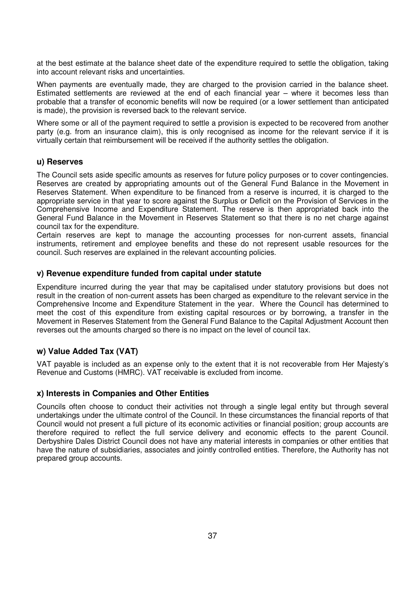at the best estimate at the balance sheet date of the expenditure required to settle the obligation, taking into account relevant risks and uncertainties.

When payments are eventually made, they are charged to the provision carried in the balance sheet. Estimated settlements are reviewed at the end of each financial year – where it becomes less than probable that a transfer of economic benefits will now be required (or a lower settlement than anticipated is made), the provision is reversed back to the relevant service.

Where some or all of the payment required to settle a provision is expected to be recovered from another party (e.g. from an insurance claim), this is only recognised as income for the relevant service if it is virtually certain that reimbursement will be received if the authority settles the obligation.

#### **u) Reserves**

The Council sets aside specific amounts as reserves for future policy purposes or to cover contingencies. Reserves are created by appropriating amounts out of the General Fund Balance in the Movement in Reserves Statement. When expenditure to be financed from a reserve is incurred, it is charged to the appropriate service in that year to score against the Surplus or Deficit on the Provision of Services in the Comprehensive Income and Expenditure Statement. The reserve is then appropriated back into the General Fund Balance in the Movement in Reserves Statement so that there is no net charge against council tax for the expenditure.

Certain reserves are kept to manage the accounting processes for non-current assets, financial instruments, retirement and employee benefits and these do not represent usable resources for the council. Such reserves are explained in the relevant accounting policies.

#### **v) Revenue expenditure funded from capital under statute**

Expenditure incurred during the year that may be capitalised under statutory provisions but does not result in the creation of non-current assets has been charged as expenditure to the relevant service in the Comprehensive Income and Expenditure Statement in the year. Where the Council has determined to meet the cost of this expenditure from existing capital resources or by borrowing, a transfer in the Movement in Reserves Statement from the General Fund Balance to the Capital Adjustment Account then reverses out the amounts charged so there is no impact on the level of council tax.

### **w) Value Added Tax (VAT)**

VAT payable is included as an expense only to the extent that it is not recoverable from Her Majesty's Revenue and Customs (HMRC). VAT receivable is excluded from income.

#### **x) Interests in Companies and Other Entities**

Councils often choose to conduct their activities not through a single legal entity but through several undertakings under the ultimate control of the Council. In these circumstances the financial reports of that Council would not present a full picture of its economic activities or financial position; group accounts are therefore required to reflect the full service delivery and economic effects to the parent Council. Derbyshire Dales District Council does not have any material interests in companies or other entities that have the nature of subsidiaries, associates and jointly controlled entities. Therefore, the Authority has not prepared group accounts.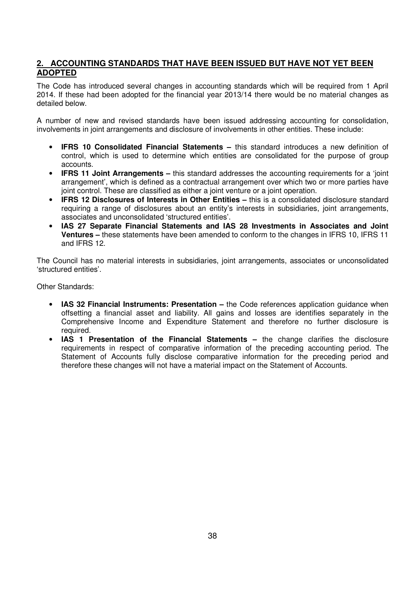## **2. ACCOUNTING STANDARDS THAT HAVE BEEN ISSUED BUT HAVE NOT YET BEEN ADOPTED**

The Code has introduced several changes in accounting standards which will be required from 1 April 2014. If these had been adopted for the financial year 2013/14 there would be no material changes as detailed below.

A number of new and revised standards have been issued addressing accounting for consolidation, involvements in joint arrangements and disclosure of involvements in other entities. These include:

- **IFRS 10 Consolidated Financial Statements** this standard introduces a new definition of control, which is used to determine which entities are consolidated for the purpose of group accounts.
- **IFRS 11 Joint Arrangements** this standard addresses the accounting requirements for a 'joint arrangement', which is defined as a contractual arrangement over which two or more parties have joint control. These are classified as either a joint venture or a joint operation.
- **IFRS 12 Disclosures of Interests in Other Entities –** this is a consolidated disclosure standard requiring a range of disclosures about an entity's interests in subsidiaries, joint arrangements, associates and unconsolidated 'structured entities'.
- **IAS 27 Separate Financial Statements and IAS 28 Investments in Associates and Joint Ventures –** these statements have been amended to conform to the changes in IFRS 10, IFRS 11 and IFRS 12.

The Council has no material interests in subsidiaries, joint arrangements, associates or unconsolidated 'structured entities'.

Other Standards:

- **IAS 32 Financial Instruments: Presentation** the Code references application guidance when offsetting a financial asset and liability. All gains and losses are identifies separately in the Comprehensive Income and Expenditure Statement and therefore no further disclosure is required.
- **IAS 1 Presentation of the Financial Statements –** the change clarifies the disclosure requirements in respect of comparative information of the preceding accounting period. The Statement of Accounts fully disclose comparative information for the preceding period and therefore these changes will not have a material impact on the Statement of Accounts.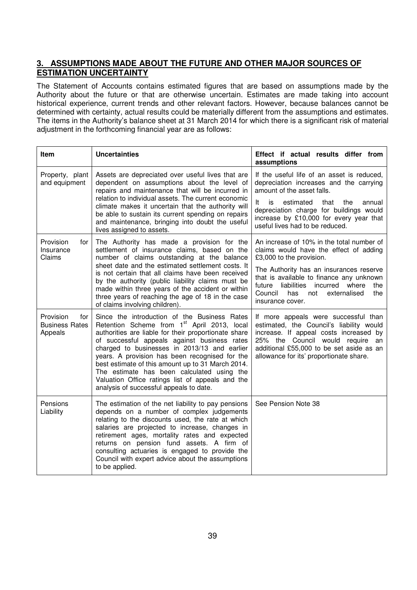### **3. ASSUMPTIONS MADE ABOUT THE FUTURE AND OTHER MAJOR SOURCES OF ESTIMATION UNCERTAINTY**

The Statement of Accounts contains estimated figures that are based on assumptions made by the Authority about the future or that are otherwise uncertain. Estimates are made taking into account historical experience, current trends and other relevant factors. However, because balances cannot be determined with certainty, actual results could be materially different from the assumptions and estimates. The items in the Authority's balance sheet at 31 March 2014 for which there is a significant risk of material adjustment in the forthcoming financial year are as follows:

| ltem                                                 | <b>Uncertainties</b>                                                                                                                                                                                                                                                                                                                                                                                                                                                                                                | Effect if actual results differ from<br>assumptions                                                                                                                                                                                                                                                                       |
|------------------------------------------------------|---------------------------------------------------------------------------------------------------------------------------------------------------------------------------------------------------------------------------------------------------------------------------------------------------------------------------------------------------------------------------------------------------------------------------------------------------------------------------------------------------------------------|---------------------------------------------------------------------------------------------------------------------------------------------------------------------------------------------------------------------------------------------------------------------------------------------------------------------------|
| Property, plant<br>and equipment                     | Assets are depreciated over useful lives that are<br>dependent on assumptions about the level of<br>repairs and maintenance that will be incurred in<br>relation to individual assets. The current economic<br>climate makes it uncertain that the authority will<br>be able to sustain its current spending on repairs<br>and maintenance, bringing into doubt the useful<br>lives assigned to assets.                                                                                                             | If the useful life of an asset is reduced,<br>depreciation increases and the carrying<br>amount of the asset falls.<br>estimated<br>the<br>It<br>is<br>that<br>annual<br>depreciation charge for buildings would<br>increase by £10,000 for every year that<br>useful lives had to be reduced.                            |
| Provision<br>tor<br>Insurance<br>Claims              | The Authority has made a provision for the<br>settlement of insurance claims, based on the<br>number of claims outstanding at the balance<br>sheet date and the estimated settlement costs. It<br>is not certain that all claims have been received<br>by the authority (public liability claims must be<br>made within three years of the accident or within<br>three years of reaching the age of 18 in the case<br>of claims involving children).                                                                | An increase of 10% in the total number of<br>claims would have the effect of adding<br>£3,000 to the provision.<br>The Authority has an insurances reserve<br>that is available to finance any unknown<br>liabilities incurred where<br>future<br>the<br>Council<br>has<br>not<br>the<br>externalised<br>insurance cover. |
| Provision<br>for<br><b>Business Rates</b><br>Appeals | Since the introduction of the Business Rates<br>Retention Scheme from 1 <sup>st</sup> April 2013, local<br>authorities are liable for their proportionate share<br>of successful appeals against business rates<br>charged to businesses in 2013/13 and earlier<br>years. A provision has been recognised for the<br>best estimate of this amount up to 31 March 2014.<br>The estimate has been calculated using the<br>Valuation Office ratings list of appeals and the<br>analysis of successful appeals to date. | If more appeals were successful than<br>estimated, the Council's liability would<br>increase. If appeal costs increased by<br>25% the Council would require<br>an<br>additional £55,000 to be set aside as an<br>allowance for its' proportionate share.                                                                  |
| Pensions<br>Liability                                | The estimation of the net liability to pay pensions<br>depends on a number of complex judgements<br>relating to the discounts used, the rate at which<br>salaries are projected to increase, changes in<br>retirement ages, mortality rates and expected<br>returns on pension fund assets. A firm of<br>consulting actuaries is engaged to provide the<br>Council with expert advice about the assumptions<br>to be applied.                                                                                       | See Pension Note 38                                                                                                                                                                                                                                                                                                       |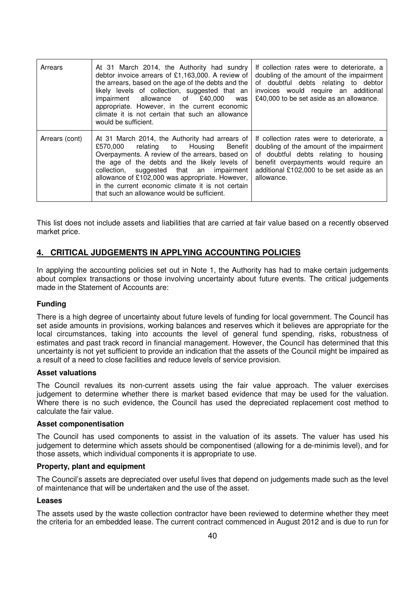| Arrears        | At 31 March 2014, the Authority had sundry<br>debtor invoice arrears of £1,163,000. A review of<br>the arrears, based on the age of the debts and the<br>likely levels of collection, suggested that an<br>impairment allowance of £40,000<br>was<br>appropriate. However, in the current economic<br>climate it is not certain that such an allowance<br>would be sufficient.                        | If collection rates were to deteriorate, a<br>doubling of the amount of the impairment<br>of doubtful debts relating to debtor<br>invoices would require an additional<br>£40,000 to be set aside as an allowance.                  |
|----------------|-------------------------------------------------------------------------------------------------------------------------------------------------------------------------------------------------------------------------------------------------------------------------------------------------------------------------------------------------------------------------------------------------------|-------------------------------------------------------------------------------------------------------------------------------------------------------------------------------------------------------------------------------------|
| Arrears (cont) | At 31 March 2014, the Authority had arrears of<br>relating to Housing<br>£570.000<br>Benefit I<br>Overpayments. A review of the arrears, based on<br>the age of the debts and the likely levels of<br>collection, suggested that an impairment<br>allowance of £102,000 was appropriate. However,<br>in the current economic climate it is not certain<br>that such an allowance would be sufficient. | If collection rates were to deteriorate, a<br>doubling of the amount of the impairment<br>of doubtful debts relating to housing<br>benefit overpayments would require an<br>additional £102,000 to be set aside as an<br>allowance. |

This list does not include assets and liabilities that are carried at fair value based on a recently observed market price.

### **4. CRITICAL JUDGEMENTS IN APPLYING ACCOUNTING POLICIES**

In applying the accounting policies set out in Note 1, the Authority has had to make certain judgements about complex transactions or those involving uncertainty about future events. The critical judgements made in the Statement of Accounts are:

#### **Funding**

There is a high degree of uncertainty about future levels of funding for local government. The Council has set aside amounts in provisions, working balances and reserves which it believes are appropriate for the local circumstances, taking into accounts the level of general fund spending, risks, robustness of estimates and past track record in financial management. However, the Council has determined that this uncertainty is not yet sufficient to provide an indication that the assets of the Council might be impaired as a result of a need to close facilities and reduce levels of service provision.

#### **Asset valuations**

The Council revalues its non-current assets using the fair value approach. The valuer exercises judgement to determine whether there is market based evidence that may be used for the valuation. Where there is no such evidence, the Council has used the depreciated replacement cost method to calculate the fair value.

#### **Asset componentisation**

The Council has used components to assist in the valuation of its assets. The valuer has used his judgement to determine which assets should be componentised (allowing for a de-minimis level), and for those assets, which individual components it is appropriate to use.

#### **Property, plant and equipment**

The Council's assets are depreciated over useful lives that depend on judgements made such as the level of maintenance that will be undertaken and the use of the asset.

#### **Leases**

The assets used by the waste collection contractor have been reviewed to determine whether they meet the criteria for an embedded lease. The current contract commenced in August 2012 and is due to run for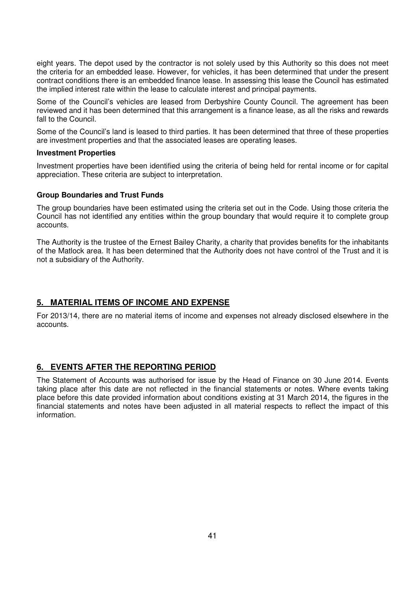eight years. The depot used by the contractor is not solely used by this Authority so this does not meet the criteria for an embedded lease. However, for vehicles, it has been determined that under the present contract conditions there is an embedded finance lease. In assessing this lease the Council has estimated the implied interest rate within the lease to calculate interest and principal payments.

Some of the Council's vehicles are leased from Derbyshire County Council. The agreement has been reviewed and it has been determined that this arrangement is a finance lease, as all the risks and rewards fall to the Council.

Some of the Council's land is leased to third parties. It has been determined that three of these properties are investment properties and that the associated leases are operating leases.

#### **Investment Properties**

Investment properties have been identified using the criteria of being held for rental income or for capital appreciation. These criteria are subject to interpretation.

#### **Group Boundaries and Trust Funds**

The group boundaries have been estimated using the criteria set out in the Code. Using those criteria the Council has not identified any entities within the group boundary that would require it to complete group accounts.

The Authority is the trustee of the Ernest Bailey Charity, a charity that provides benefits for the inhabitants of the Matlock area. It has been determined that the Authority does not have control of the Trust and it is not a subsidiary of the Authority.

#### **5. MATERIAL ITEMS OF INCOME AND EXPENSE**

For 2013/14, there are no material items of income and expenses not already disclosed elsewhere in the accounts.

### **6. EVENTS AFTER THE REPORTING PERIOD**

The Statement of Accounts was authorised for issue by the Head of Finance on 30 June 2014. Events taking place after this date are not reflected in the financial statements or notes. Where events taking place before this date provided information about conditions existing at 31 March 2014, the figures in the financial statements and notes have been adjusted in all material respects to reflect the impact of this information.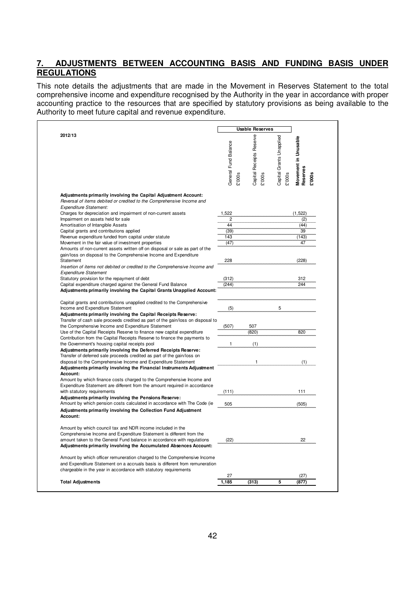## **7. ADJUSTMENTS BETWEEN ACCOUNTING BASIS AND FUNDING BASIS UNDER REGULATIONS**

This note details the adjustments that are made in the Movement in Reserves Statement to the total comprehensive income and expenditure recognised by the Authority in the year in accordance with proper accounting practice to the resources that are specified by statutory provisions as being available to the Authority to meet future capital and revenue expenditure.

|                                                                                                                                                                           |                      |        | <b>Usable Reserves</b>            |                   |                      |
|---------------------------------------------------------------------------------------------------------------------------------------------------------------------------|----------------------|--------|-----------------------------------|-------------------|----------------------|
| 2012/13                                                                                                                                                                   | General Fund Balance |        | Reserve                           | Grants Unapplied  | Movement in Unusable |
|                                                                                                                                                                           |                      |        |                                   |                   |                      |
|                                                                                                                                                                           |                      |        |                                   |                   |                      |
|                                                                                                                                                                           |                      |        |                                   |                   |                      |
|                                                                                                                                                                           |                      | £'000s | <b>Capital Receipts</b><br>£'000s | Capital<br>£'000s | Reserves<br>£'000s   |
|                                                                                                                                                                           |                      |        |                                   |                   |                      |
| Adjustments primarily involving the Capital Adjustment Account:<br>Reversal of items debited or credited to the Comprehensive Income and<br><b>Expenditure Statement:</b> |                      |        |                                   |                   |                      |
| Charges for depreciation and impairment of non-current assets                                                                                                             | 1,522                |        |                                   |                   | (1, 522)             |
| Impairment on assets held for sale                                                                                                                                        | 2                    |        |                                   |                   | (2)                  |
| Amortisation of Intangible Assets                                                                                                                                         | 44                   |        |                                   |                   | (44)                 |
| Capital grants and contributions applied                                                                                                                                  | (39)                 |        |                                   |                   | 39                   |
| Revenue expenditure funded from capital under statute                                                                                                                     | 143                  |        |                                   |                   | (143)                |
| Movement in the fair value of investment properties                                                                                                                       | (47)                 |        |                                   |                   | 47                   |
| Amounts of non-current assets written off on disposal or sale as part of the<br>gain/loss on disposal to the Comprehensive Income and Expenditure                         |                      |        |                                   |                   |                      |
| Statement                                                                                                                                                                 | 228                  |        |                                   |                   | (228)                |
| Insertion of items not debited or credited to the Comprehensive Income and<br><b>Expenditure Statement</b>                                                                |                      |        |                                   |                   |                      |
| Statutory provision for the repayment of debt                                                                                                                             | (312)                |        |                                   |                   | 312                  |
| Capital expenditure charged against the General Fund Balance<br>Adjustments primarily involving the Capital Grants Unapplied Account:                                     | (244)                |        |                                   |                   | 244                  |
|                                                                                                                                                                           |                      |        |                                   |                   |                      |
| Capital grants and contributions unapplied credited to the Comprehensive<br>Income and Expenditure Statement                                                              | (5)                  |        |                                   | 5                 |                      |
| Adjustments primarily involving the Capital Receipts Reserve:                                                                                                             |                      |        |                                   |                   |                      |
| Transfer of cash sale proceeds credited as part of the gain/loss on disposal to                                                                                           |                      |        |                                   |                   |                      |
| the Comprehensive Income and Expenditure Statement                                                                                                                        | (507)                |        | 507                               |                   |                      |
| Use of the Capital Receipts Reserve to finance new capital expenditure                                                                                                    |                      |        | (820)                             |                   | 820                  |
| Contribution from the Capital Receipts Reserve to finance the payments to                                                                                                 |                      |        |                                   |                   |                      |
| the Government's housing capital receipts pool                                                                                                                            | 1                    |        | (1)                               |                   |                      |
| Adjustments primarily involving the Deferred Receipts Reserve:                                                                                                            |                      |        |                                   |                   |                      |
| Transfer of deferred sale proceeds credited as part of the gain/loss on                                                                                                   |                      |        |                                   |                   |                      |
| disposal to the Comprehensive Income and Expenditure Statement<br>Adjustments primarily involving the Financial Instruments Adjustment                                    |                      |        | 1                                 |                   | (1)                  |
| Account:                                                                                                                                                                  |                      |        |                                   |                   |                      |
| Amount by which finance costs charged to the Comprehensive Income and                                                                                                     |                      |        |                                   |                   |                      |
| Expenditure Statement are different from the amount required in accordance                                                                                                |                      |        |                                   |                   |                      |
| with statutory requirements                                                                                                                                               | (111)                |        |                                   |                   | 111                  |
| Adjustments primarily involving the Pensions Reserve:                                                                                                                     |                      |        |                                   |                   |                      |
| Amount by which pension costs calculated in accordance with The Code (ie                                                                                                  | 505                  |        |                                   |                   | (505)                |
| Adjustments primarily involving the Collection Fund Adjustment<br>Account:                                                                                                |                      |        |                                   |                   |                      |
| Amount by which council tax and NDR income included in the                                                                                                                |                      |        |                                   |                   |                      |
| Comprehensive Income and Expenditure Statement is different from the<br>amount taken to the General Fund balance in accordance with regulations                           | (22)                 |        |                                   |                   | 22                   |
| Adjustments primarily involving the Accumulated Absences Account:                                                                                                         |                      |        |                                   |                   |                      |
| Amount by which officer remuneration charged to the Comprehensive Income                                                                                                  |                      |        |                                   |                   |                      |
| and Expenditure Statement on a accruals basis is different from remuneration<br>chargeable in the year in accordance with statutory requirements                          |                      |        |                                   |                   |                      |
|                                                                                                                                                                           | 27                   |        |                                   |                   | (27)                 |
|                                                                                                                                                                           |                      |        |                                   |                   |                      |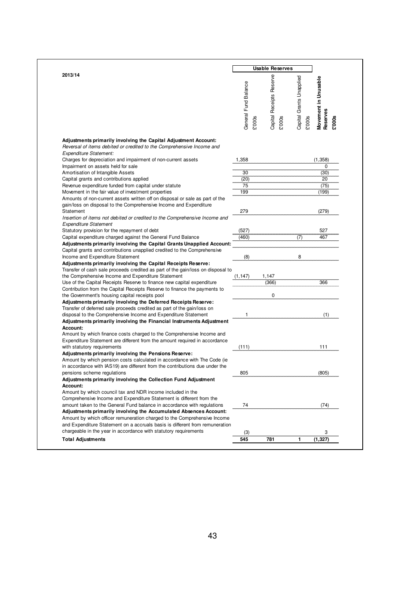| 2013/14                                                                                                                                             |                      |        | <b>Usable Reserves</b>             |                                    |                                                  |
|-----------------------------------------------------------------------------------------------------------------------------------------------------|----------------------|--------|------------------------------------|------------------------------------|--------------------------------------------------|
|                                                                                                                                                     | General Fund Balance | £'000s | Capital Receipts Reserve<br>£'000s | Capital Grants Unapplied<br>£'000s | Movement in Unusable<br>Reserves<br><b>20003</b> |
| Adjustments primarily involving the Capital Adjustment Account:                                                                                     |                      |        |                                    |                                    |                                                  |
| Reversal of items debited or credited to the Comprehensive Income and<br><b>Expenditure Statement:</b>                                              |                      |        |                                    |                                    |                                                  |
| Charges for depreciation and impairment of non-current assets                                                                                       | 1,358                |        |                                    |                                    | (1, 358)                                         |
| Impairment on assets held for sale                                                                                                                  |                      |        |                                    |                                    | 0                                                |
| Amortisation of Intangible Assets                                                                                                                   | 30                   |        |                                    |                                    | (30)                                             |
| Capital grants and contributions applied                                                                                                            | (20)                 |        |                                    |                                    | 20                                               |
| Revenue expenditure funded from capital under statute                                                                                               | 75<br>199            |        |                                    |                                    | (75)<br>(199)                                    |
| Movement in the fair value of investment properties<br>Amounts of non-current assets written off on disposal or sale as part of the                 |                      |        |                                    |                                    |                                                  |
| gain/loss on disposal to the Comprehensive Income and Expenditure                                                                                   |                      |        |                                    |                                    |                                                  |
| Statement                                                                                                                                           | 279                  |        |                                    |                                    | (279)                                            |
| Insertion of items not debited or credited to the Comprehensive Income and<br><b>Expenditure Statement</b>                                          |                      |        |                                    |                                    |                                                  |
| Statutory provision for the repayment of debt                                                                                                       | (527)                |        |                                    |                                    | 527                                              |
| Capital expenditure charged against the General Fund Balance                                                                                        | (460)                |        |                                    | (7)                                | 467                                              |
| Adjustments primarily involving the Capital Grants Unapplied Account:                                                                               |                      |        |                                    |                                    |                                                  |
| Capital grants and contributions unapplied credited to the Comprehensive                                                                            |                      |        |                                    |                                    |                                                  |
| Income and Expenditure Statement                                                                                                                    | (8)                  |        |                                    | 8                                  |                                                  |
| Adjustments primarily involving the Capital Receipts Reserve:                                                                                       |                      |        |                                    |                                    |                                                  |
| Transfer of cash sale proceeds credited as part of the gain/loss on disposal to<br>the Comprehensive Income and Expenditure Statement               |                      |        | 1,147                              |                                    |                                                  |
| Use of the Capital Receipts Reserve to finance new capital expenditure                                                                              | (1, 147)             |        | (366)                              |                                    | 366                                              |
| Contribution from the Capital Receipts Reserve to finance the payments to                                                                           |                      |        |                                    |                                    |                                                  |
| the Government's housing capital receipts pool                                                                                                      |                      |        | 0                                  |                                    |                                                  |
| Adjustments primarily involving the Deferred Receipts Reserve:                                                                                      |                      |        |                                    |                                    |                                                  |
| Transfer of deferred sale proceeds credited as part of the gain/loss on                                                                             |                      |        |                                    |                                    |                                                  |
| disposal to the Comprehensive Income and Expenditure Statement                                                                                      | 1                    |        |                                    |                                    | (1)                                              |
| Adjustments primarily involving the Financial Instruments Adjustment                                                                                |                      |        |                                    |                                    |                                                  |
| Account:                                                                                                                                            |                      |        |                                    |                                    |                                                  |
| Amount by which finance costs charged to the Comprehensive Income and<br>Expenditure Statement are different from the amount required in accordance |                      |        |                                    |                                    |                                                  |
| with statutory requirements                                                                                                                         | (111)                |        |                                    |                                    | 111                                              |
| Adjustments primarily involving the Pensions Reserve:                                                                                               |                      |        |                                    |                                    |                                                  |
| Amount by which pension costs calculated in accordance with The Code (ie                                                                            |                      |        |                                    |                                    |                                                  |
| in accordance with IAS19) are different from the contributions due under the                                                                        |                      |        |                                    |                                    |                                                  |
| pensions scheme regulations                                                                                                                         | 805                  |        |                                    |                                    | (805)                                            |
| Adjustments primarily involving the Collection Fund Adjustment                                                                                      |                      |        |                                    |                                    |                                                  |
| Account:                                                                                                                                            |                      |        |                                    |                                    |                                                  |
| Amount by which council tax and NDR income included in the                                                                                          |                      |        |                                    |                                    |                                                  |
| Comprehensive Income and Expenditure Statement is different from the<br>amount taken to the General Fund balance in accordance with regulations     | 74                   |        |                                    |                                    |                                                  |
| Adjustments primarily involving the Accumulated Absences Account:                                                                                   |                      |        |                                    |                                    | (74)                                             |
| Amount by which officer remuneration charged to the Comprehensive Income                                                                            |                      |        |                                    |                                    |                                                  |
| and Expenditure Statement on a accruals basis is different from remuneration                                                                        |                      |        |                                    |                                    |                                                  |
| chargeable in the year in accordance with statutory requirements                                                                                    | (3)                  |        |                                    |                                    | 3                                                |
|                                                                                                                                                     |                      |        |                                    |                                    |                                                  |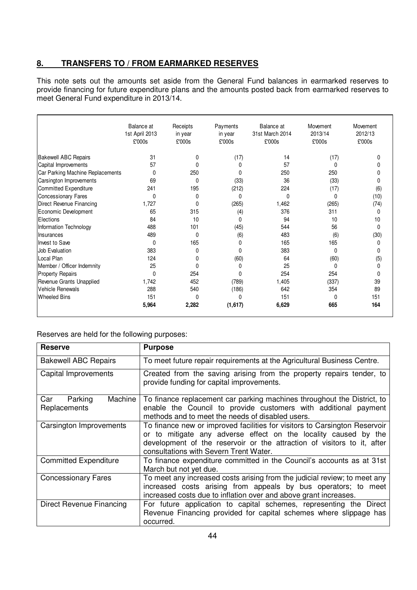## **8. TRANSFERS TO / FROM EARMARKED RESERVES**

This note sets out the amounts set aside from the General Fund balances in earmarked reserves to provide financing for future expenditure plans and the amounts posted back from earmarked reserves to meet General Fund expenditure in 2013/14.

|                                  | Balance at<br>1st April 2013<br>£'000s | Receipts<br>in year<br>£'000s | Payments<br>in year<br>£'000s | Balance at<br>31st March 2014<br>£'000s | Movement<br>2013/14<br>£'000s | Movement<br>2012/13<br>£'000s |
|----------------------------------|----------------------------------------|-------------------------------|-------------------------------|-----------------------------------------|-------------------------------|-------------------------------|
| <b>Bakewell ABC Repairs</b>      | 31                                     | 0                             | (17)                          | 14                                      | (17)                          | n                             |
| Capital Improvements             | 57                                     |                               | 0                             | 57                                      | 0                             |                               |
| Car Parking Machine Replacements | $\mathbf{0}$                           | 250                           | 0                             | 250                                     | 250                           |                               |
| Carsington Improvements          | 69                                     | $\Omega$                      | (33)                          | 36                                      | (33)                          | $\mathbf{0}$                  |
| <b>Committed Expenditure</b>     | 241                                    | 195                           | (212)                         | 224                                     | (17)                          | (6)                           |
| <b>Concessionary Fares</b>       | $\Omega$                               | 0                             | 0                             | $\Omega$                                | $\mathbf{0}$                  | (10)                          |
| Direct Revenue Financing         | 1,727                                  | $\Omega$                      | (265)                         | 1,462                                   | (265)                         | (74)                          |
| Economic Development             | 65                                     | 315                           | (4)                           | 376                                     | 311                           | $\Omega$                      |
| Elections                        | 84                                     | 10                            | 0                             | 94                                      | 10                            | 10                            |
| Information Technology           | 488                                    | 101                           | (45)                          | 544                                     | 56                            | $\mathbf{0}$                  |
| Insurances                       | 489                                    | $\Omega$                      | (6)                           | 483                                     | (6)                           | (30)                          |
| Invest to Save                   | $\mathbf{0}$                           | 165                           | 0                             | 165                                     | 165                           | 0                             |
| Job Evaluation                   | 383                                    | 0                             | 0                             | 383                                     | $\Omega$                      | $\mathbf{0}$                  |
| Local Plan                       | 124                                    | 0                             | (60)                          | 64                                      | (60)                          | (5)                           |
| Member / Officer Indemnity       | 25                                     | $\Omega$                      | 0                             | 25                                      | 0                             | 0                             |
| <b>Property Repairs</b>          | 0                                      | 254                           | 0                             | 254                                     | 254                           | $\mathbf{0}$                  |
| Revenue Grants Unapplied         | 1,742                                  | 452                           | (789)                         | 1,405                                   | (337)                         | 39                            |
| Vehicle Renewals                 | 288                                    | 540                           | (186)                         | 642                                     | 354                           | 89                            |
| <b>Wheeled Bins</b>              | 151                                    | $\Omega$                      | <sup>0</sup>                  | 151                                     | $\Omega$                      | 151                           |
|                                  | 5,964                                  | 2,282                         | (1,617)                       | 6,629                                   | 665                           | 164                           |

### Reserves are held for the following purposes:

| <b>Reserve</b>                            | <b>Purpose</b>                                                                                                                                                                                                                                                     |  |  |  |
|-------------------------------------------|--------------------------------------------------------------------------------------------------------------------------------------------------------------------------------------------------------------------------------------------------------------------|--|--|--|
| <b>Bakewell ABC Repairs</b>               | To meet future repair requirements at the Agricultural Business Centre.                                                                                                                                                                                            |  |  |  |
| Capital Improvements                      | Created from the saving arising from the property repairs tender, to<br>provide funding for capital improvements.                                                                                                                                                  |  |  |  |
| Machine<br>Parking<br>Car<br>Replacements | To finance replacement car parking machines throughout the District, to<br>enable the Council to provide customers with additional payment<br>methods and to meet the needs of disabled users.                                                                     |  |  |  |
| Carsington Improvements                   | To finance new or improved facilities for visitors to Carsington Reservoir<br>or to mitigate any adverse effect on the locality caused by the<br>development of the reservoir or the attraction of visitors to it, after<br>consultations with Severn Trent Water. |  |  |  |
| <b>Committed Expenditure</b>              | To finance expenditure committed in the Council's accounts as at 31st<br>March but not yet due.                                                                                                                                                                    |  |  |  |
| <b>Concessionary Fares</b>                | To meet any increased costs arising from the judicial review; to meet any<br>increased costs arising from appeals by bus operators; to meet<br>increased costs due to inflation over and above grant increases.                                                    |  |  |  |
| Direct Revenue Financing                  | For future application to capital schemes, representing the Direct<br>Revenue Financing provided for capital schemes where slippage has<br>occurred.                                                                                                               |  |  |  |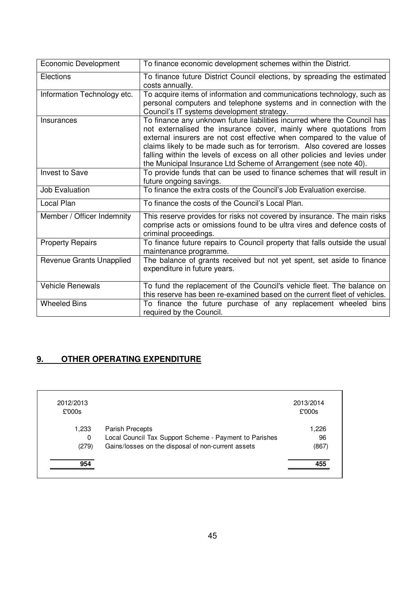| <b>Economic Development</b> | To finance economic development schemes within the District.                                                                                                                                                                                                                                                                                                                                                                                          |
|-----------------------------|-------------------------------------------------------------------------------------------------------------------------------------------------------------------------------------------------------------------------------------------------------------------------------------------------------------------------------------------------------------------------------------------------------------------------------------------------------|
| Elections                   | To finance future District Council elections, by spreading the estimated<br>costs annually.                                                                                                                                                                                                                                                                                                                                                           |
| Information Technology etc. | To acquire items of information and communications technology, such as<br>personal computers and telephone systems and in connection with the<br>Council's IT systems development strategy.                                                                                                                                                                                                                                                           |
| Insurances                  | To finance any unknown future liabilities incurred where the Council has<br>not externalised the insurance cover, mainly where quotations from<br>external insurers are not cost effective when compared to the value of<br>claims likely to be made such as for terrorism. Also covered are losses<br>falling within the levels of excess on all other policies and levies under<br>the Municipal Insurance Ltd Scheme of Arrangement (see note 40). |
| <b>Invest to Save</b>       | To provide funds that can be used to finance schemes that will result in<br>future ongoing savings.                                                                                                                                                                                                                                                                                                                                                   |
| <b>Job Evaluation</b>       | To finance the extra costs of the Council's Job Evaluation exercise.                                                                                                                                                                                                                                                                                                                                                                                  |
| Local Plan                  | To finance the costs of the Council's Local Plan.                                                                                                                                                                                                                                                                                                                                                                                                     |
| Member / Officer Indemnity  | This reserve provides for risks not covered by insurance. The main risks<br>comprise acts or omissions found to be ultra vires and defence costs of<br>criminal proceedings.                                                                                                                                                                                                                                                                          |
| <b>Property Repairs</b>     | To finance future repairs to Council property that falls outside the usual<br>maintenance programme.                                                                                                                                                                                                                                                                                                                                                  |
| Revenue Grants Unapplied    | The balance of grants received but not yet spent, set aside to finance<br>expenditure in future years.                                                                                                                                                                                                                                                                                                                                                |
| <b>Vehicle Renewals</b>     | To fund the replacement of the Council's vehicle fleet. The balance on<br>this reserve has been re-examined based on the current fleet of vehicles.                                                                                                                                                                                                                                                                                                   |
| <b>Wheeled Bins</b>         | To finance the future purchase of any replacement wheeled bins<br>required by the Council.                                                                                                                                                                                                                                                                                                                                                            |

# **9. OTHER OPERATING EXPENDITURE**

| 2012/2013<br>£'000s |                                                        | 2013/2014<br>£'000s |
|---------------------|--------------------------------------------------------|---------------------|
| 1,233               | Parish Precepts                                        | 1,226               |
| 0                   | Local Council Tax Support Scheme - Payment to Parishes | 96                  |
| (279)               | Gains/losses on the disposal of non-current assets     | (867)               |
| 954                 |                                                        | 455                 |
|                     |                                                        |                     |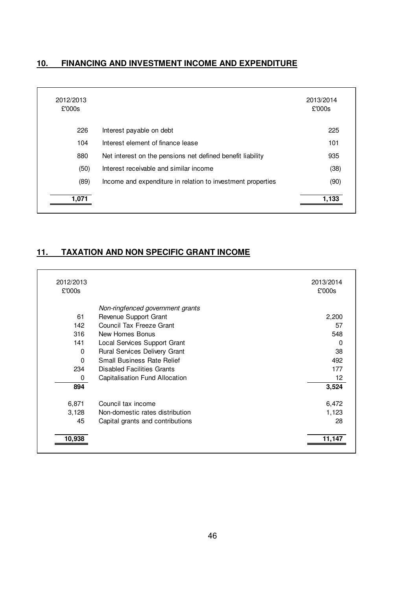## **10. FINANCING AND INVESTMENT INCOME AND EXPENDITURE**

| 2012/2013<br>£'000s |                                                             | 2013/2014<br>£'000s |
|---------------------|-------------------------------------------------------------|---------------------|
| 226                 | Interest payable on debt                                    | 225                 |
| 104                 | Interest element of finance lease                           | 101                 |
| 880                 | Net interest on the pensions net defined benefit liability  | 935                 |
| (50)                | Interest receivable and similar income                      | (38)                |
| (89)                | Income and expenditure in relation to investment properties | (90)                |
| 1,071               |                                                             | 1,133               |

# **11. TAXATION AND NON SPECIFIC GRANT INCOME**

| 2012/2013<br>£'000s |                                   | 2013/2014<br>£'000s |
|---------------------|-----------------------------------|---------------------|
|                     | Non-ringfenced government grants  |                     |
| 61                  | Revenue Support Grant             | 2,200               |
| 142                 | Council Tax Freeze Grant          | 57                  |
| 316                 | New Homes Bonus                   | 548                 |
| 141                 | Local Services Support Grant      | $\Omega$            |
| $\Omega$            | Rural Services Delivery Grant     | 38                  |
| $\Omega$            | <b>Small Business Rate Relief</b> | 492                 |
| 234                 | Disabled Facilities Grants        | 177                 |
| 0                   | Capitalisation Fund Allocation    | 12 <sup>2</sup>     |
| 894                 |                                   | 3,524               |
| 6,871               | Council tax income                | 6,472               |
| 3,128               | Non-domestic rates distribution   | 1,123               |
| 45                  | Capital grants and contributions  | 28                  |
| 10,938              |                                   | 11,147              |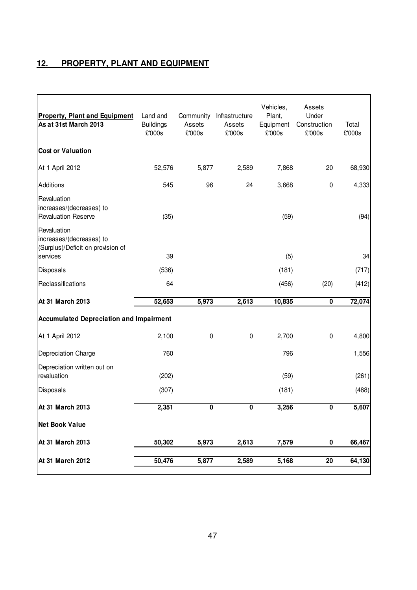## **12. PROPERTY, PLANT AND EQUIPMENT**

| <b>Property, Plant and Equipment</b><br>As at 31st March 2013                            | Land and<br><b>Buildings</b><br>£'000s | Community<br>Assets<br>£'000s | Infrastructure<br>Assets<br>£'000s | Vehicles,<br>Plant,<br>Equipment<br>£'000s | Assets<br>Under<br>Construction<br>£'000s | Total<br>£'000s |
|------------------------------------------------------------------------------------------|----------------------------------------|-------------------------------|------------------------------------|--------------------------------------------|-------------------------------------------|-----------------|
| <b>Cost or Valuation</b>                                                                 |                                        |                               |                                    |                                            |                                           |                 |
| At 1 April 2012                                                                          | 52,576                                 | 5,877                         | 2,589                              | 7,868                                      | 20                                        | 68,930          |
| Additions                                                                                | 545                                    | 96                            | 24                                 | 3,668                                      | $\pmb{0}$                                 | 4,333           |
| Revaluation<br>increases/(decreases) to<br><b>Revaluation Reserve</b>                    | (35)                                   |                               |                                    | (59)                                       |                                           | (94)            |
| Revaluation<br>increases/(decreases) to<br>(Surplus)/Deficit on provision of<br>services | 39                                     |                               |                                    | (5)                                        |                                           | 34              |
|                                                                                          |                                        |                               |                                    |                                            |                                           |                 |
| Disposals                                                                                | (536)                                  |                               |                                    | (181)                                      |                                           | (717)           |
| Reclassifications                                                                        | 64                                     |                               |                                    | (456)                                      | (20)                                      | (412)           |
| At 31 March 2013                                                                         | 52,653                                 | 5,973                         | 2,613                              | 10,835                                     | $\pmb{0}$                                 | 72,074          |
| <b>Accumulated Depreciation and Impairment</b>                                           |                                        |                               |                                    |                                            |                                           |                 |
| At 1 April 2012                                                                          | 2,100                                  | $\pmb{0}$                     | $\pmb{0}$                          | 2,700                                      | $\pmb{0}$                                 | 4,800           |
| Depreciation Charge                                                                      | 760                                    |                               |                                    | 796                                        |                                           | 1,556           |
| Depreciation written out on<br>revaluation                                               | (202)                                  |                               |                                    | (59)                                       |                                           | (261)           |
| Disposals                                                                                | (307)                                  |                               |                                    | (181)                                      |                                           | (488)           |
| At 31 March 2013                                                                         | 2,351                                  | 0                             | 0                                  | 3,256                                      | $\mathbf 0$                               | 5,607           |
| <b>Net Book Value</b>                                                                    |                                        |                               |                                    |                                            |                                           |                 |
| At 31 March 2013                                                                         | 50,302                                 | 5,973                         | 2,613                              | 7,579                                      | $\mathbf 0$                               | 66,467          |
| At 31 March 2012                                                                         | 50,476                                 | 5,877                         | 2,589                              | 5,168                                      | 20                                        | 64,130          |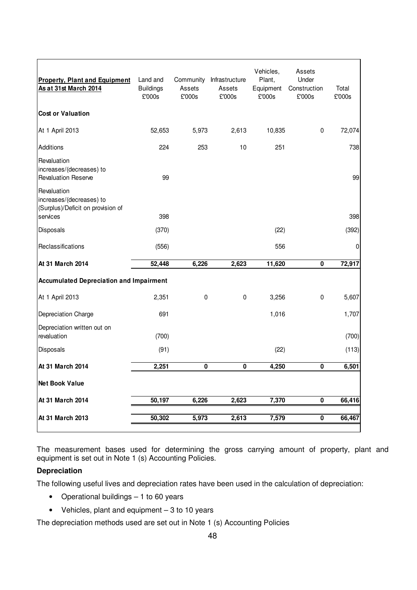| <b>Property, Plant and Equipment</b><br>As at 31st March 2014                            | Land and<br><b>Buildings</b><br>£'000s | Community<br>Assets<br>£'000s | Infrastructure<br>Assets<br>£'000s | Vehicles,<br>Plant,<br>Equipment<br>£'000s | Assets<br>Under<br>Construction<br>£'000s | Total<br>£'000s |
|------------------------------------------------------------------------------------------|----------------------------------------|-------------------------------|------------------------------------|--------------------------------------------|-------------------------------------------|-----------------|
| <b>Cost or Valuation</b>                                                                 |                                        |                               |                                    |                                            |                                           |                 |
| At 1 April 2013                                                                          | 52,653                                 | 5,973                         | 2,613                              | 10,835                                     | $\pmb{0}$                                 | 72,074          |
| Additions                                                                                | 224                                    | 253                           | 10                                 | 251                                        |                                           | 738             |
| Revaluation<br>increases/(decreases) to<br><b>Revaluation Reserve</b>                    | 99                                     |                               |                                    |                                            |                                           | 99              |
| Revaluation<br>increases/(decreases) to<br>(Surplus)/Deficit on provision of<br>services | 398                                    |                               |                                    |                                            |                                           | 398             |
| Disposals                                                                                | (370)                                  |                               |                                    | (22)                                       |                                           | (392)           |
| Reclassifications                                                                        | (556)                                  |                               |                                    | 556                                        |                                           | 0               |
| At 31 March 2014                                                                         | 52,448                                 | 6,226                         | 2,623                              | 11,620                                     | 0                                         | 72,917          |
| <b>Accumulated Depreciation and Impairment</b>                                           |                                        |                               |                                    |                                            |                                           |                 |
| At 1 April 2013                                                                          | 2,351                                  | 0                             | $\pmb{0}$                          | 3,256                                      | $\pmb{0}$                                 | 5,607           |
| Depreciation Charge                                                                      | 691                                    |                               |                                    | 1,016                                      |                                           | 1,707           |
| Depreciation written out on<br>revaluation                                               | (700)                                  |                               |                                    |                                            |                                           | (700)           |
| Disposals                                                                                | (91)                                   |                               |                                    | (22)                                       |                                           | (113)           |
| At 31 March 2014                                                                         | 2,251                                  | 0                             | 0                                  | 4,250                                      | 0                                         | 6,501           |
| <b>Net Book Value</b>                                                                    |                                        |                               |                                    |                                            |                                           |                 |
| At 31 March 2014                                                                         | 50,197                                 | 6,226                         | 2,623                              | 7,370                                      | $\pmb{0}$                                 | 66,416          |
| At 31 March 2013                                                                         | 50,302                                 | 5,973                         | 2,613                              | 7,579                                      | $\pmb{0}$                                 | 66,467          |

The measurement bases used for determining the gross carrying amount of property, plant and equipment is set out in Note 1 (s) Accounting Policies.

### **Depreciation**

The following useful lives and depreciation rates have been used in the calculation of depreciation:

- Operational buildings 1 to 60 years
- Vehicles, plant and equipment 3 to 10 years

The depreciation methods used are set out in Note 1 (s) Accounting Policies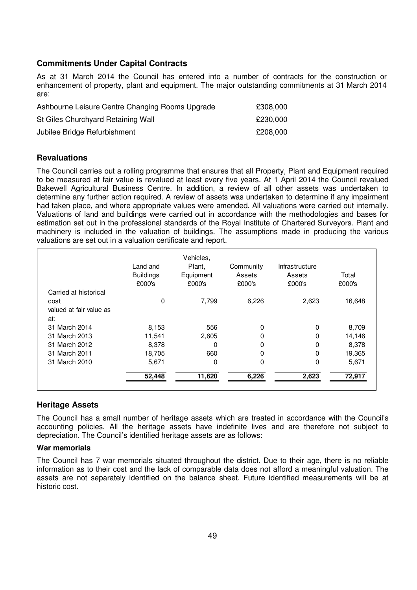### **Commitments Under Capital Contracts**

As at 31 March 2014 the Council has entered into a number of contracts for the construction or enhancement of property, plant and equipment. The major outstanding commitments at 31 March 2014 are:

| Ashbourne Leisure Centre Changing Rooms Upgrade | £308,000 |
|-------------------------------------------------|----------|
| St Giles Churchyard Retaining Wall              | £230,000 |
| Jubilee Bridge Refurbishment                    | £208,000 |

#### **Revaluations**

The Council carries out a rolling programme that ensures that all Property, Plant and Equipment required to be measured at fair value is revalued at least every five years. At 1 April 2014 the Council revalued Bakewell Agricultural Business Centre. In addition, a review of all other assets was undertaken to determine any further action required. A review of assets was undertaken to determine if any impairment had taken place, and where appropriate values were amended. All valuations were carried out internally. Valuations of land and buildings were carried out in accordance with the methodologies and bases for estimation set out in the professional standards of the Royal Institute of Chartered Surveyors. Plant and machinery is included in the valuation of buildings. The assumptions made in producing the various valuations are set out in a valuation certificate and report.

|                         | Land and<br><b>Buildings</b><br>£000's | Vehicles,<br>Plant,<br>Equipment<br>£000's | Community<br>Assets<br>£000's | Infrastructure<br>Assets<br>£000's | Total<br>£000's |
|-------------------------|----------------------------------------|--------------------------------------------|-------------------------------|------------------------------------|-----------------|
| Carried at historical   |                                        |                                            |                               |                                    |                 |
| cost                    | 0                                      | 7,799                                      | 6,226                         | 2,623                              | 16,648          |
| valued at fair value as |                                        |                                            |                               |                                    |                 |
| at:                     |                                        |                                            |                               |                                    |                 |
| 31 March 2014           | 8,153                                  | 556                                        | 0                             | 0                                  | 8,709           |
| 31 March 2013           | 11,541                                 | 2,605                                      | 0                             | 0                                  | 14,146          |
| 31 March 2012           | 8,378                                  | 0                                          | 0                             | 0                                  | 8,378           |
| 31 March 2011           | 18,705                                 | 660                                        | 0                             | 0                                  | 19,365          |
| 31 March 2010           | 5,671                                  | 0                                          | 0                             | 0                                  | 5,671           |
|                         | 52,448                                 | 11,620                                     | 6,226                         | 2,623                              | 72,917          |

### **Heritage Assets**

The Council has a small number of heritage assets which are treated in accordance with the Council's accounting policies. All the heritage assets have indefinite lives and are therefore not subject to depreciation. The Council's identified heritage assets are as follows:

#### **War memorials**

The Council has 7 war memorials situated throughout the district. Due to their age, there is no reliable information as to their cost and the lack of comparable data does not afford a meaningful valuation. The assets are not separately identified on the balance sheet. Future identified measurements will be at historic cost.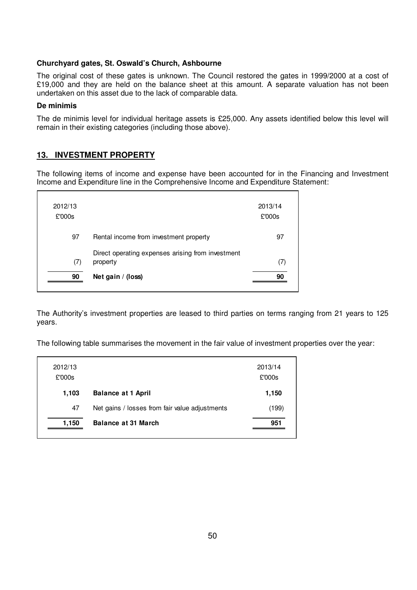#### **Churchyard gates, St. Oswald's Church, Ashbourne**

The original cost of these gates is unknown. The Council restored the gates in 1999/2000 at a cost of £19,000 and they are held on the balance sheet at this amount. A separate valuation has not been undertaken on this asset due to the lack of comparable data.

#### **De minimis**

The de minimis level for individual heritage assets is £25,000. Any assets identified below this level will remain in their existing categories (including those above).

### **13. INVESTMENT PROPERTY**

The following items of income and expense have been accounted for in the Financing and Investment Income and Expenditure line in the Comprehensive Income and Expenditure Statement:

| 2012/13<br>£'000s |                                                               | 2013/14<br>£'000s |
|-------------------|---------------------------------------------------------------|-------------------|
| 97                | Rental income from investment property                        | 97                |
| (7)               | Direct operating expenses arising from investment<br>property | (7)               |
| 90                | Net gain $/$ (loss)                                           | ۹N                |

The Authority's investment properties are leased to third parties on terms ranging from 21 years to 125 years.

The following table summarises the movement in the fair value of investment properties over the year:

|                                                | 2013/14<br>£'000s |
|------------------------------------------------|-------------------|
| <b>Balance at 1 April</b>                      | 1,150             |
| Net gains / losses from fair value adjustments | (199)             |
| <b>Balance at 31 March</b>                     | 951               |
|                                                |                   |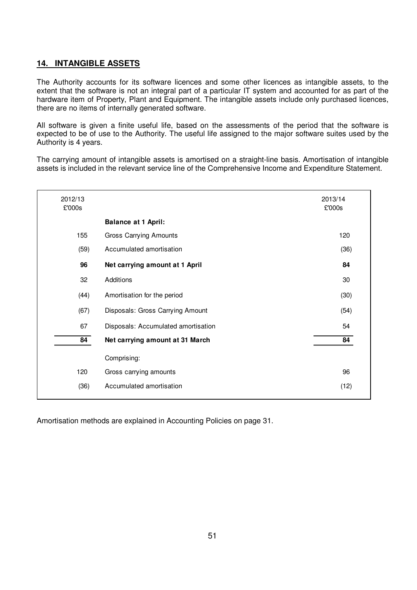### **14. INTANGIBLE ASSETS**

The Authority accounts for its software licences and some other licences as intangible assets, to the extent that the software is not an integral part of a particular IT system and accounted for as part of the hardware item of Property, Plant and Equipment. The intangible assets include only purchased licences, there are no items of internally generated software.

All software is given a finite useful life, based on the assessments of the period that the software is expected to be of use to the Authority. The useful life assigned to the major software suites used by the Authority is 4 years.

The carrying amount of intangible assets is amortised on a straight-line basis. Amortisation of intangible assets is included in the relevant service line of the Comprehensive Income and Expenditure Statement.

| 2012/13<br>£'000s |                                     | 2013/14<br>£'000s |
|-------------------|-------------------------------------|-------------------|
|                   | <b>Balance at 1 April:</b>          |                   |
| 155               | <b>Gross Carrying Amounts</b>       | 120               |
| (59)              | Accumulated amortisation            | (36)              |
| 96                | Net carrying amount at 1 April      | 84                |
| 32                | Additions                           | 30                |
| (44)              | Amortisation for the period         | (30)              |
| (67)              | Disposals: Gross Carrying Amount    | (54)              |
| 67                | Disposals: Accumulated amortisation | 54                |
| 84                | Net carrying amount at 31 March     | 84                |
|                   | Comprising:                         |                   |
| 120               | Gross carrying amounts              | 96                |
| (36)              | Accumulated amortisation            | (12)              |
|                   |                                     |                   |

Amortisation methods are explained in Accounting Policies on page 31.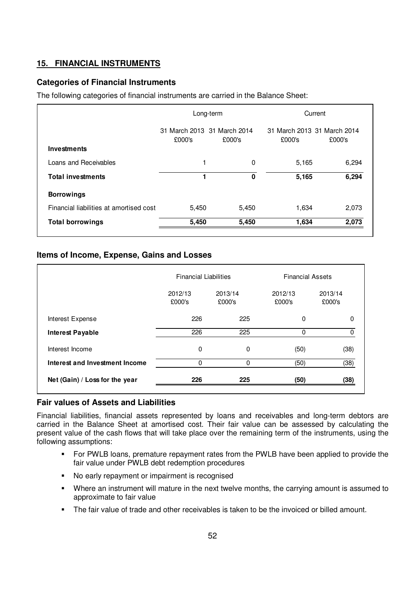## **15. FINANCIAL INSTRUMENTS**

### **Categories of Financial Instruments**

The following categories of financial instruments are carried in the Balance Sheet:

|                                         | Long-term                             |        | Current                               |        |
|-----------------------------------------|---------------------------------------|--------|---------------------------------------|--------|
| Investments                             | 31 March 2013 31 March 2014<br>£000's | £000's | 31 March 2013 31 March 2014<br>£000's | £000's |
| Loans and Receivables                   | 1                                     | 0      | 5,165                                 | 6,294  |
| <b>Total investments</b>                |                                       | 0      | 5,165                                 | 6,294  |
| <b>Borrowings</b>                       |                                       |        |                                       |        |
| Financial liabilities at amortised cost | 5,450                                 | 5,450  | 1,634                                 | 2,073  |
| <b>Total borrowings</b>                 | 5,450                                 | 5,450  | 1,634                                 | 2,073  |

### **Items of Income, Expense, Gains and Losses**

|                                | <b>Financial Liabilities</b> |                   | <b>Financial Assets</b> |                   |
|--------------------------------|------------------------------|-------------------|-------------------------|-------------------|
|                                | 2012/13<br>£000's            | 2013/14<br>£000's | 2012/13<br>£000's       | 2013/14<br>£000's |
| Interest Expense               | 226                          | 225               | $\Omega$                | 0                 |
| <b>Interest Payable</b>        | 226                          | 225               |                         |                   |
| Interest Income                | 0                            | 0                 | (50)                    | (38)              |
| Interest and Investment Income | 0                            | 0                 | (50)                    | (38)              |
| Net (Gain) / Loss for the year | 226                          | 225               | (50)                    | (38)              |

### **Fair values of Assets and Liabilities**

Financial liabilities, financial assets represented by loans and receivables and long-term debtors are carried in the Balance Sheet at amortised cost. Their fair value can be assessed by calculating the present value of the cash flows that will take place over the remaining term of the instruments, using the following assumptions:

- **For PWLB loans, premature repayment rates from the PWLB have been applied to provide the** fair value under PWLB debt redemption procedures
- No early repayment or impairment is recognised
- Where an instrument will mature in the next twelve months, the carrying amount is assumed to approximate to fair value
- The fair value of trade and other receivables is taken to be the invoiced or billed amount.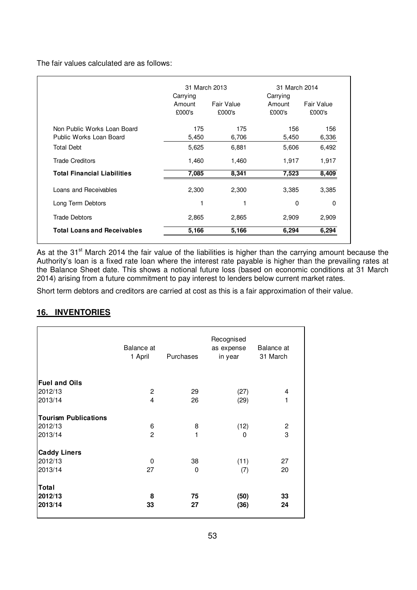The fair values calculated are as follows:

|                                                        | 31 March 2013                |                      | 31 March 2014<br>Carrying |                      |  |
|--------------------------------------------------------|------------------------------|----------------------|---------------------------|----------------------|--|
|                                                        | Carrying<br>Amount<br>£000's | Fair Value<br>£000's | Amount<br>£000's          | Fair Value<br>£000's |  |
| Non Public Works Loan Board<br>Public Works Loan Board | 175<br>5,450                 | 175<br>6,706         | 156<br>5,450              | 156<br>6,336         |  |
| <b>Total Debt</b>                                      | 5,625                        | 6,881                | 5,606                     | 6,492                |  |
| <b>Trade Creditors</b>                                 | 1,460                        | 1,460                | 1,917                     | 1,917                |  |
| <b>Total Financial Liabilities</b>                     | 7,085                        | 8,341                | 7,523                     | 8,409                |  |
| Loans and Receivables                                  | 2,300                        | 2,300                | 3,385                     | 3,385                |  |
| Long Term Debtors                                      | 1                            |                      | 0                         | 0                    |  |
| <b>Trade Debtors</b>                                   | 2,865                        | 2,865                | 2,909                     | 2,909                |  |
| <b>Total Loans and Receivables</b>                     | 5,166                        | 5,166                | 6,294                     | 6,294                |  |

As at the 31<sup>st</sup> March 2014 the fair value of the liabilities is higher than the carrying amount because the Authority's loan is a fixed rate loan where the interest rate payable is higher than the prevailing rates at the Balance Sheet date. This shows a notional future loss (based on economic conditions at 31 March 2014) arising from a future commitment to pay interest to lenders below current market rates.

Short term debtors and creditors are carried at cost as this is a fair approximation of their value.

### **16. INVENTORIES**

|                             | Balance at<br>1 April   | <b>Purchases</b> | Recognised<br>as expense<br>in year | Balance at<br>31 March |
|-----------------------------|-------------------------|------------------|-------------------------------------|------------------------|
| <b>Fuel and Oils</b>        |                         |                  |                                     |                        |
| 2012/13                     | $\overline{2}$          | 29               | (27)                                | 4                      |
| 2013/14                     | $\overline{\mathbf{4}}$ | 26               | (29)                                | 1                      |
|                             |                         |                  |                                     |                        |
| <b>Tourism Publications</b> |                         |                  |                                     |                        |
| 2012/13                     | 6                       | 8                | (12)                                | 2                      |
| 2013/14                     | $\overline{c}$          | 1                | 0                                   | 3                      |
|                             |                         |                  |                                     |                        |
| <b>Caddy Liners</b>         |                         |                  |                                     |                        |
| 2012/13                     | 0                       | 38               | (11)                                | 27                     |
| 2013/14                     | 27                      | 0                | (7)                                 | 20                     |
|                             |                         |                  |                                     |                        |
| Total                       |                         |                  |                                     |                        |
| 2012/13                     | 8                       | 75               | (50)                                | 33                     |
| 2013/14                     | 33                      | 27               | (36)                                | 24                     |
|                             |                         |                  |                                     |                        |
|                             |                         |                  |                                     |                        |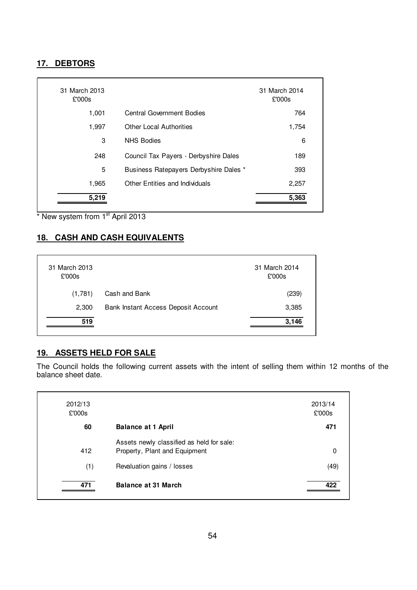## **17. DEBTORS**

| 31 March 2013<br>£'000s |                                        | 31 March 2014<br>£'000s |
|-------------------------|----------------------------------------|-------------------------|
| 1,001                   | <b>Central Government Bodies</b>       | 764                     |
| 1,997                   | <b>Other Local Authorities</b>         | 1,754                   |
| 3                       | <b>NHS Bodies</b>                      | 6                       |
| 248                     | Council Tax Payers - Derbyshire Dales  | 189                     |
| 5                       | Business Ratepayers Derbyshire Dales * | 393                     |
| 1,965                   | <b>Other Entities and Individuals</b>  | 2,257                   |
| 5,219                   |                                        | 5,363                   |

\* New system from 1<sup>st</sup> April 2013

## **18. CASH AND CASH EQUIVALENTS**

| 31 March 2013<br>£'000s |                                     | 31 March 2014<br>£'000s |
|-------------------------|-------------------------------------|-------------------------|
| (1,781)                 | Cash and Bank                       | (239)                   |
| 2,300                   | Bank Instant Access Deposit Account | 3,385                   |
| 519                     |                                     | 3,146                   |

# **19. ASSETS HELD FOR SALE**

The Council holds the following current assets with the intent of selling them within 12 months of the balance sheet date.

| 2012/13<br>£'000s |                                                                            | 2013/14<br>£'000s |
|-------------------|----------------------------------------------------------------------------|-------------------|
| 60                | <b>Balance at 1 April</b>                                                  | 471               |
| 412               | Assets newly classified as held for sale:<br>Property, Plant and Equipment | 0                 |
| (1)               | Revaluation gains / losses                                                 | (49)              |
| 471               | <b>Balance at 31 March</b>                                                 | 422               |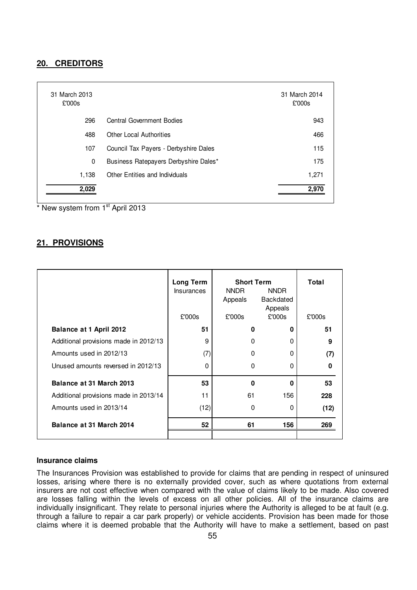### **20. CREDITORS**

| 31 March 2013<br>£'000s |                                       | 31 March 2014<br>£'000s |
|-------------------------|---------------------------------------|-------------------------|
| 296                     | <b>Central Government Bodies</b>      | 943                     |
| 488                     | <b>Other Local Authorities</b>        | 466                     |
| 107                     | Council Tax Payers - Derbyshire Dales | 115                     |
| 0                       | Business Ratepayers Derbyshire Dales* | 175                     |
| 1,138                   | Other Entities and Individuals        | 1,271                   |
| 2,029                   |                                       | 2,970                   |

New system from 1<sup>st</sup> April 2013

#### **21. PROVISIONS**

|                                       | Long Term<br><b>Insurances</b><br>£'000s | <b>Short Term</b><br>NNDR<br>Appeals<br>£'000s | <b>NNDR</b><br><b>Backdated</b><br>Appeals<br>£'000s | Total<br>£'000s |
|---------------------------------------|------------------------------------------|------------------------------------------------|------------------------------------------------------|-----------------|
| Balance at 1 April 2012               | 51                                       | 0                                              | 0                                                    | 51              |
| Additional provisions made in 2012/13 | 9                                        | 0                                              | 0                                                    | 9               |
| Amounts used in 2012/13               | (7)                                      | 0                                              | 0                                                    | (7)             |
| Unused amounts reversed in 2012/13    | $\Omega$                                 | 0                                              | $\Omega$                                             | O               |
| Balance at 31 March 2013              | 53                                       | $\bf{0}$                                       | $\Omega$                                             | 53              |
| Additional provisions made in 2013/14 | 11                                       | 61                                             | 156                                                  | 228             |
| Amounts used in 2013/14               | (12)                                     | 0                                              | 0                                                    | (12)            |
| Balance at 31 March 2014              | 52                                       | 61                                             | 156                                                  | 269             |
|                                       |                                          |                                                |                                                      |                 |

#### **Insurance claims**

The Insurances Provision was established to provide for claims that are pending in respect of uninsured losses, arising where there is no externally provided cover, such as where quotations from external insurers are not cost effective when compared with the value of claims likely to be made. Also covered are losses falling within the levels of excess on all other policies. All of the insurance claims are individually insignificant. They relate to personal injuries where the Authority is alleged to be at fault (e.g. through a failure to repair a car park properly) or vehicle accidents. Provision has been made for those claims where it is deemed probable that the Authority will have to make a settlement, based on past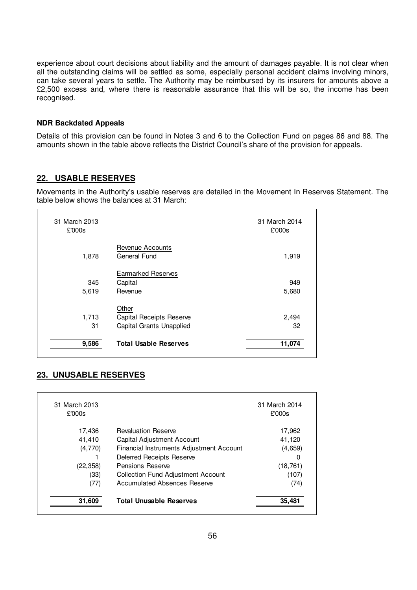experience about court decisions about liability and the amount of damages payable. It is not clear when all the outstanding claims will be settled as some, especially personal accident claims involving minors, can take several years to settle. The Authority may be reimbursed by its insurers for amounts above a £2,500 excess and, where there is reasonable assurance that this will be so, the income has been recognised.

#### **NDR Backdated Appeals**

Details of this provision can be found in Notes 3 and 6 to the Collection Fund on pages 86 and 88. The amounts shown in the table above reflects the District Council's share of the provision for appeals.

### **22. USABLE RESERVES**

Movements in the Authority's usable reserves are detailed in the Movement In Reserves Statement. The table below shows the balances at 31 March:

| 31 March 2013<br>£'000s |                                                               | 31 March 2014<br>£'000s |
|-------------------------|---------------------------------------------------------------|-------------------------|
| 1,878                   | Revenue Accounts<br>General Fund                              | 1,919                   |
| 345<br>5,619            | <b>Earmarked Reserves</b><br>Capital<br>Revenue               | 949<br>5,680            |
| 1,713<br>31             | Other<br>Capital Receipts Reserve<br>Capital Grants Unapplied | 2,494<br>32             |
| 9,586                   | <b>Total Usable Reserves</b>                                  | 11,074                  |

### **23. UNUSABLE RESERVES**

| 31 March 2013<br>£'000s |                                           | 31 March 2014<br>£'000s |
|-------------------------|-------------------------------------------|-------------------------|
| 17,436                  | <b>Revaluation Reserve</b>                | 17,962                  |
| 41,410                  | Capital Adjustment Account                | 41,120                  |
| (4,770)                 | Financial Instruments Adjustment Account  | (4,659)                 |
|                         | Deferred Receipts Reserve                 | 0                       |
| (22, 358)               | Pensions Reserve                          | (18, 761)               |
| (33)                    | <b>Collection Fund Adjustment Account</b> | (107)                   |
| (77)                    | Accumulated Absences Reserve              | (74)                    |
| 31,609                  | <b>Total Unusable Reserves</b>            | 35,481                  |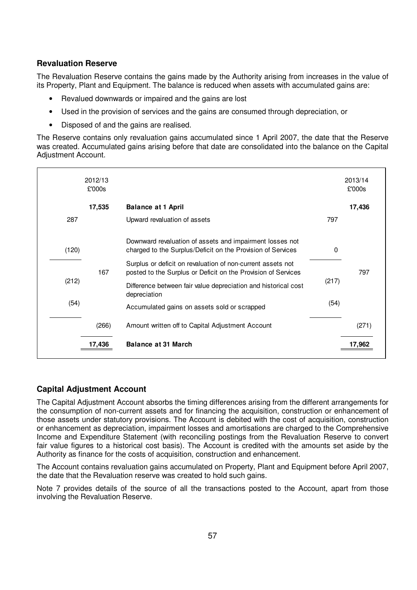### **Revaluation Reserve**

The Revaluation Reserve contains the gains made by the Authority arising from increases in the value of its Property, Plant and Equipment. The balance is reduced when assets with accumulated gains are:

- Revalued downwards or impaired and the gains are lost
- Used in the provision of services and the gains are consumed through depreciation, or
- Disposed of and the gains are realised.

The Reserve contains only revaluation gains accumulated since 1 April 2007, the date that the Reserve was created. Accumulated gains arising before that date are consolidated into the balance on the Capital Adjustment Account.

|       | 2012/13<br>£'000s |                                                                                                                              |       | 2013/14<br>£'000s |
|-------|-------------------|------------------------------------------------------------------------------------------------------------------------------|-------|-------------------|
|       | 17,535            | <b>Balance at 1 April</b>                                                                                                    |       | 17,436            |
| 287   |                   | Upward revaluation of assets                                                                                                 | 797   |                   |
| (120) |                   | Downward revaluation of assets and impairment losses not<br>charged to the Surplus/Deficit on the Provision of Services      | 0     |                   |
|       | 167               | Surplus or deficit on revaluation of non-current assets not<br>posted to the Surplus or Deficit on the Provision of Services |       | 797               |
| (212) |                   | Difference between fair value depreciation and historical cost<br>depreciation                                               | (217) |                   |
| (54)  |                   | Accumulated gains on assets sold or scrapped                                                                                 | (54)  |                   |
|       | (266)             | Amount written off to Capital Adjustment Account                                                                             |       | (271)             |
|       | 17,436            | <b>Balance at 31 March</b>                                                                                                   |       | 17.96             |

### **Capital Adjustment Account**

The Capital Adjustment Account absorbs the timing differences arising from the different arrangements for the consumption of non-current assets and for financing the acquisition, construction or enhancement of those assets under statutory provisions. The Account is debited with the cost of acquisition, construction or enhancement as depreciation, impairment losses and amortisations are charged to the Comprehensive Income and Expenditure Statement (with reconciling postings from the Revaluation Reserve to convert fair value figures to a historical cost basis). The Account is credited with the amounts set aside by the Authority as finance for the costs of acquisition, construction and enhancement.

The Account contains revaluation gains accumulated on Property, Plant and Equipment before April 2007, the date that the Revaluation reserve was created to hold such gains.

Note 7 provides details of the source of all the transactions posted to the Account, apart from those involving the Revaluation Reserve.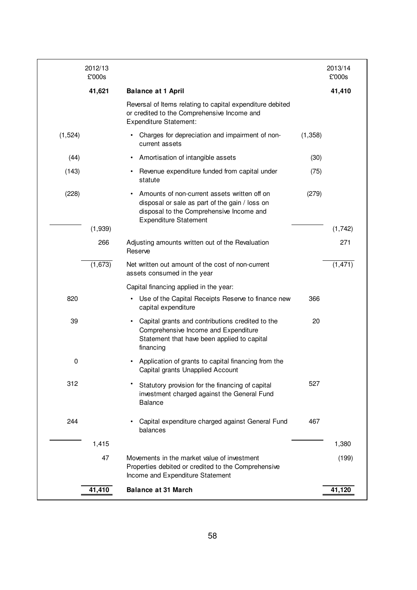|          | 2012/13<br>£'000s |                                                                                                                                                                            |          | 2013/14<br>£'000s |
|----------|-------------------|----------------------------------------------------------------------------------------------------------------------------------------------------------------------------|----------|-------------------|
|          | 41,621            | <b>Balance at 1 April</b>                                                                                                                                                  |          | 41,410            |
|          |                   | Reversal of Items relating to capital expenditure debited<br>or credited to the Comprehensive Income and<br><b>Expenditure Statement:</b>                                  |          |                   |
| (1, 524) |                   | Charges for depreciation and impairment of non-<br>current assets                                                                                                          | (1, 358) |                   |
| (44)     |                   | Amortisation of intangible assets                                                                                                                                          | (30)     |                   |
| (143)    |                   | Revenue expenditure funded from capital under<br>statute                                                                                                                   | (75)     |                   |
| (228)    |                   | Amounts of non-current assets written off on<br>disposal or sale as part of the gain / loss on<br>disposal to the Comprehensive Income and<br><b>Expenditure Statement</b> | (279)    |                   |
|          | (1,939)           |                                                                                                                                                                            |          | (1, 742)          |
|          | 266               | Adjusting amounts written out of the Revaluation<br>Reserve                                                                                                                |          | 271               |
|          | (1,673)           | Net written out amount of the cost of non-current<br>assets consumed in the year                                                                                           |          | (1, 471)          |
|          |                   | Capital financing applied in the year:                                                                                                                                     |          |                   |
| 820      |                   | Use of the Capital Receipts Reserve to finance new<br>capital expenditure                                                                                                  | 366      |                   |
| 39       |                   | Capital grants and contributions credited to the<br>Comprehensive Income and Expenditure<br>Statement that have been applied to capital<br>financing                       | 20       |                   |
| 0        |                   | Application of grants to capital financing from the<br>Capital grants Unapplied Account                                                                                    |          |                   |
| 312      |                   | Statutory provision for the financing of capital<br>investment charged against the General Fund<br><b>Balance</b>                                                          | 527      |                   |
| 244      |                   | Capital expenditure charged against General Fund<br>balances                                                                                                               | 467      |                   |
|          | 1,415             |                                                                                                                                                                            |          | 1,380             |
|          | 47                | Movements in the market value of investment<br>Properties debited or credited to the Comprehensive<br>Income and Expenditure Statement                                     |          | (199)             |
|          | 41,410            | <b>Balance at 31 March</b>                                                                                                                                                 |          | 41,120            |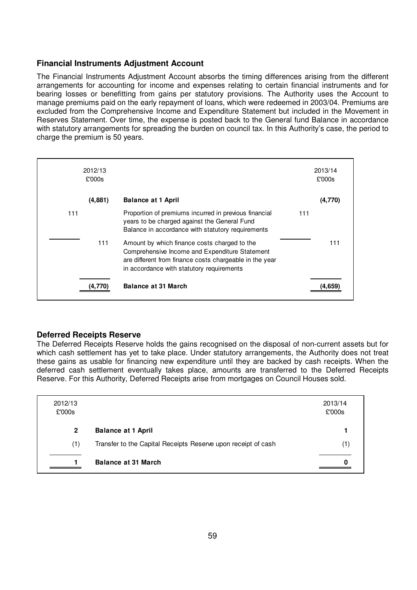### **Financial Instruments Adjustment Account**

The Financial Instruments Adjustment Account absorbs the timing differences arising from the different arrangements for accounting for income and expenses relating to certain financial instruments and for bearing losses or benefitting from gains per statutory provisions. The Authority uses the Account to manage premiums paid on the early repayment of loans, which were redeemed in 2003/04. Premiums are excluded from the Comprehensive Income and Expenditure Statement but included in the Movement in Reserves Statement. Over time, the expense is posted back to the General fund Balance in accordance with statutory arrangements for spreading the burden on council tax. In this Authority's case, the period to charge the premium is 50 years.

|     | 2012/13<br>£'000s |                                                                                                                                                                                                        | 2013/14<br>£'000s |
|-----|-------------------|--------------------------------------------------------------------------------------------------------------------------------------------------------------------------------------------------------|-------------------|
|     | (4,881)           | <b>Balance at 1 April</b>                                                                                                                                                                              | (4,770)           |
| 111 |                   | Proportion of premiums incurred in previous financial<br>years to be charged against the General Fund<br>Balance in accordance with statutory requirements                                             | 111               |
|     | 111               | Amount by which finance costs charged to the<br>Comprehensive Income and Expenditure Statement<br>are different from finance costs chargeable in the year<br>in accordance with statutory requirements | 111               |
|     |                   | <b>Balance at 31 March</b>                                                                                                                                                                             |                   |

### **Deferred Receipts Reserve**

The Deferred Receipts Reserve holds the gains recognised on the disposal of non-current assets but for which cash settlement has yet to take place. Under statutory arrangements, the Authority does not treat these gains as usable for financing new expenditure until they are backed by cash receipts. When the deferred cash settlement eventually takes place, amounts are transferred to the Deferred Receipts Reserve. For this Authority, Deferred Receipts arise from mortgages on Council Houses sold.

| 2012/13<br>£'000s |                                                               | 2013/14<br>£'000s |
|-------------------|---------------------------------------------------------------|-------------------|
| $\mathbf{2}$      | <b>Balance at 1 April</b>                                     |                   |
| (1)               | Transfer to the Capital Receipts Reserve upon receipt of cash | 1)                |
|                   | <b>Balance at 31 March</b>                                    |                   |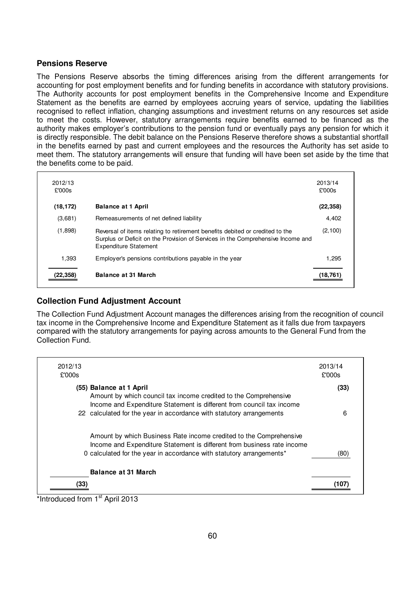### **Pensions Reserve**

The Pensions Reserve absorbs the timing differences arising from the different arrangements for accounting for post employment benefits and for funding benefits in accordance with statutory provisions. The Authority accounts for post employment benefits in the Comprehensive Income and Expenditure Statement as the benefits are earned by employees accruing years of service, updating the liabilities recognised to reflect inflation, changing assumptions and investment returns on any resources set aside to meet the costs. However, statutory arrangements require benefits earned to be financed as the authority makes employer's contributions to the pension fund or eventually pays any pension for which it is directly responsible. The debit balance on the Pensions Reserve therefore shows a substantial shortfall in the benefits earned by past and current employees and the resources the Authority has set aside to meet them. The statutory arrangements will ensure that funding will have been set aside by the time that the benefits come to be paid.

| 2012/13<br>£'000s |                                                                                                                                                                                                 | 2013/14<br>£'000s |
|-------------------|-------------------------------------------------------------------------------------------------------------------------------------------------------------------------------------------------|-------------------|
| (18, 172)         | <b>Balance at 1 April</b>                                                                                                                                                                       | (22, 358)         |
| (3,681)           | Remeasurements of net defined liability                                                                                                                                                         | 4,402             |
| (1,898)           | Reversal of items relating to retirement benefits debited or credited to the<br>Surplus or Deficit on the Provision of Services in the Comprehensive Income and<br><b>Expenditure Statement</b> | (2, 100)          |
| 1,393             | Employer's pensions contributions payable in the year                                                                                                                                           | 1.295             |
| 22,358            | Balance at 31 March                                                                                                                                                                             | (18.76            |

### **Collection Fund Adjustment Account**

The Collection Fund Adjustment Account manages the differences arising from the recognition of council tax income in the Comprehensive Income and Expenditure Statement as it falls due from taxpayers compared with the statutory arrangements for paying across amounts to the General Fund from the Collection Fund.

| 2012/13<br>£'000s |                                                                                                                                                                                                                       | 2013/14<br>£'000s |
|-------------------|-----------------------------------------------------------------------------------------------------------------------------------------------------------------------------------------------------------------------|-------------------|
|                   | (55) Balance at 1 April<br>Amount by which council tax income credited to the Comprehensive<br>Income and Expenditure Statement is different from council tax income                                                  | (33)              |
|                   | 22 calculated for the year in accordance with statutory arrangements                                                                                                                                                  | 6                 |
|                   | Amount by which Business Rate income credited to the Comprehensive<br>Income and Expenditure Statement is different from business rate income<br>0 calculated for the year in accordance with statutory arrangements* | (80)              |
|                   | <b>Balance at 31 March</b>                                                                                                                                                                                            |                   |
| (33)<br>$\cdot$   | act a<br>1.0011                                                                                                                                                                                                       |                   |

\*Introduced from 1<sup>st</sup> April 2013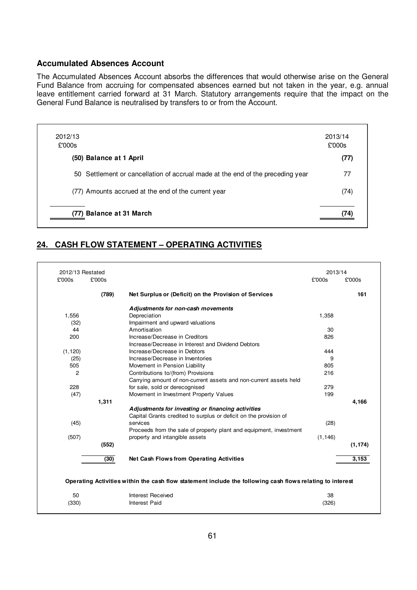#### **Accumulated Absences Account**

The Accumulated Absences Account absorbs the differences that would otherwise arise on the General Fund Balance from accruing for compensated absences earned but not taken in the year, e.g. annual leave entitlement carried forward at 31 March. Statutory arrangements require that the impact on the General Fund Balance is neutralised by transfers to or from the Account.

| 2012/13<br>£'000s                                                              | 2013/14<br>£'000s |
|--------------------------------------------------------------------------------|-------------------|
| (50) Balance at 1 April                                                        | (77)              |
| 50 Settlement or cancellation of accrual made at the end of the preceding year | 77                |
| (77) Amounts accrued at the end of the current year                            | (74)              |
| (77) Balance at 31 March                                                       |                   |

## **24. CASH FLOW STATEMENT – OPERATING ACTIVITIES**

| 2012/13 Restated |        |                                                                                                           | 2013/14  |          |
|------------------|--------|-----------------------------------------------------------------------------------------------------------|----------|----------|
| £'000s           | £'000s |                                                                                                           | £'000s   | £'000s   |
|                  | (789)  | Net Surplus or (Deficit) on the Provision of Services                                                     |          | 161      |
|                  |        | Adjustments for non-cash movements                                                                        |          |          |
| 1,556            |        | Depreciation                                                                                              | 1,358    |          |
| (32)             |        | Impairment and upward valuations                                                                          |          |          |
| 44               |        | Amortisation                                                                                              | 30       |          |
| 200              |        | Increase/Decrease in Creditors                                                                            | 826      |          |
|                  |        | Increase/Decrease in Interest and Dividend Debtors                                                        |          |          |
| (1, 120)         |        | Increase/Decrease in Debtors                                                                              | 444      |          |
| (25)             |        | Increase/Decrease in Inventories                                                                          | 9        |          |
| 505              |        | Movement in Pension Liability                                                                             | 805      |          |
| 2                |        | Contributions to/(from) Provisions                                                                        | 216      |          |
|                  |        | Carrying amount of non-current assets and non-current assets held                                         |          |          |
| 228              |        | for sale, sold or derecognised                                                                            | 279      |          |
| (47)             |        | Movement in Investment Property Values                                                                    | 199      |          |
|                  | 1,311  |                                                                                                           |          | 4,166    |
|                  |        | Adjustments for investing or financing activities                                                         |          |          |
|                  |        | Capital Grants credited to surplus or deficit on the provision of                                         |          |          |
| (45)             |        | services                                                                                                  | (28)     |          |
|                  |        | Proceeds from the sale of property plant and equipment, investment                                        |          |          |
| (507)            |        | property and intangible assets                                                                            | (1, 146) |          |
|                  | (552)  |                                                                                                           |          | (1, 174) |
|                  |        |                                                                                                           |          |          |
|                  | (30)   | <b>Net Cash Flows from Operating Activities</b>                                                           |          | 3,153    |
|                  |        |                                                                                                           |          |          |
|                  |        | Operating Activities within the cash flow statement include the following cash flows relating to interest |          |          |
|                  |        |                                                                                                           |          |          |
| 50               |        | Interest Received                                                                                         | 38       |          |
| (330)            |        | Interest Paid                                                                                             | (326)    |          |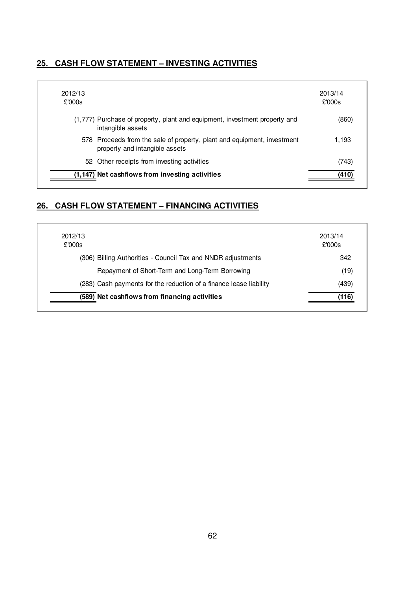## **25. CASH FLOW STATEMENT – INVESTING ACTIVITIES**

| 2012/13<br>£'000s                                                                                         | 2013/14<br>£'000s |
|-----------------------------------------------------------------------------------------------------------|-------------------|
| (1,777) Purchase of property, plant and equipment, investment property and<br>intangible assets           | (860)             |
| 578 Proceeds from the sale of property, plant and equipment, investment<br>property and intangible assets | 1.193             |
| 52 Other receipts from investing activities                                                               | (743)             |
| (1,147) Net cashflows from investing activities                                                           | (410)             |

## **26. CASH FLOW STATEMENT – FINANCING ACTIVITIES**

| 2012/13<br>£'000s                                                  | 2013/14<br>£'000s |
|--------------------------------------------------------------------|-------------------|
| (306) Billing Authorities - Council Tax and NNDR adjustments       | 342               |
| Repayment of Short-Term and Long-Term Borrowing                    | (19)              |
| (283) Cash payments for the reduction of a finance lease liability | (439)             |
| (589) Net cashflows from financing activities                      | (116)             |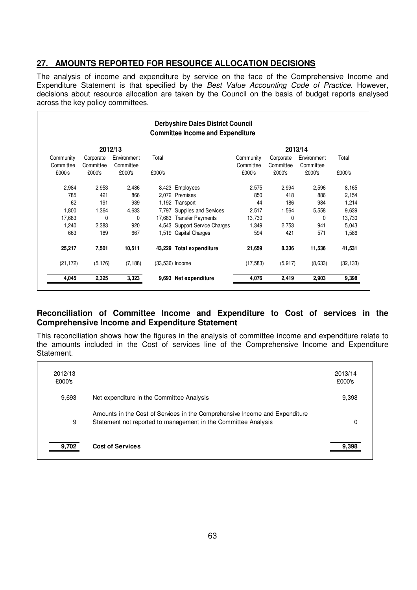## **27. AMOUNTS REPORTED FOR RESOURCE ALLOCATION DECISIONS**

The analysis of income and expenditure by service on the face of the Comprehensive Income and Expenditure Statement is that specified by the Best Value Accounting Code of Practice. However, decisions about resource allocation are taken by the Council on the basis of budget reports analysed across the key policy committees.

|                     | <b>Derbyshire Dales District Council</b><br><b>Committee Income and Expenditure</b> |                     |        |                               |                     |                     |                     |           |
|---------------------|-------------------------------------------------------------------------------------|---------------------|--------|-------------------------------|---------------------|---------------------|---------------------|-----------|
|                     |                                                                                     | 2012/13             |        |                               |                     | 2013/14             |                     |           |
| Community           | Corporate                                                                           | Environment         | Total  |                               | Community           | Corporate           | Environment         | Total     |
| Committee<br>£000's | Committee<br>£000's                                                                 | Committee<br>£000's | £000's |                               | Committee<br>£000's | Committee<br>£000's | Committee<br>£000's | £000's    |
| 2,984               | 2,953                                                                               | 2,486               |        | 8,423 Employees               | 2,575               | 2,994               | 2,596               | 8,165     |
| 785                 | 421                                                                                 | 866                 |        | 2,072 Premises                | 850                 | 418                 | 886                 | 2,154     |
| 62                  | 191                                                                                 | 939                 |        | 1,192 Transport               | 44                  | 186                 | 984                 | 1,214     |
| 1,800               | 1,364                                                                               | 4,633               |        | 7,797 Supplies and Services   | 2,517               | 1,564               | 5,558               | 9,639     |
| 17,683              | $\Omega$                                                                            | 0                   |        | 17,683 Transfer Payments      | 13,730              | 0                   | 0                   | 13,730    |
| 1,240               | 2,383                                                                               | 920                 |        | 4,543 Support Service Charges | 1,349               | 2,753               | 941                 | 5,043     |
| 663                 | 189                                                                                 | 667                 |        | 1,519 Capital Charges         | 594                 | 421                 | 571                 | 1,586     |
| 25,217              | 7,501                                                                               | 10,511              |        | 43,229 Total expenditure      | 21,659              | 8,336               | 11,536              | 41,531    |
| (21, 172)           | (5, 176)                                                                            | (7, 188)            |        | (33,536) Income               | (17, 583)           | (5, 917)            | (8,633)             | (32, 133) |
| 4,045               | 2,325                                                                               | 3,323               |        | 9,693 Net expenditure         | 4,076               | 2,419               | 2,903               | 9,398     |

### **Reconciliation of Committee Income and Expenditure to Cost of services in the Comprehensive Income and Expenditure Statement**

This reconciliation shows how the figures in the analysis of committee income and expenditure relate to the amounts included in the Cost of services line of the Comprehensive Income and Expenditure Statement.

| 2012/13<br>£000's |                                                                                                                                               | 2013/14<br>£000's |
|-------------------|-----------------------------------------------------------------------------------------------------------------------------------------------|-------------------|
| 9,693             | Net expenditure in the Committee Analysis                                                                                                     | 9,398             |
| 9                 | Amounts in the Cost of Services in the Comprehensive Income and Expenditure<br>Statement not reported to management in the Committee Analysis | 0                 |
| 9.702             | <b>Cost of Services</b>                                                                                                                       | a zag             |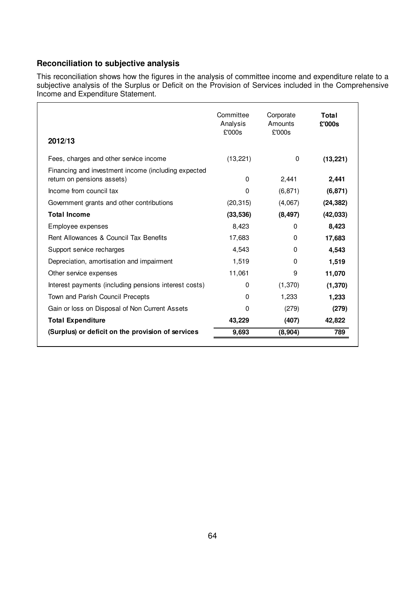## **Reconciliation to subjective analysis**

This reconciliation shows how the figures in the analysis of committee income and expenditure relate to a subjective analysis of the Surplus or Deficit on the Provision of Services included in the Comprehensive Income and Expenditure Statement.

| 2012/13                                                                           | Committee<br>Analysis<br>£'000s | Corporate<br>Amounts<br>£'000s | Total<br>£'000s |
|-----------------------------------------------------------------------------------|---------------------------------|--------------------------------|-----------------|
| Fees, charges and other service income                                            | (13, 221)                       | 0                              | (13, 221)       |
| Financing and investment income (including expected<br>return on pensions assets) | 0                               | 2,441                          | 2,441           |
| Income from council tax                                                           | 0                               | (6, 871)                       | (6, 871)        |
| Government grants and other contributions                                         | (20, 315)                       | (4,067)                        | (24, 382)       |
| <b>Total Income</b>                                                               | (33, 536)                       | (8, 497)                       | (42, 033)       |
| Employee expenses                                                                 | 8,423                           | 0                              | 8,423           |
| Rent Allowances & Council Tax Benefits                                            | 17,683                          | 0                              | 17,683          |
| Support service recharges                                                         | 4,543                           | 0                              | 4,543           |
| Depreciation, amortisation and impairment                                         | 1,519                           | 0                              | 1,519           |
| Other service expenses                                                            | 11,061                          | 9                              | 11,070          |
| Interest payments (including pensions interest costs)                             | 0                               | (1,370)                        | (1, 370)        |
| Town and Parish Council Precepts                                                  | 0                               | 1,233                          | 1,233           |
| Gain or loss on Disposal of Non Current Assets                                    | 0                               | (279)                          | (279)           |
| <b>Total Expenditure</b>                                                          | 43,229                          | (407)                          | 42,822          |
| (Surplus) or deficit on the provision of services                                 | 9,693                           | (8,904)                        | 789             |
|                                                                                   |                                 |                                |                 |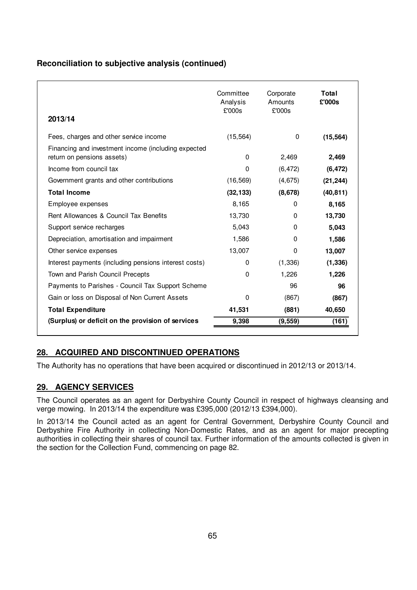## **Reconciliation to subjective analysis (continued)**

| 2013/14                                                                           | Committee<br>Analysis<br>£'000s | Corporate<br>Amounts<br>£'000s | Total<br>£'000s |
|-----------------------------------------------------------------------------------|---------------------------------|--------------------------------|-----------------|
| Fees, charges and other service income                                            | (15, 564)                       | 0                              | (15, 564)       |
| Financing and investment income (including expected<br>return on pensions assets) | 0                               | 2,469                          | 2,469           |
| Income from council tax                                                           | 0                               | (6, 472)                       | (6, 472)        |
| Government grants and other contributions                                         | (16, 569)                       | (4,675)                        | (21, 244)       |
| <b>Total Income</b>                                                               | (32, 133)                       | (8,678)                        | (40, 811)       |
| Employee expenses                                                                 | 8,165                           | 0                              | 8,165           |
| Rent Allowances & Council Tax Benefits                                            | 13,730                          | 0                              | 13,730          |
| Support service recharges                                                         | 5,043                           | 0                              | 5,043           |
| Depreciation, amortisation and impairment                                         | 1,586                           | 0                              | 1,586           |
| Other service expenses                                                            | 13,007                          | 0                              | 13,007          |
| Interest payments (including pensions interest costs)                             | 0                               | (1, 336)                       | (1, 336)        |
| Town and Parish Council Precepts                                                  | 0                               | 1,226                          | 1,226           |
| Payments to Parishes - Council Tax Support Scheme                                 |                                 | 96                             | 96              |
| Gain or loss on Disposal of Non Current Assets                                    | $\Omega$                        | (867)                          | (867)           |
| <b>Total Expenditure</b>                                                          | 41,531                          | (881)                          | 40,650          |
| (Surplus) or deficit on the provision of services                                 | 9,398                           | (9, 559)                       | (161)           |

## **28. ACQUIRED AND DISCONTINUED OPERATIONS**

The Authority has no operations that have been acquired or discontinued in 2012/13 or 2013/14.

## **29. AGENCY SERVICES**

The Council operates as an agent for Derbyshire County Council in respect of highways cleansing and verge mowing. In 2013/14 the expenditure was £395,000 (2012/13 £394,000).

In 2013/14 the Council acted as an agent for Central Government, Derbyshire County Council and Derbyshire Fire Authority in collecting Non-Domestic Rates, and as an agent for major precepting authorities in collecting their shares of council tax. Further information of the amounts collected is given in the section for the Collection Fund, commencing on page 82.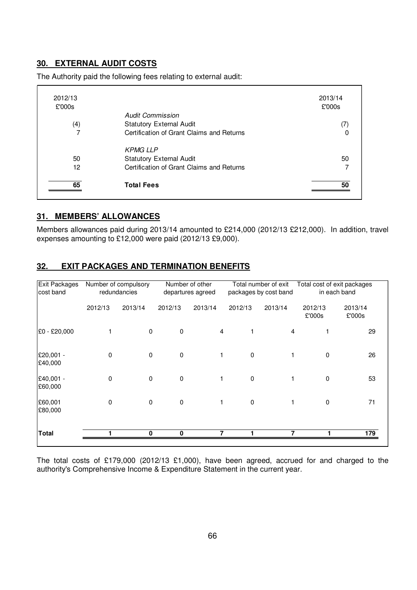## **30. EXTERNAL AUDIT COSTS**

| 2012/13<br>£'000s |                                           | 2013/14<br>£'000s |
|-------------------|-------------------------------------------|-------------------|
|                   | <b>Audit Commission</b>                   |                   |
| (4)               | <b>Statutory External Audit</b>           |                   |
| 7                 | Certification of Grant Claims and Returns |                   |
|                   | <b>KPMG LLP</b>                           |                   |
| 50                | <b>Statutory External Audit</b>           | 50                |
| 12                | Certification of Grant Claims and Returns |                   |
| 65                | <b>Total Fees</b>                         | 50                |

The Authority paid the following fees relating to external audit:

### **31. MEMBERS' ALLOWANCES**

Members allowances paid during 2013/14 amounted to £214,000 (2012/13 £212,000). In addition, travel expenses amounting to £12,000 were paid (2012/13 £9,000).

## **32. EXIT PACKAGES AND TERMINATION BENEFITS**

| <b>Exit Packages</b><br>cost band |             | Number of compulsory<br>redundancies |             | Number of other<br>departures agreed | Total number of exit<br>packages by cost band |                | Total cost of exit packages<br>in each band |                   |
|-----------------------------------|-------------|--------------------------------------|-------------|--------------------------------------|-----------------------------------------------|----------------|---------------------------------------------|-------------------|
|                                   | 2012/13     | 2013/14                              | 2012/13     | 2013/14                              | 2012/13                                       | 2013/14        | 2012/13<br>£'000s                           | 2013/14<br>£'000s |
| £0 - £20,000                      |             | $\mathbf 0$                          | $\mathbf 0$ | $\overline{4}$                       |                                               | $\overline{4}$ |                                             | 29                |
| £20,001 -<br>£40,000              | $\Omega$    | 0                                    | $\mathbf 0$ |                                      | $\mathbf 0$                                   |                | 0                                           | 26                |
| £40,001 -<br>£60,000              | $\mathbf 0$ | 0                                    | $\mathbf 0$ | 1                                    | 0                                             |                | 0                                           | 53                |
| £60,001<br>£80,000                | 0           | 0                                    | $\mathbf 0$ | 1                                    | 0                                             | 1              | $\mathbf 0$                                 | 71                |
| Total                             |             | 0                                    | $\bf{0}$    |                                      |                                               |                |                                             | 179               |

The total costs of £179,000 (2012/13 £1,000), have been agreed, accrued for and charged to the authority's Comprehensive Income & Expenditure Statement in the current year.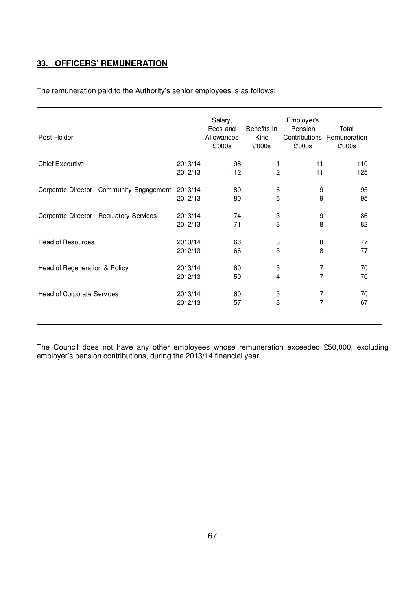## **33. OFFICERS' REMUNERATION**

The remuneration paid to the Authority's senior employees is as follows:

| Post Holder                               |         | Salary,<br>Fees and<br>Allowances<br>£'000s | Benefits in<br>Kind<br>£'000s | Employer's<br>Pension<br>Contributions<br>£'000s | Total<br>Remuneration<br>£'000s |
|-------------------------------------------|---------|---------------------------------------------|-------------------------------|--------------------------------------------------|---------------------------------|
| <b>Chief Executive</b>                    | 2013/14 | 98                                          | 1                             | 11                                               | 110                             |
|                                           | 2012/13 | 112                                         | 2                             | 11                                               | 125                             |
| Corporate Director - Community Engagement | 2013/14 | 80                                          | 6                             | 9                                                | 95                              |
|                                           | 2012/13 | 80                                          | 6                             | 9                                                | 95                              |
| Corporate Director - Regulatory Services  | 2013/14 | 74                                          | 3                             | 9                                                | 86                              |
|                                           | 2012/13 | 71                                          | 3                             | 8                                                | 82                              |
| <b>Head of Resources</b>                  | 2013/14 | 66                                          | 3                             | 8                                                | 77                              |
|                                           | 2012/13 | 66                                          | 3                             | 8                                                | 77                              |
| Head of Regeneration & Policy             | 2013/14 | 60                                          | 3                             | $\overline{7}$                                   | 70                              |
|                                           | 2012/13 | 59                                          | 4                             | $\overline{7}$                                   | 70                              |
| Head of Corporate Services                | 2013/14 | 60                                          | 3                             | $\overline{7}$                                   | 70                              |
|                                           | 2012/13 | 57                                          | 3                             | 7                                                | 67                              |
|                                           |         |                                             |                               |                                                  |                                 |

The Council does not have any other employees whose remuneration exceeded £50,000, excluding employer's pension contributions, during the 2013/14 financial year.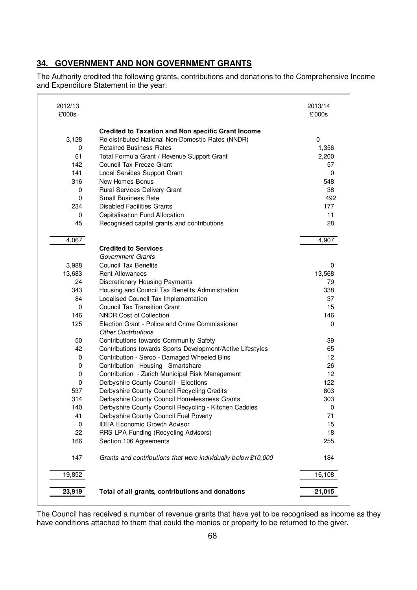## **34. GOVERNMENT AND NON GOVERNMENT GRANTS**

The Authority credited the following grants, contributions and donations to the Comprehensive Income and Expenditure Statement in the year:

| 2012/13<br>£'000s |                                                                                                 | 2013/14<br>£'000s |
|-------------------|-------------------------------------------------------------------------------------------------|-------------------|
|                   | Credited to Taxation and Non specific Grant Income                                              |                   |
| 3,128             | Re-distributed National Non-Domestic Rates (NNDR)                                               | 0                 |
| 0                 | <b>Retained Business Rates</b>                                                                  | 1,356             |
| 61                | Total Formula Grant / Revenue Support Grant                                                     | 2,200             |
| 142               | Council Tax Freeze Grant                                                                        | 57                |
| 141               | <b>Local Services Support Grant</b>                                                             | $\mathbf 0$       |
| 316               | New Homes Bonus                                                                                 | 548               |
| 0                 | Rural Services Delivery Grant                                                                   | 38                |
| 0                 | Small Business Rate                                                                             | 492               |
| 234               | <b>Disabled Facilities Grants</b>                                                               | 177               |
| 0                 | Capitalisation Fund Allocation                                                                  | 11                |
| 45                | Recognised capital grants and contributions                                                     | 28                |
| 4,067             |                                                                                                 | 4,907             |
|                   | <b>Credited to Services</b>                                                                     |                   |
|                   | <b>Government Grants</b>                                                                        |                   |
| 3,988             | <b>Council Tax Benefits</b>                                                                     | $\Omega$          |
| 13,683            | <b>Rent Allowances</b>                                                                          | 13,568            |
| 24                | Discretionary Housing Payments                                                                  | 79                |
| 343               | Housing and Council Tax Benefits Administration                                                 | 338               |
| 84                | Localised Council Tax Implementation                                                            | 37                |
| 0                 | <b>Council Tax Transition Grant</b>                                                             | 15                |
| 146               | <b>NNDR Cost of Collection</b>                                                                  | 146               |
| 125               | Election Grant - Police and Crime Commissioner                                                  | 0                 |
|                   | <b>Other Contrbutions</b>                                                                       |                   |
| 50                | Contributions towards Community Safety                                                          | 39                |
| 42                | Contributions towards Sports Development/Active Lifestyles                                      | 65                |
| 0                 | Contribution - Serco - Damaged Wheeled Bins                                                     | 12                |
| 0                 | Contribution - Housing - Smartshare                                                             | 26                |
| 0                 | Contribution - Zurich Municipal Risk Management                                                 | 12                |
| 0                 | Derbyshire County Council - Elections                                                           | 122               |
| 537               | Derbyshire County Council Recycling Credits                                                     | 803               |
| 314<br>140        | Derbyshire County Council Homelessness Grants                                                   | 303<br>0          |
| 41                | Derbyshire County Council Recycling - Kitchen Caddies<br>Derbyshire County Council Fuel Poverty | 71                |
| 0                 | <b>IDEA Economic Growth Advisor</b>                                                             | 15                |
| 22                | RRS LPA Funding (Recycling Advisors)                                                            | 18                |
| 166               | Section 106 Agreements                                                                          | 255               |
|                   |                                                                                                 |                   |
| 147               | Grants and contributions that were individually below £10,000                                   | 184               |
| 19,852            |                                                                                                 | 16,108            |
|                   |                                                                                                 |                   |
| 23,919            | Total of all grants, contributions and donations                                                | 21,015            |
|                   |                                                                                                 |                   |

The Council has received a number of revenue grants that have yet to be recognised as income as they have conditions attached to them that could the monies or property to be returned to the giver.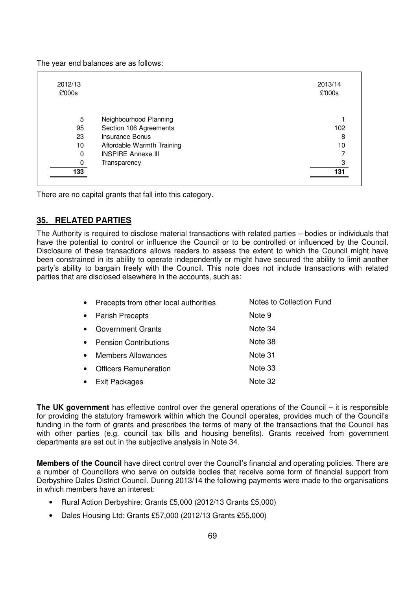The year end balances are as follows:

| 2012/13<br>£'000s |                            | 2013/14<br>£'000s |
|-------------------|----------------------------|-------------------|
| 5                 | Neighbourhood Planning     |                   |
| 95                | Section 106 Agreements     | 102               |
| 23                | Insurance Bonus            | 8                 |
| 10                | Affordable Warmth Training | 10                |
| 0                 | <b>INSPIRE Annexe III</b>  |                   |
| 0                 | Transparency               | 3                 |
| 133               |                            | 131               |

There are no capital grants that fall into this category.

### **35. RELATED PARTIES**

The Authority is required to disclose material transactions with related parties – bodies or individuals that have the potential to control or influence the Council or to be controlled or influenced by the Council. Disclosure of these transactions allows readers to assess the extent to which the Council might have been constrained in its ability to operate independently or might have secured the ability to limit another party's ability to bargain freely with the Council. This note does not include transactions with related parties that are disclosed elsewhere in the accounts, such as:

| $\bullet$ | Precepts from other local authorities | Notes to Collection Fund |
|-----------|---------------------------------------|--------------------------|
| $\bullet$ | <b>Parish Precepts</b>                | Note 9                   |
| $\bullet$ | <b>Government Grants</b>              | Note 34                  |
| $\bullet$ | <b>Pension Contributions</b>          | Note 38                  |
| $\bullet$ | <b>Members Allowances</b>             | Note 31                  |
| $\bullet$ | <b>Officers Remuneration</b>          | Note 33                  |
| $\bullet$ | <b>Exit Packages</b>                  | Note 32                  |
|           |                                       |                          |

**The UK government** has effective control over the general operations of the Council – it is responsible for providing the statutory framework within which the Council operates, provides much of the Council's funding in the form of grants and prescribes the terms of many of the transactions that the Council has with other parties (e.g. council tax bills and housing benefits). Grants received from government departments are set out in the subjective analysis in Note 34.

**Members of the Council** have direct control over the Council's financial and operating policies. There are a number of Councillors who serve on outside bodies that receive some form of financial support from Derbyshire Dales District Council. During 2013/14 the following payments were made to the organisations in which members have an interest:

- Rural Action Derbyshire: Grants £5,000 (2012/13 Grants £5,000)
- Dales Housing Ltd: Grants £57,000 (2012/13 Grants £55,000)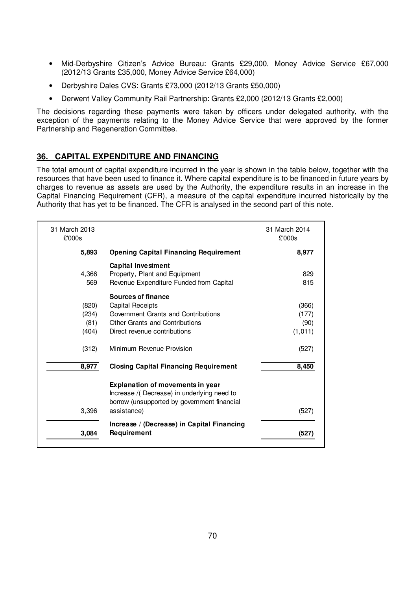- Mid-Derbyshire Citizen's Advice Bureau: Grants £29,000, Money Advice Service £67,000 (2012/13 Grants £35,000, Money Advice Service £64,000)
- Derbyshire Dales CVS: Grants £73,000 (2012/13 Grants £50,000)
- Derwent Valley Community Rail Partnership: Grants £2,000 (2012/13 Grants £2,000)

The decisions regarding these payments were taken by officers under delegated authority, with the exception of the payments relating to the Money Advice Service that were approved by the former Partnership and Regeneration Committee.

# **36. CAPITAL EXPENDITURE AND FINANCING**

The total amount of capital expenditure incurred in the year is shown in the table below, together with the resources that have been used to finance it. Where capital expenditure is to be financed in future years by charges to revenue as assets are used by the Authority, the expenditure results in an increase in the Capital Financing Requirement (CFR), a measure of the capital expenditure incurred historically by the Authority that has yet to be financed. The CFR is analysed in the second part of this note.

| 31 March 2013<br>£'000s |                                                                                                                                      | 31 March 2014<br>£'000s |
|-------------------------|--------------------------------------------------------------------------------------------------------------------------------------|-------------------------|
| 5,893                   | <b>Opening Capital Financing Requirement</b>                                                                                         | 8,977                   |
|                         | <b>Capital Investment</b>                                                                                                            |                         |
| 4,366                   | Property, Plant and Equipment                                                                                                        | 829                     |
| 569                     | Revenue Expenditure Funded from Capital                                                                                              | 815                     |
|                         | <b>Sources of finance</b>                                                                                                            |                         |
| (820)                   | Capital Receipts                                                                                                                     | (366)                   |
| (234)                   | Government Grants and Contributions                                                                                                  | (177)                   |
| (81)                    | <b>Other Grants and Contributions</b>                                                                                                | (90)                    |
| (404)                   | Direct revenue contributions                                                                                                         | (1, 011)                |
| (312)                   | Minimum Revenue Provision                                                                                                            | (527)                   |
| 8,977                   | <b>Closing Capital Financing Requirement</b>                                                                                         | 8,450                   |
|                         | <b>Explanation of movements in year</b><br>Increase /(Decrease) in underlying need to<br>borrow (unsupported by government financial |                         |
| 3,396                   | assistance)                                                                                                                          | (527)                   |
|                         | Increase / (Decrease) in Capital Financing                                                                                           |                         |
| 3,084                   | Requirement                                                                                                                          | (527                    |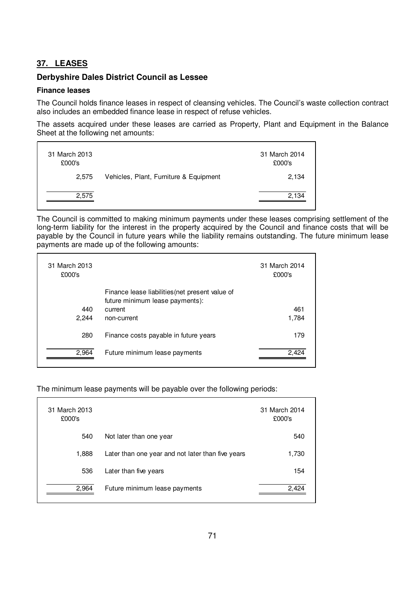# **37. LEASES**

### **Derbyshire Dales District Council as Lessee**

#### **Finance leases**

The Council holds finance leases in respect of cleansing vehicles. The Council's waste collection contract also includes an embedded finance lease in respect of refuse vehicles.

The assets acquired under these leases are carried as Property, Plant and Equipment in the Balance Sheet at the following net amounts:

| 31 March 2013<br>£000's |                                        | 31 March 2014<br>£000's |
|-------------------------|----------------------------------------|-------------------------|
| 2.575                   | Vehicles, Plant, Furniture & Equipment | 2,134                   |
| 2,575                   |                                        | 2.134                   |

The Council is committed to making minimum payments under these leases comprising settlement of the long-term liability for the interest in the property acquired by the Council and finance costs that will be payable by the Council in future years while the liability remains outstanding. The future minimum lease payments are made up of the following amounts:

| 31 March 2013<br>£000's |                                                                                    | 31 March 2014<br>£000's |
|-------------------------|------------------------------------------------------------------------------------|-------------------------|
|                         | Finance lease liabilities (net present value of<br>future minimum lease payments): |                         |
| 440                     | current                                                                            | 461                     |
| 2.244                   | non-current                                                                        | 1,784                   |
| 280                     | Finance costs payable in future years                                              | 179                     |
| 2,964                   | Future minimum lease payments                                                      | 2.424                   |

The minimum lease payments will be payable over the following periods:

| 31 March 2013<br>£000's |                                                   | 31 March 2014<br>£000's |
|-------------------------|---------------------------------------------------|-------------------------|
| 540                     | Not later than one year                           | 540                     |
| 1,888                   | Later than one year and not later than five years | 1,730                   |
| 536                     | Later than five years                             | 154                     |
| 2,964                   | Future minimum lease payments                     | 2.424                   |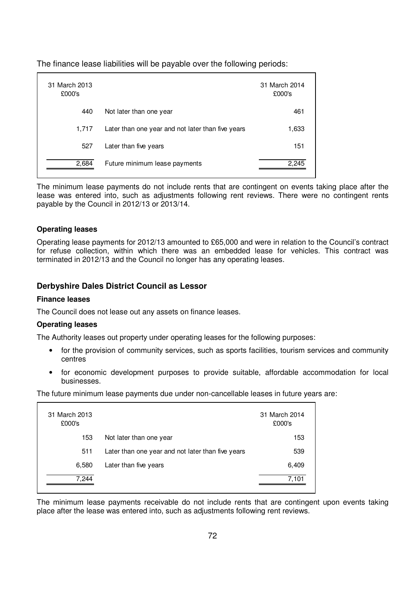The finance lease liabilities will be payable over the following periods:

| 31 March 2013<br>£000's |                                                   | 31 March 2014<br>£000's |
|-------------------------|---------------------------------------------------|-------------------------|
| 440                     | Not later than one year                           | 461                     |
| 1,717                   | Later than one year and not later than five years | 1,633                   |
| 527                     | Later than five years                             | 151                     |
| 2,684                   | Future minimum lease payments                     | 2.245                   |

The minimum lease payments do not include rents that are contingent on events taking place after the lease was entered into, such as adjustments following rent reviews. There were no contingent rents payable by the Council in 2012/13 or 2013/14.

### **Operating leases**

Operating lease payments for 2012/13 amounted to £65,000 and were in relation to the Council's contract for refuse collection, within which there was an embedded lease for vehicles. This contract was terminated in 2012/13 and the Council no longer has any operating leases.

### **Derbyshire Dales District Council as Lessor**

#### **Finance leases**

The Council does not lease out any assets on finance leases.

#### **Operating leases**

The Authority leases out property under operating leases for the following purposes:

- for the provision of community services, such as sports facilities, tourism services and community centres
- for economic development purposes to provide suitable, affordable accommodation for local businesses.

The future minimum lease payments due under non-cancellable leases in future years are:

| 31 March 2013<br>£000's |                                                   | 31 March 2014<br>£000's |
|-------------------------|---------------------------------------------------|-------------------------|
| 153                     | Not later than one year                           | 153                     |
| 511                     | Later than one year and not later than five years | 539                     |
| 6,580                   | Later than five years                             | 6,409                   |
| 7.244                   |                                                   | 7,101                   |

The minimum lease payments receivable do not include rents that are contingent upon events taking place after the lease was entered into, such as adjustments following rent reviews.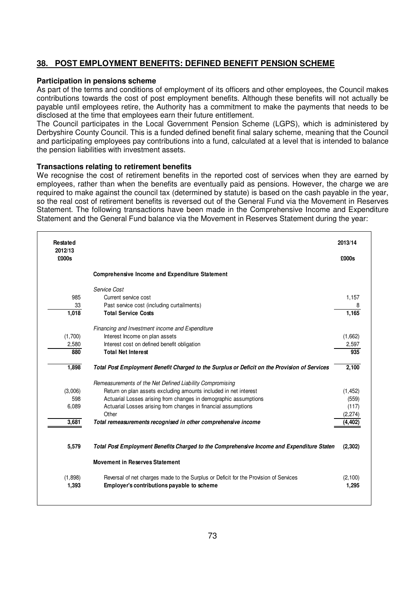# **38. POST EMPLOYMENT BENEFITS: DEFINED BENEFIT PENSION SCHEME**

#### **Participation in pensions scheme**

As part of the terms and conditions of employment of its officers and other employees, the Council makes contributions towards the cost of post employment benefits. Although these benefits will not actually be payable until employees retire, the Authority has a commitment to make the payments that needs to be disclosed at the time that employees earn their future entitlement.

The Council participates in the Local Government Pension Scheme (LGPS), which is administered by Derbyshire County Council. This is a funded defined benefit final salary scheme, meaning that the Council and participating employees pay contributions into a fund, calculated at a level that is intended to balance the pension liabilities with investment assets.

#### **Transactions relating to retirement benefits**

We recognise the cost of retirement benefits in the reported cost of services when they are earned by employees, rather than when the benefits are eventually paid as pensions. However, the charge we are required to make against the council tax (determined by statute) is based on the cash payable in the year, so the real cost of retirement benefits is reversed out of the General Fund via the Movement in Reserves Statement. The following transactions have been made in the Comprehensive Income and Expenditure Statement and the General Fund balance via the Movement in Reserves Statement during the year:

| <b>Restated</b><br>2012/13 |                                                                                              | 2013/14  |
|----------------------------|----------------------------------------------------------------------------------------------|----------|
| £000s                      |                                                                                              | £000s    |
|                            | <b>Comprehensive Income and Expenditure Statement</b>                                        |          |
|                            | Service Cost                                                                                 |          |
| 985                        | Current service cost                                                                         | 1,157    |
| 33                         | Past service cost (including curtailments)                                                   | 8        |
| 1,018                      | <b>Total Service Costs</b>                                                                   | 1,165    |
|                            | Financing and Investment income and Expenditure                                              |          |
| (1,700)                    | Interest Income on plan assets                                                               | (1,662)  |
| 2,580                      | Interest cost on defined benefit obligation                                                  | 2,597    |
| 880                        | <b>Total Net Interest</b>                                                                    | 935      |
| 1,898                      | Total Post Employment Benefit Charged to the Surplus or Deficit on the Provision of Services | 2,100    |
|                            | Remeasurements of the Net Defined Liability Compromising                                     |          |
| (3,006)                    | Return on plan assets excluding amounts included in net interest                             | (1, 452) |
| 598                        | Actuarial Losses arising from changes in demographic assumptions                             | (559)    |
| 6,089                      | Actuarial Losses arising from changes in financial assumptions                               | (117)    |
|                            | Other                                                                                        | (2, 274) |
| 3,681                      | Total remeasurements recognised in other comprehensive income                                | (4, 402) |
|                            |                                                                                              |          |
| 5,579                      | Total Post Employment Benefits Charged to the Comprehensive Income and Expenditure Staten    | (2,302)  |
|                            | <b>Movement in Reserves Statement</b>                                                        |          |
| (1,898)                    | Reversal of net charges made to the Surplus or Deficit for the Provision of Services         | (2,100)  |
| 1,393                      | Employer's contributions payable to scheme                                                   | 1,295    |
|                            |                                                                                              |          |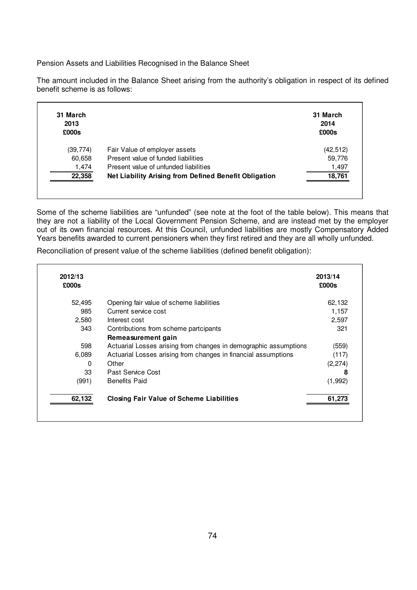Pension Assets and Liabilities Recognised in the Balance Sheet

The amount included in the Balance Sheet arising from the authority's obligation in respect of its defined benefit scheme is as follows:

| 31 March<br>2013<br>£000s |                                                       | 31 March<br>2014<br>£000s |
|---------------------------|-------------------------------------------------------|---------------------------|
| (39,774)                  | Fair Value of employer assets                         | (42, 512)                 |
| 60,658                    | Present value of funded liabilities                   | 59,776                    |
| 1,474                     | Present value of unfunded liabilities                 | 1,497                     |
| 22,358                    | Net Liability Arising from Defined Benefit Obligation | 18,761                    |

Some of the scheme liabilities are "unfunded" (see note at the foot of the table below). This means that they are not a liability of the Local Government Pension Scheme, and are instead met by the employer out of its own financial resources. At this Council, unfunded liabilities are mostly Compensatory Added Years benefits awarded to current pensioners when they first retired and they are all wholly unfunded.

Reconciliation of present value of the scheme liabilities (defined benefit obligation):

| 2012/13<br>£000s |                                                                  | 2013/14<br>£000s |
|------------------|------------------------------------------------------------------|------------------|
| 52,495           | Opening fair value of scheme liabilities                         | 62,132           |
| 985              | Current service cost                                             | 1,157            |
| 2,580            | Interest cost                                                    | 2,597            |
| 343              | Contributions from scheme partcipants                            | 321              |
|                  | Remeasurement gain                                               |                  |
| 598              | Actuarial Losses arising from changes in demographic assumptions | (559)            |
| 6,089            | Actuarial Losses arising from changes in financial assumptions   | (117)            |
| 0                | Other                                                            | (2, 274)         |
| 33               | Past Service Cost                                                | 8                |
| (991)            | <b>Benefits Paid</b>                                             | (1,992)          |
| 62,132           | <b>Closing Fair Value of Scheme Liabilities</b>                  | 61,273           |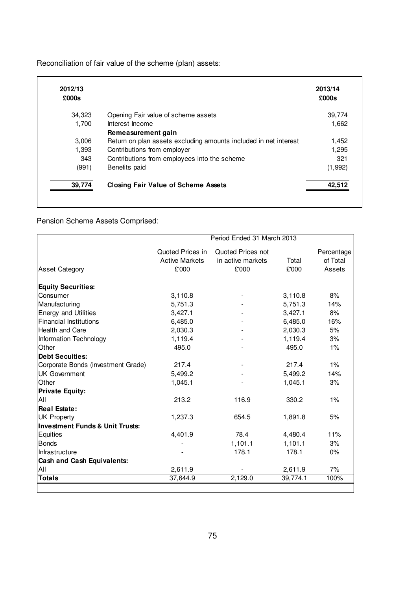Reconciliation of fair value of the scheme (plan) assets:

| 2012/13<br>£000s |                                                                  | 2013/14<br>£000s |
|------------------|------------------------------------------------------------------|------------------|
| 34,323           | Opening Fair value of scheme assets                              | 39,774           |
| 1,700            | Interest Income                                                  | 1,662            |
|                  | Remeasurement gain                                               |                  |
| 3,006            | Return on plan assets excluding amounts included in net interest | 1,452            |
| 1,393            | Contributions from employer                                      | 1,295            |
| 343              | Contributions from employees into the scheme                     | 321              |
| (991)            | Benefits paid                                                    | (1,992)          |
| 39,774           | <b>Closing Fair Value of Scheme Assets</b>                       | 42,512           |

Pension Scheme Assets Comprised:

|                                            | Period Ended 31 March 2013 |                   |          |            |
|--------------------------------------------|----------------------------|-------------------|----------|------------|
|                                            | Quoted Prices in           | Quoted Prices not |          | Percentage |
|                                            | <b>Active Markets</b>      | in active markets | Total    | of Total   |
| <b>Asset Category</b>                      | £'000                      | £'000             | £'000    | Assets     |
| <b>Equity Securities:</b>                  |                            |                   |          |            |
| Consumer                                   | 3,110.8                    |                   | 3,110.8  | 8%         |
| Manufacturing                              | 5,751.3                    |                   | 5,751.3  | 14%        |
| <b>Energy and Utilities</b>                | 3,427.1                    |                   | 3,427.1  | 8%         |
| <b>Financial Institutions</b>              | 6,485.0                    |                   | 6,485.0  | 16%        |
| Health and Care                            | 2,030.3                    |                   | 2,030.3  | 5%         |
| Information Technology                     | 1,119.4                    |                   | 1,119.4  | 3%         |
| Other                                      | 495.0                      |                   | 495.0    | 1%         |
| <b>Debt Secuities:</b>                     |                            |                   |          |            |
| Corporate Bonds (investment Grade)         | 217.4                      |                   | 217.4    | $1\%$      |
| <b>UK Government</b>                       | 5,499.2                    |                   | 5,499.2  | 14%        |
| Other                                      | 1,045.1                    |                   | 1,045.1  | 3%         |
| <b>Private Equity:</b>                     |                            |                   |          |            |
| All                                        | 213.2                      | 116.9             | 330.2    | $1\%$      |
| <b>Real Estate:</b>                        |                            |                   |          |            |
| <b>UK Property</b>                         | 1,237.3                    | 654.5             | 1,891.8  | 5%         |
| <b>Investment Funds &amp; Unit Trusts:</b> |                            |                   |          |            |
| Equities                                   | 4,401.9                    | 78.4              | 4,480.4  | 11%        |
| <b>Bonds</b>                               |                            | 1,101.1           | 1,101.1  | 3%         |
| Infrastructure                             |                            | 178.1             | 178.1    | $0\%$      |
| <b>Cash and Cash Equivalents:</b>          |                            |                   |          |            |
| All                                        | 2,611.9                    |                   | 2,611.9  | 7%         |
| <b>Totals</b>                              | 37,644.9                   | 2,129.0           | 39,774.1 | 100%       |
|                                            |                            |                   |          |            |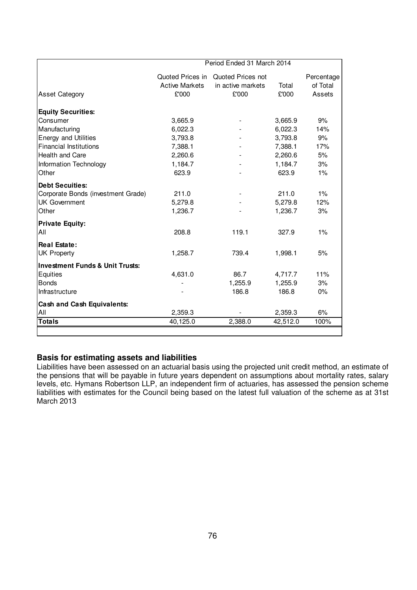|                                            | Period Ended 31 March 2014 |                                    |          |            |
|--------------------------------------------|----------------------------|------------------------------------|----------|------------|
|                                            |                            | Quoted Prices in Quoted Prices not |          | Percentage |
|                                            | <b>Active Markets</b>      | in active markets                  | Total    | of Total   |
| <b>Asset Category</b>                      | £'000                      | £'000                              | £'000    | Assets     |
| <b>Equity Securities:</b>                  |                            |                                    |          |            |
| Consumer                                   | 3,665.9                    |                                    | 3,665.9  | 9%         |
| Manufacturing                              | 6,022.3                    |                                    | 6,022.3  | 14%        |
| <b>Energy and Utilities</b>                | 3,793.8                    |                                    | 3,793.8  | 9%         |
| <b>Financial Institutions</b>              | 7,388.1                    |                                    | 7,388.1  | 17%        |
| <b>Health and Care</b>                     | 2,260.6                    |                                    | 2,260.6  | 5%         |
| Information Technology                     | 1,184.7                    |                                    | 1,184.7  | 3%         |
| Other                                      | 623.9                      |                                    | 623.9    | 1%         |
| <b>Debt Secuities:</b>                     |                            |                                    |          |            |
| Corporate Bonds (investment Grade)         | 211.0                      |                                    | 211.0    | $1\%$      |
| <b>UK Government</b>                       | 5,279.8                    |                                    | 5,279.8  | 12%        |
| Other                                      | 1,236.7                    |                                    | 1,236.7  | 3%         |
| <b>Private Equity:</b>                     |                            |                                    |          |            |
| All                                        | 208.8                      | 119.1                              | 327.9    | 1%         |
| <b>Real Estate:</b>                        |                            |                                    |          |            |
| <b>UK Property</b>                         | 1,258.7                    | 739.4                              | 1,998.1  | 5%         |
| <b>Investment Funds &amp; Unit Trusts:</b> |                            |                                    |          |            |
| Equities                                   | 4,631.0                    | 86.7                               | 4,717.7  | 11%        |
| <b>Bonds</b>                               |                            | 1,255.9                            | 1,255.9  | 3%         |
| Infrastructure                             |                            | 186.8                              | 186.8    | $0\%$      |
| <b>Cash and Cash Equivalents:</b>          |                            |                                    |          |            |
| All                                        | 2,359.3                    |                                    | 2,359.3  | 6%         |
| <b>Totals</b>                              | 40,125.0                   | 2,388.0                            | 42,512.0 | 100%       |

# **Basis for estimating assets and liabilities**

Liabilities have been assessed on an actuarial basis using the projected unit credit method, an estimate of the pensions that will be payable in future years dependent on assumptions about mortality rates, salary levels, etc. Hymans Robertson LLP, an independent firm of actuaries, has assessed the pension scheme liabilities with estimates for the Council being based on the latest full valuation of the scheme as at 31st March 2013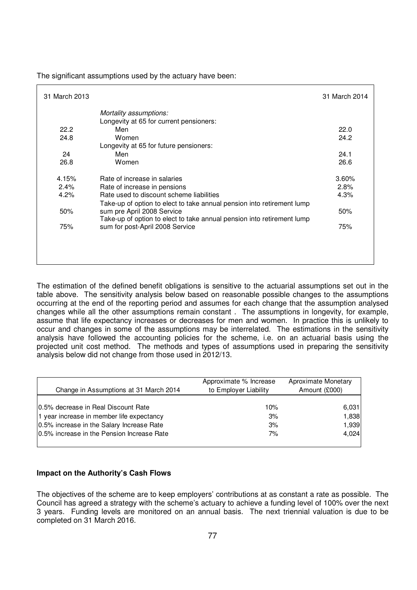| 31 March 2013 |                                                                        | 31 March 2014 |
|---------------|------------------------------------------------------------------------|---------------|
|               | Mortality assumptions:                                                 |               |
|               | Longevity at 65 for current pensioners:                                |               |
| 22.2          | Men                                                                    | 22.0          |
| 24.8          | Women                                                                  | 24.2          |
|               | Longevity at 65 for future pensioners:                                 |               |
| 24            | Men                                                                    | 24.1          |
| 26.8          | Women                                                                  | 26.6          |
| 4.15%         | Rate of increase in salaries                                           | 3.60%         |
| 2.4%          | Rate of increase in pensions                                           | 2.8%          |
| 4.2%          | Rate used to discount scheme liabilities                               | 4.3%          |
|               | Take-up of option to elect to take annual pension into retirement lump |               |
| 50%           | sum pre April 2008 Service                                             | 50%           |
|               | Take-up of option to elect to take annual pension into retirement lump |               |
| 75%           | sum for post-April 2008 Service                                        | 75%           |
|               |                                                                        |               |
|               |                                                                        |               |
|               |                                                                        |               |
|               |                                                                        |               |

The significant assumptions used by the actuary have been:

The estimation of the defined benefit obligations is sensitive to the actuarial assumptions set out in the table above. The sensitivity analysis below based on reasonable possible changes to the assumptions occurring at the end of the reporting period and assumes for each change that the assumption analysed changes while all the other assumptions remain constant . The assumptions in longevity, for example, assume that life expectancy increases or decreases for men and women. In practice this is unlikely to occur and changes in some of the assumptions may be interrelated. The estimations in the sensitivity analysis have followed the accounting policies for the scheme, i.e. on an actuarial basis using the projected unit cost method. The methods and types of assumptions used in preparing the sensitivity analysis below did not change from those used in 2012/13.

| Change in Assumptions at 31 March 2014     | Approximate % Increase<br>to Employer Liability | Aproximate Monetary<br>Amount (£000) |
|--------------------------------------------|-------------------------------------------------|--------------------------------------|
| 10.5% decrease in Real Discount Rate       | 10%                                             | 6,031                                |
| 1 year increase in member life expectancy  | 3%                                              | 1,838                                |
| 0.5% increase in the Salary Increase Rate  | 3%                                              | 1,939                                |
| 0.5% increase in the Pension Increase Rate | 7%                                              | 4.024                                |

#### **Impact on the Authority's Cash Flows**

The objectives of the scheme are to keep employers' contributions at as constant a rate as possible. The Council has agreed a strategy with the scheme's actuary to achieve a funding level of 100% over the next 3 years. Funding levels are monitored on an annual basis. The next triennial valuation is due to be completed on 31 March 2016.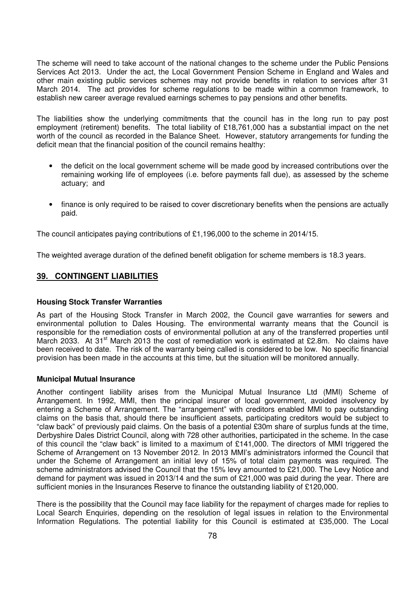The scheme will need to take account of the national changes to the scheme under the Public Pensions Services Act 2013. Under the act, the Local Government Pension Scheme in England and Wales and other main existing public services schemes may not provide benefits in relation to services after 31 March 2014. The act provides for scheme regulations to be made within a common framework, to establish new career average revalued earnings schemes to pay pensions and other benefits.

The liabilities show the underlying commitments that the council has in the long run to pay post employment (retirement) benefits. The total liability of £18,761,000 has a substantial impact on the net worth of the council as recorded in the Balance Sheet. However, statutory arrangements for funding the deficit mean that the financial position of the council remains healthy:

- the deficit on the local government scheme will be made good by increased contributions over the remaining working life of employees (i.e. before payments fall due), as assessed by the scheme actuary; and
- finance is only required to be raised to cover discretionary benefits when the pensions are actually paid.

The council anticipates paying contributions of £1,196,000 to the scheme in 2014/15.

The weighted average duration of the defined benefit obligation for scheme members is 18.3 years.

### **39. CONTINGENT LIABILITIES**

#### **Housing Stock Transfer Warranties**

As part of the Housing Stock Transfer in March 2002, the Council gave warranties for sewers and environmental pollution to Dales Housing. The environmental warranty means that the Council is responsible for the remediation costs of environmental pollution at any of the transferred properties until March 2033. At 31<sup>st</sup> March 2013 the cost of remediation work is estimated at £2.8m. No claims have been received to date. The risk of the warranty being called is considered to be low. No specific financial provision has been made in the accounts at this time, but the situation will be monitored annually.

#### **Municipal Mutual Insurance**

Another contingent liability arises from the Municipal Mutual Insurance Ltd (MMI) Scheme of Arrangement. In 1992, MMI, then the principal insurer of local government, avoided insolvency by entering a Scheme of Arrangement. The "arrangement" with creditors enabled MMI to pay outstanding claims on the basis that, should there be insufficient assets, participating creditors would be subject to "claw back" of previously paid claims. On the basis of a potential £30m share of surplus funds at the time, Derbyshire Dales District Council, along with 728 other authorities, participated in the scheme. In the case of this council the "claw back" is limited to a maximum of £141,000. The directors of MMI triggered the Scheme of Arrangement on 13 November 2012. In 2013 MMI's administrators informed the Council that under the Scheme of Arrangement an initial levy of 15% of total claim payments was required. The scheme administrators advised the Council that the 15% levy amounted to £21,000. The Levy Notice and demand for payment was issued in 2013/14 and the sum of £21,000 was paid during the year. There are sufficient monies in the Insurances Reserve to finance the outstanding liability of £120,000.

There is the possibility that the Council may face liability for the repayment of charges made for replies to Local Search Enquiries, depending on the resolution of legal issues in relation to the Environmental Information Regulations. The potential liability for this Council is estimated at £35,000. The Local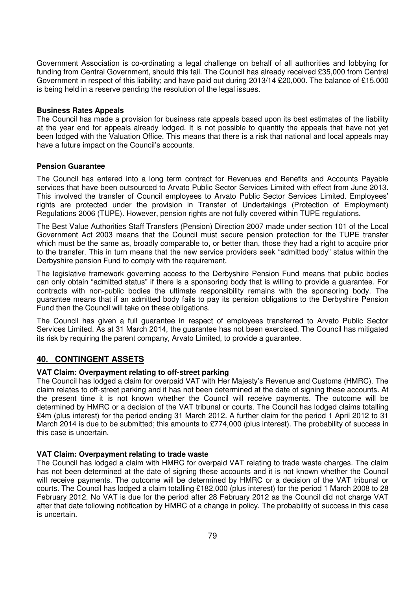Government Association is co-ordinating a legal challenge on behalf of all authorities and lobbying for funding from Central Government, should this fail. The Council has already received £35,000 from Central Government in respect of this liability; and have paid out during 2013/14 £20,000. The balance of £15,000 is being held in a reserve pending the resolution of the legal issues.

#### **Business Rates Appeals**

The Council has made a provision for business rate appeals based upon its best estimates of the liability at the year end for appeals already lodged. It is not possible to quantify the appeals that have not yet been lodged with the Valuation Office. This means that there is a risk that national and local appeals may have a future impact on the Council's accounts.

#### **Pension Guarantee**

The Council has entered into a long term contract for Revenues and Benefits and Accounts Payable services that have been outsourced to Arvato Public Sector Services Limited with effect from June 2013. This involved the transfer of Council employees to Arvato Public Sector Services Limited. Employees' rights are protected under the provision in Transfer of Undertakings (Protection of Employment) Regulations 2006 (TUPE). However, pension rights are not fully covered within TUPE regulations.

The Best Value Authorities Staff Transfers (Pension) Direction 2007 made under section 101 of the Local Government Act 2003 means that the Council must secure pension protection for the TUPE transfer which must be the same as, broadly comparable to, or better than, those they had a right to acquire prior to the transfer. This in turn means that the new service providers seek "admitted body" status within the Derbyshire pension Fund to comply with the requirement.

The legislative framework governing access to the Derbyshire Pension Fund means that public bodies can only obtain "admitted status" if there is a sponsoring body that is willing to provide a guarantee. For contracts with non-public bodies the ultimate responsibility remains with the sponsoring body. The guarantee means that if an admitted body fails to pay its pension obligations to the Derbyshire Pension Fund then the Council will take on these obligations.

The Council has given a full guarantee in respect of employees transferred to Arvato Public Sector Services Limited. As at 31 March 2014, the guarantee has not been exercised. The Council has mitigated its risk by requiring the parent company, Arvato Limited, to provide a guarantee.

### **40. CONTINGENT ASSETS**

#### **VAT Claim: Overpayment relating to off-street parking**

The Council has lodged a claim for overpaid VAT with Her Majesty's Revenue and Customs (HMRC). The claim relates to off-street parking and it has not been determined at the date of signing these accounts. At the present time it is not known whether the Council will receive payments. The outcome will be determined by HMRC or a decision of the VAT tribunal or courts. The Council has lodged claims totalling £4m (plus interest) for the period ending 31 March 2012. A further claim for the period 1 April 2012 to 31 March 2014 is due to be submitted; this amounts to £774,000 (plus interest). The probability of success in this case is uncertain.

#### **VAT Claim: Overpayment relating to trade waste**

The Council has lodged a claim with HMRC for overpaid VAT relating to trade waste charges. The claim has not been determined at the date of signing these accounts and it is not known whether the Council will receive payments. The outcome will be determined by HMRC or a decision of the VAT tribunal or courts. The Council has lodged a claim totalling £182,000 (plus interest) for the period 1 March 2008 to 28 February 2012. No VAT is due for the period after 28 February 2012 as the Council did not charge VAT after that date following notification by HMRC of a change in policy. The probability of success in this case is uncertain.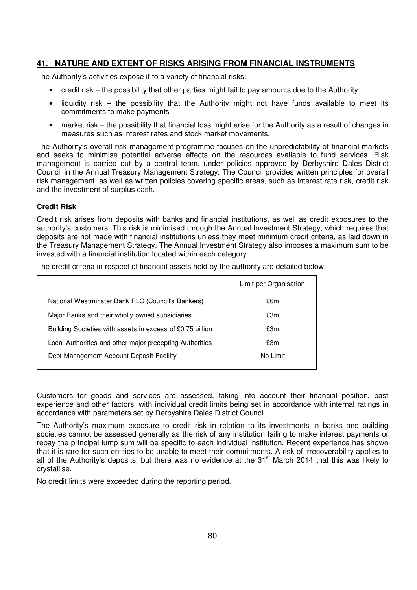# **41. NATURE AND EXTENT OF RISKS ARISING FROM FINANCIAL INSTRUMENTS**

The Authority's activities expose it to a variety of financial risks:

- credit risk the possibility that other parties might fail to pay amounts due to the Authority
- liquidity risk the possibility that the Authority might not have funds available to meet its commitments to make payments
- market risk the possibility that financial loss might arise for the Authority as a result of changes in measures such as interest rates and stock market movements.

The Authority's overall risk management programme focuses on the unpredictability of financial markets and seeks to minimise potential adverse effects on the resources available to fund services. Risk management is carried out by a central team, under policies approved by Derbyshire Dales District Council in the Annual Treasury Management Strategy. The Council provides written principles for overall risk management, as well as written policies covering specific areas, such as interest rate risk, credit risk and the investment of surplus cash.

### **Credit Risk**

Credit risk arises from deposits with banks and financial institutions, as well as credit exposures to the authority's customers. This risk is minimised through the Annual Investment Strategy, which requires that deposits are not made with financial institutions unless they meet minimum credit criteria, as laid down in the Treasury Management Strategy. The Annual Investment Strategy also imposes a maximum sum to be invested with a financial institution located within each category.

The credit criteria in respect of financial assets held by the authority are detailed below:

|                                                           | Limit per Organisation |
|-----------------------------------------------------------|------------------------|
| National Westminster Bank PLC (Council's Bankers)         | £6m                    |
| Major Banks and their wholly owned subsidiaries           | £3m                    |
| Building Societies with assets in excess of £0.75 billion | £3m                    |
| Local Authorities and other major precepting Authorities  | £3m                    |
| Debt Management Account Deposit Facility                  | No Limit               |
|                                                           |                        |

Customers for goods and services are assessed, taking into account their financial position, past experience and other factors, with individual credit limits being set in accordance with internal ratings in accordance with parameters set by Derbyshire Dales District Council.

The Authority's maximum exposure to credit risk in relation to its investments in banks and building societies cannot be assessed generally as the risk of any institution failing to make interest payments or repay the principal lump sum will be specific to each individual institution. Recent experience has shown that it is rare for such entities to be unable to meet their commitments. A risk of irrecoverability applies to all of the Authority's deposits, but there was no evidence at the 31<sup>st</sup> March 2014 that this was likely to crystallise.

No credit limits were exceeded during the reporting period.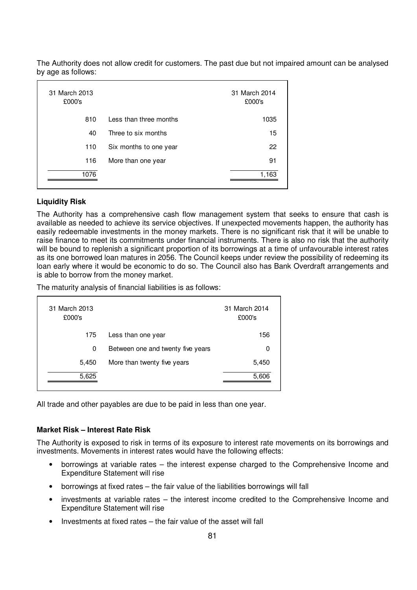| 31 March 2013<br>£000's |                        | 31 March 2014<br>£000's |
|-------------------------|------------------------|-------------------------|
| 810                     | Less than three months | 1035                    |
| 40                      | Three to six months    | 15                      |
| 110                     | Six months to one year | 22                      |
| 116                     | More than one year     | 91                      |
| 1076                    |                        | 1,163                   |
|                         |                        |                         |

The Authority does not allow credit for customers. The past due but not impaired amount can be analysed by age as follows:

#### **Liquidity Risk**

The Authority has a comprehensive cash flow management system that seeks to ensure that cash is available as needed to achieve its service objectives. If unexpected movements happen, the authority has easily redeemable investments in the money markets. There is no significant risk that it will be unable to raise finance to meet its commitments under financial instruments. There is also no risk that the authority will be bound to replenish a significant proportion of its borrowings at a time of unfavourable interest rates as its one borrowed loan matures in 2056. The Council keeps under review the possibility of redeeming its loan early where it would be economic to do so. The Council also has Bank Overdraft arrangements and is able to borrow from the money market.

The maturity analysis of financial liabilities is as follows:

| 31 March 2013<br>£000's |                                   | 31 March 2014<br>£000's |
|-------------------------|-----------------------------------|-------------------------|
| 175                     | Less than one year                | 156                     |
| 0                       | Between one and twenty five years | 0                       |
| 5,450                   | More than twenty five years       | 5,450                   |
| 5,625                   |                                   | 5,606                   |
|                         |                                   |                         |

All trade and other payables are due to be paid in less than one year.

#### **Market Risk – Interest Rate Risk**

The Authority is exposed to risk in terms of its exposure to interest rate movements on its borrowings and investments. Movements in interest rates would have the following effects:

- borrowings at variable rates the interest expense charged to the Comprehensive Income and Expenditure Statement will rise
- borrowings at fixed rates the fair value of the liabilities borrowings will fall
- investments at variable rates the interest income credited to the Comprehensive Income and Expenditure Statement will rise
- Investments at fixed rates the fair value of the asset will fall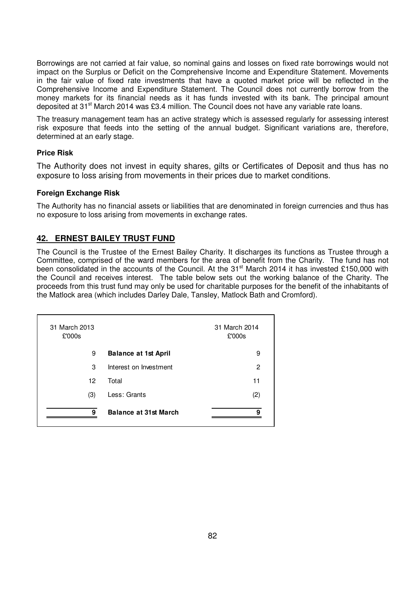Borrowings are not carried at fair value, so nominal gains and losses on fixed rate borrowings would not impact on the Surplus or Deficit on the Comprehensive Income and Expenditure Statement. Movements in the fair value of fixed rate investments that have a quoted market price will be reflected in the Comprehensive Income and Expenditure Statement. The Council does not currently borrow from the money markets for its financial needs as it has funds invested with its bank. The principal amount deposited at 31<sup>st</sup> March 2014 was £3.4 million. The Council does not have any variable rate loans.

The treasury management team has an active strategy which is assessed regularly for assessing interest risk exposure that feeds into the setting of the annual budget. Significant variations are, therefore, determined at an early stage.

### **Price Risk**

The Authority does not invest in equity shares, gilts or Certificates of Deposit and thus has no exposure to loss arising from movements in their prices due to market conditions.

#### **Foreign Exchange Risk**

The Authority has no financial assets or liabilities that are denominated in foreign currencies and thus has no exposure to loss arising from movements in exchange rates.

### **42. ERNEST BAILEY TRUST FUND**

The Council is the Trustee of the Ernest Bailey Charity. It discharges its functions as Trustee through a Committee, comprised of the ward members for the area of benefit from the Charity. The fund has not been consolidated in the accounts of the Council. At the 31<sup>st</sup> March 2014 it has invested £150,000 with the Council and receives interest. The table below sets out the working balance of the Charity. The proceeds from this trust fund may only be used for charitable purposes for the benefit of the inhabitants of the Matlock area (which includes Darley Dale, Tansley, Matlock Bath and Cromford).

| 31 March 2013<br>£'000s |                              | 31 March 2014<br>£'000s |
|-------------------------|------------------------------|-------------------------|
| 9                       | <b>Balance at 1st April</b>  | 9                       |
| 3                       | Interest on Investment       | 2                       |
| 12                      | Total                        | 11                      |
| (3)                     | Less: Grants                 | (2)                     |
| 9                       | <b>Balance at 31st March</b> | 9                       |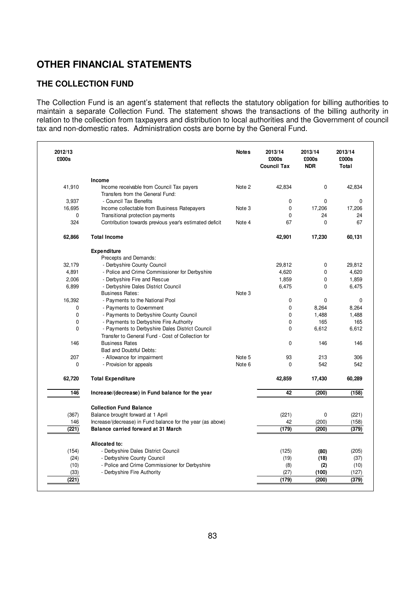# **OTHER FINANCIAL STATEMENTS**

# **THE COLLECTION FUND**

The Collection Fund is an agent's statement that reflects the statutory obligation for billing authorities to maintain a separate Collection Fund. The statement shows the transactions of the billing authority in relation to the collection from taxpayers and distribution to local authorities and the Government of council tax and non-domestic rates. Administration costs are borne by the General Fund.

| 2012/13<br>£000s |                                                             | <b>Notes</b> | 2013/14<br>£000s<br><b>Council Tax</b> | 2013/14<br>£000s<br><b>NDR</b> | 2013/14<br>£000s<br>Total |
|------------------|-------------------------------------------------------------|--------------|----------------------------------------|--------------------------------|---------------------------|
|                  | Income                                                      |              |                                        |                                |                           |
| 41,910           | Income receivable from Council Tax payers                   | Note 2       | 42,834                                 | 0                              | 42,834                    |
|                  | Transfers from the General Fund:                            |              |                                        |                                |                           |
| 3,937            | - Council Tax Benefits                                      |              | $\mathbf 0$                            | 0                              | 0                         |
| 16,695           | Income collectable from Business Ratepayers                 | Note 3       | $\pmb{0}$                              | 17,206                         | 17,206                    |
| $\mathbf 0$      | Transitional protection payments                            |              | $\mathbf 0$                            | 24                             | 24                        |
| 324              | Contribution towards previous year's estimated deficit      | Note 4       | 67                                     | $\Omega$                       | 67                        |
| 62,866           | <b>Total Income</b>                                         |              | 42,901                                 | 17,230                         | 60,131                    |
|                  | <b>Expenditure</b>                                          |              |                                        |                                |                           |
|                  | Precepts and Demands:                                       |              |                                        |                                |                           |
| 32,179           | - Derbyshire County Council                                 |              | 29,812                                 | 0                              | 29,812                    |
| 4,891            | - Police and Crime Commissioner for Derbyshire              |              | 4,620                                  | $\mathbf{0}$                   | 4,620                     |
| 2,006            | - Derbyshire Fire and Rescue                                |              | 1,859                                  | 0                              | 1,859                     |
| 6,899            | - Derbyshire Dales District Council                         |              | 6,475                                  | 0                              | 6,475                     |
|                  | <b>Business Rates:</b>                                      | Note 3       |                                        |                                |                           |
| 16,392           | - Payments to the National Pool                             |              | $\mathbf 0$                            | $\mathbf{0}$                   | 0                         |
| 0                | - Payments to Government                                    |              | $\mathbf 0$                            | 8,264                          | 8,264                     |
| 0                | - Payments to Derbyshire County Council                     |              | $\mathbf 0$                            | 1,488                          | 1,488                     |
| 0                | - Payments to Derbyshire Fire Authority                     |              | 0                                      | 165                            | 165                       |
| $\mathbf{0}$     | - Payments to Derbyshire Dales District Council             |              | $\Omega$                               | 6,612                          | 6,612                     |
|                  | Transfer to General Fund - Cost of Collection for           |              |                                        |                                |                           |
| 146              | <b>Business Rates</b>                                       |              | $\mathbf 0$                            | 146                            | 146                       |
|                  | Bad and Doubtful Debts:                                     |              |                                        |                                |                           |
| 207              | - Allowance for impairment                                  | Note 5       | 93                                     | 213                            | 306                       |
| 0                | - Provision for appeals                                     | Note 6       | $\mathbf 0$                            | 542                            | 542                       |
| 62,720           | <b>Total Expenditure</b>                                    |              | 42,859                                 | 17,430                         | 60,289                    |
| 146              | Increase/(decrease) in Fund balance for the year            |              | 42                                     | (200)                          | (158)                     |
|                  | <b>Collection Fund Balance</b>                              |              |                                        |                                |                           |
| (367)            | Balance brought forward at 1 April                          |              | (221)                                  | $\pmb{0}$                      | (221)                     |
| 146              | Increase/(decrease) in Fund balance for the year (as above) |              | 42                                     | (200)                          | (158)                     |
| (221)            | Balance carried forward at 31 March                         |              | (179)                                  | (200)                          | (379)                     |
|                  | Allocated to:                                               |              |                                        |                                |                           |
| (154)            | - Derbyshire Dales District Council                         |              | (125)                                  | (80)                           | (205)                     |
| (24)             | - Derbyshire County Council                                 |              | (19)                                   | (18)                           | (37)                      |
| (10)             | - Police and Crime Commissioner for Derbyshire              |              | (8)                                    | (2)                            | (10)                      |
| (33)             | - Derbyshire Fire Authority                                 |              | (27)                                   | (100)                          | (127)                     |
|                  |                                                             |              |                                        |                                |                           |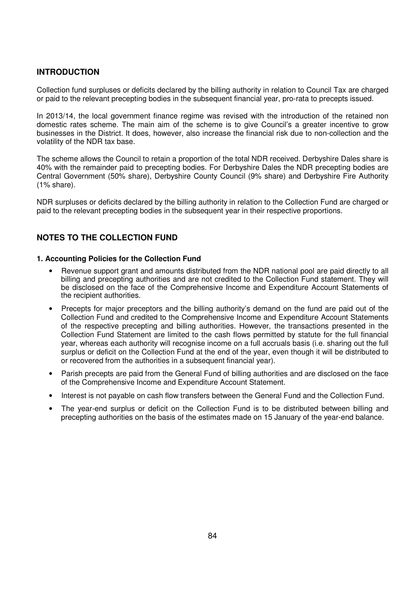# **INTRODUCTION**

Collection fund surpluses or deficits declared by the billing authority in relation to Council Tax are charged or paid to the relevant precepting bodies in the subsequent financial year, pro-rata to precepts issued.

In 2013/14, the local government finance regime was revised with the introduction of the retained non domestic rates scheme. The main aim of the scheme is to give Council's a greater incentive to grow businesses in the District. It does, however, also increase the financial risk due to non-collection and the volatility of the NDR tax base.

The scheme allows the Council to retain a proportion of the total NDR received. Derbyshire Dales share is 40% with the remainder paid to precepting bodies. For Derbyshire Dales the NDR precepting bodies are Central Government (50% share), Derbyshire County Council (9% share) and Derbyshire Fire Authority (1% share).

NDR surpluses or deficits declared by the billing authority in relation to the Collection Fund are charged or paid to the relevant precepting bodies in the subsequent year in their respective proportions.

# **NOTES TO THE COLLECTION FUND**

#### **1. Accounting Policies for the Collection Fund**

- Revenue support grant and amounts distributed from the NDR national pool are paid directly to all billing and precepting authorities and are not credited to the Collection Fund statement. They will be disclosed on the face of the Comprehensive Income and Expenditure Account Statements of the recipient authorities.
- Precepts for major preceptors and the billing authority's demand on the fund are paid out of the Collection Fund and credited to the Comprehensive Income and Expenditure Account Statements of the respective precepting and billing authorities. However, the transactions presented in the Collection Fund Statement are limited to the cash flows permitted by statute for the full financial year, whereas each authority will recognise income on a full accruals basis (i.e. sharing out the full surplus or deficit on the Collection Fund at the end of the year, even though it will be distributed to or recovered from the authorities in a subsequent financial year).
- Parish precepts are paid from the General Fund of billing authorities and are disclosed on the face of the Comprehensive Income and Expenditure Account Statement.
- Interest is not payable on cash flow transfers between the General Fund and the Collection Fund.
- The year-end surplus or deficit on the Collection Fund is to be distributed between billing and precepting authorities on the basis of the estimates made on 15 January of the year-end balance.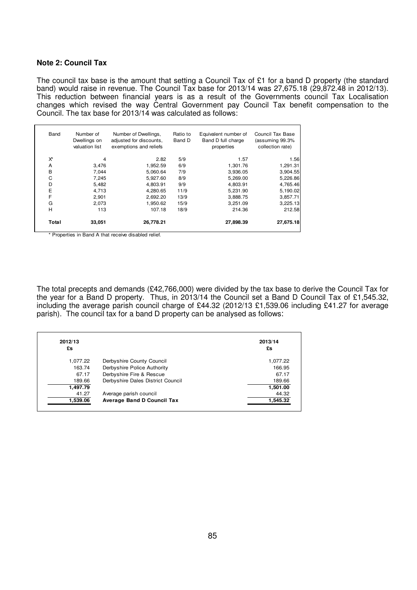#### **Note 2: Council Tax**

The council tax base is the amount that setting a Council Tax of £1 for a band D property (the standard band) would raise in revenue. The Council Tax base for 2013/14 was 27,675.18 (29,872.48 in 2012/13). This reduction between financial years is as a result of the Governments council Tax Localisation changes which revised the way Central Government pay Council Tax benefit compensation to the Council. The tax base for 2013/14 was calculated as follows:

| Band  | Number of<br>Dwellings on<br>valuation list | Number of Dwellings,<br>adjusted for discounts,<br>exemptions and reliefs | Ratio to<br>Band D | Equivalent number of<br>Band D full charge<br>properties | Council Tax Base<br>(assuming 99.3%<br>collection rate) |
|-------|---------------------------------------------|---------------------------------------------------------------------------|--------------------|----------------------------------------------------------|---------------------------------------------------------|
| X*    | 4                                           | 2.82                                                                      | 5/9                | 1.57                                                     | 1.56                                                    |
| A     | 3,476                                       | 1,952.59                                                                  | 6/9                | 1,301.76                                                 | 1,291.31                                                |
| B     | 7.044                                       | 5,060.64                                                                  | 7/9                | 3,936.05                                                 | 3,904.55                                                |
| C     | 7,245                                       | 5,927.60                                                                  | 8/9                | 5,269.00                                                 | 5,226.86                                                |
| D     | 5,482                                       | 4,803.91                                                                  | 9/9                | 4,803.91                                                 | 4,765.46                                                |
| E     | 4,713                                       | 4,280.65                                                                  | 11/9               | 5.231.90                                                 | 5,190.02                                                |
| F     | 2,901                                       | 2,692.20                                                                  | 13/9               | 3,888.75                                                 | 3,857.71                                                |
| G     | 2.073                                       | 1,950.62                                                                  | 15/9               | 3,251.09                                                 | 3,225.13                                                |
| H     | 113                                         | 107.18                                                                    | 18/9               | 214.36                                                   | 212.58                                                  |
| Total | 33,051                                      | 26.778.21                                                                 |                    | 27,898.39                                                | 27,675.18                                               |

\* Properties in Band A that receive disabled relief.

The total precepts and demands (£42,766,000) were divided by the tax base to derive the Council Tax for the year for a Band D property. Thus, in 2013/14 the Council set a Band D Council Tax of £1,545.32, including the average parish council charge of £44.32 (2012/13 £1,539.06 including £41.27 for average parish). The council tax for a band D property can be analysed as follows:

| 2012/13  |                                   | 2013/14  |
|----------|-----------------------------------|----------|
| £s       |                                   | £s       |
| 1,077.22 | Derbyshire County Council         | 1,077.22 |
| 163.74   | Derbyshire Police Authority       | 166.95   |
| 67.17    | Derbyshire Fire & Rescue          | 67.17    |
| 189.66   | Derbyshire Dales District Council | 189.66   |
| 1,497.79 |                                   | 1,501.00 |
| 41.27    | Average parish council            | 44.32    |
| 1,539.06 | <b>Average Band D Council Tax</b> | 1,545.32 |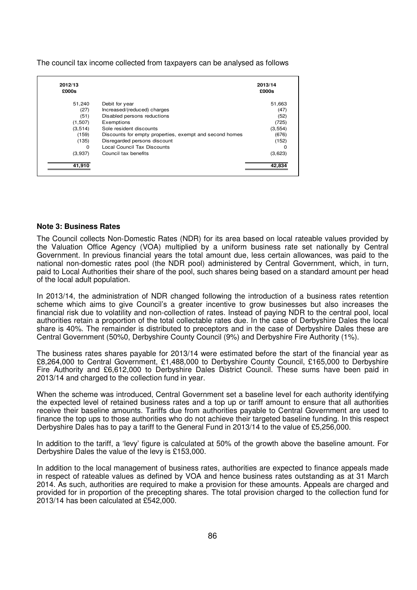The council tax income collected from taxpayers can be analysed as follows

| 2012/13<br>£000s |                                                         | 2013/14<br>£000s |
|------------------|---------------------------------------------------------|------------------|
| 51,240           | Debit for year                                          | 51,663           |
| (27)             | Increased/(reduced) charges                             | (47)             |
| (51)             | Disabled persons reductions                             | (52)             |
| (1,507)          | Exemptions                                              | (725)            |
| (3, 514)         | Sole resident discounts                                 | (3, 554)         |
| (159)            | Discounts for empty properties, exempt and second homes | (676)            |
| (135)            | Disregarded persons discount                            | (152)            |
| $\Omega$         | Local Council Tax Discounts                             | 0                |
| (3,937)          | Council tax benefits                                    | (3,623)          |
| 41,910           |                                                         | 42,834           |

#### **Note 3: Business Rates**

The Council collects Non-Domestic Rates (NDR) for its area based on local rateable values provided by the Valuation Office Agency (VOA) multiplied by a uniform business rate set nationally by Central Government. In previous financial years the total amount due, less certain allowances, was paid to the national non-domestic rates pool (the NDR pool) administered by Central Government, which, in turn, paid to Local Authorities their share of the pool, such shares being based on a standard amount per head of the local adult population.

In 2013/14, the administration of NDR changed following the introduction of a business rates retention scheme which aims to give Council's a greater incentive to grow businesses but also increases the financial risk due to volatility and non-collection of rates. Instead of paying NDR to the central pool, local authorities retain a proportion of the total collectable rates due. In the case of Derbyshire Dales the local share is 40%. The remainder is distributed to preceptors and in the case of Derbyshire Dales these are Central Government (50%0, Derbyshire County Council (9%) and Derbyshire Fire Authority (1%).

The business rates shares payable for 2013/14 were estimated before the start of the financial year as £8,264,000 to Central Government, £1,488,000 to Derbyshire County Council, £165,000 to Derbyshire Fire Authority and £6,612,000 to Derbyshire Dales District Council. These sums have been paid in 2013/14 and charged to the collection fund in year.

When the scheme was introduced, Central Government set a baseline level for each authority identifying the expected level of retained business rates and a top up or tariff amount to ensure that all authorities receive their baseline amounts. Tariffs due from authorities payable to Central Government are used to finance the top ups to those authorities who do not achieve their targeted baseline funding. In this respect Derbyshire Dales has to pay a tariff to the General Fund in 2013/14 to the value of £5,256,000.

In addition to the tariff, a 'levy' figure is calculated at 50% of the growth above the baseline amount. For Derbyshire Dales the value of the levy is £153,000.

In addition to the local management of business rates, authorities are expected to finance appeals made in respect of rateable values as defined by VOA and hence business rates outstanding as at 31 March 2014. As such, authorities are required to make a provision for these amounts. Appeals are charged and provided for in proportion of the precepting shares. The total provision charged to the collection fund for 2013/14 has been calculated at £542,000.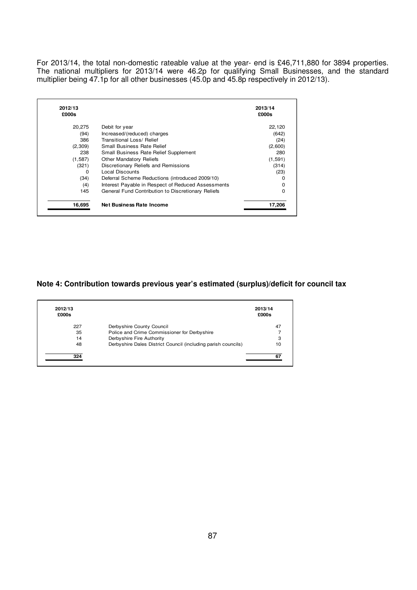For 2013/14, the total non-domestic rateable value at the year- end is £46,711,880 for 3894 properties. The national multipliers for 2013/14 were 46.2p for qualifying Small Businesses, and the standard multiplier being 47.1p for all other businesses (45.0p and 45.8p respectively in 2012/13).

| 2012/13<br>£000s |                                                    | 2013/14<br>£000s |
|------------------|----------------------------------------------------|------------------|
|                  |                                                    |                  |
| 20,275           | Debit for year                                     | 22,120           |
| (94)             | Increased/(reduced) charges                        | (642)            |
| 386              | Transitional Loss/ Relief                          | (24)             |
| (2,309)          | <b>Small Business Rate Relief</b>                  | (2,600)          |
| 238              | Small Business Rate Relief Supplement              | 280              |
| (1,587)          | <b>Other Mandatory Reliefs</b>                     | (1, 591)         |
| (321)            | Discretionary Reliefs and Remissions               | (314)            |
| 0                | Local Discounts                                    | (23)             |
| (34)             | Deferral Scheme Reductions (introduced 2009/10)    | 0                |
| (4)              | Interest Payable in Respect of Reduced Assessments | 0                |
| 145              | General Fund Contribution to Discretionary Reliefs | O                |
|                  |                                                    |                  |
| 16,695           | Net Business Rate Income                           | 17.206           |

### **Note 4: Contribution towards previous year's estimated (surplus)/deficit for council tax**

| 2012/13<br>£000s |                                                               | 2013/14<br>£000s |
|------------------|---------------------------------------------------------------|------------------|
| 227              | Derbyshire County Council                                     | 47               |
| 35               | Police and Crime Commissioner for Derbyshire                  |                  |
| 14               | Derbyshire Fire Authority                                     | 3                |
| 48               | Derbyshire Dales District Council (including parish councils) | 10               |
| 324              |                                                               |                  |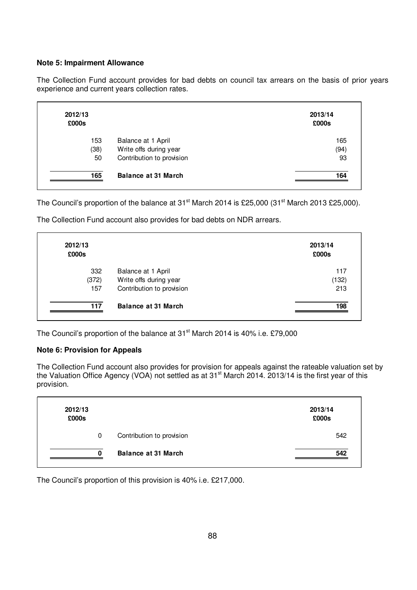#### **Note 5: Impairment Allowance**

The Collection Fund account provides for bad debts on council tax arrears on the basis of prior years experience and current years collection rates.

| 2012/13<br>£000s |                            | 2013/14<br>£000s |
|------------------|----------------------------|------------------|
| 153              | Balance at 1 April         | 165              |
| (38)             | Write offs during year     | (94)             |
| 50               | Contribution to provision  | 93               |
| 165              | <b>Balance at 31 March</b> | 164              |

The Council's proportion of the balance at  $31<sup>st</sup>$  March 2014 is £25,000 (31 $<sup>st</sup>$  March 2013 £25,000).</sup>

The Collection Fund account also provides for bad debts on NDR arrears.

| 2012/13<br>£000s |                            | 2013/14<br>£000s |
|------------------|----------------------------|------------------|
| 332              | Balance at 1 April         | 117              |
| (372)            | Write offs during year     | (132)            |
| 157              | Contribution to provision  | 213              |
| 117              | <b>Balance at 31 March</b> | 198              |

The Council's proportion of the balance at 31<sup>st</sup> March 2014 is 40% i.e. £79,000

### **Note 6: Provision for Appeals**

The Collection Fund account also provides for provision for appeals against the rateable valuation set by the Valuation Office Agency (VOA) not settled as at 31<sup>st</sup> March 2014. 2013/14 is the first year of this provision.

| 2012/13<br>£000s |                            | 2013/14<br>£000s |
|------------------|----------------------------|------------------|
| 0                | Contribution to provision  | 542              |
| $\Omega$         | <b>Balance at 31 March</b> | 542              |

The Council's proportion of this provision is 40% i.e. £217,000.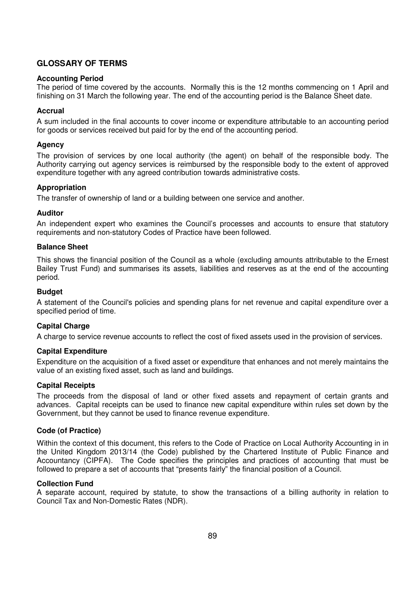# **GLOSSARY OF TERMS**

#### **Accounting Period**

The period of time covered by the accounts. Normally this is the 12 months commencing on 1 April and finishing on 31 March the following year. The end of the accounting period is the Balance Sheet date.

#### **Accrual**

A sum included in the final accounts to cover income or expenditure attributable to an accounting period for goods or services received but paid for by the end of the accounting period.

#### **Agency**

The provision of services by one local authority (the agent) on behalf of the responsible body. The Authority carrying out agency services is reimbursed by the responsible body to the extent of approved expenditure together with any agreed contribution towards administrative costs.

#### **Appropriation**

The transfer of ownership of land or a building between one service and another.

#### **Auditor**

An independent expert who examines the Council's processes and accounts to ensure that statutory requirements and non-statutory Codes of Practice have been followed.

#### **Balance Sheet**

This shows the financial position of the Council as a whole (excluding amounts attributable to the Ernest Bailey Trust Fund) and summarises its assets, liabilities and reserves as at the end of the accounting period.

#### **Budget**

A statement of the Council's policies and spending plans for net revenue and capital expenditure over a specified period of time.

#### **Capital Charge**

A charge to service revenue accounts to reflect the cost of fixed assets used in the provision of services.

#### **Capital Expenditure**

Expenditure on the acquisition of a fixed asset or expenditure that enhances and not merely maintains the value of an existing fixed asset, such as land and buildings.

#### **Capital Receipts**

The proceeds from the disposal of land or other fixed assets and repayment of certain grants and advances. Capital receipts can be used to finance new capital expenditure within rules set down by the Government, but they cannot be used to finance revenue expenditure.

#### **Code (of Practice)**

Within the context of this document, this refers to the Code of Practice on Local Authority Accounting in in the United Kingdom 2013/14 (the Code) published by the Chartered Institute of Public Finance and Accountancy (CIPFA). The Code specifies the principles and practices of accounting that must be followed to prepare a set of accounts that "presents fairly" the financial position of a Council.

#### **Collection Fund**

A separate account, required by statute, to show the transactions of a billing authority in relation to Council Tax and Non-Domestic Rates (NDR).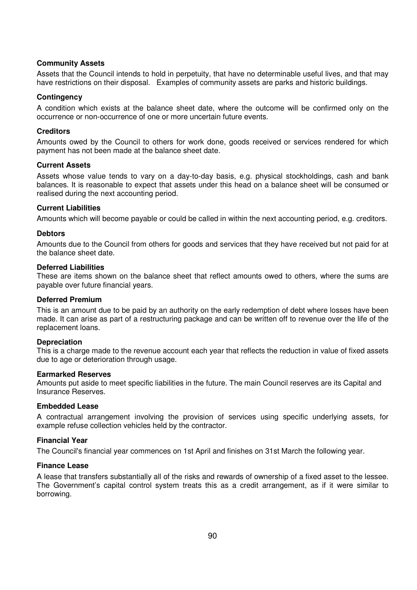#### **Community Assets**

Assets that the Council intends to hold in perpetuity, that have no determinable useful lives, and that may have restrictions on their disposal. Examples of community assets are parks and historic buildings.

#### **Contingency**

A condition which exists at the balance sheet date, where the outcome will be confirmed only on the occurrence or non-occurrence of one or more uncertain future events.

#### **Creditors**

Amounts owed by the Council to others for work done, goods received or services rendered for which payment has not been made at the balance sheet date.

#### **Current Assets**

Assets whose value tends to vary on a day-to-day basis, e.g. physical stockholdings, cash and bank balances. It is reasonable to expect that assets under this head on a balance sheet will be consumed or realised during the next accounting period.

#### **Current Liabilities**

Amounts which will become payable or could be called in within the next accounting period, e.g. creditors.

#### **Debtors**

Amounts due to the Council from others for goods and services that they have received but not paid for at the balance sheet date.

#### **Deferred Liabilities**

These are items shown on the balance sheet that reflect amounts owed to others, where the sums are payable over future financial years.

#### **Deferred Premium**

This is an amount due to be paid by an authority on the early redemption of debt where losses have been made. It can arise as part of a restructuring package and can be written off to revenue over the life of the replacement loans.

#### **Depreciation**

This is a charge made to the revenue account each year that reflects the reduction in value of fixed assets due to age or deterioration through usage.

#### **Earmarked Reserves**

Amounts put aside to meet specific liabilities in the future. The main Council reserves are its Capital and Insurance Reserves.

#### **Embedded Lease**

A contractual arrangement involving the provision of services using specific underlying assets, for example refuse collection vehicles held by the contractor.

#### **Financial Year**

The Council's financial year commences on 1st April and finishes on 31st March the following year.

#### **Finance Lease**

A lease that transfers substantially all of the risks and rewards of ownership of a fixed asset to the lessee. The Government's capital control system treats this as a credit arrangement, as if it were similar to borrowing.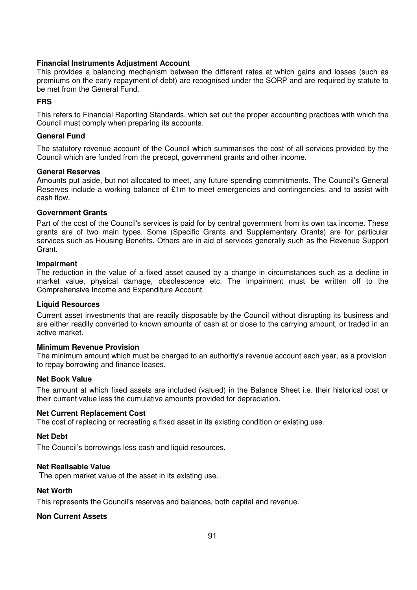#### **Financial Instruments Adjustment Account**

This provides a balancing mechanism between the different rates at which gains and losses (such as premiums on the early repayment of debt) are recognised under the SORP and are required by statute to be met from the General Fund.

### **FRS**

This refers to Financial Reporting Standards, which set out the proper accounting practices with which the Council must comply when preparing its accounts.

#### **General Fund**

The statutory revenue account of the Council which summarises the cost of all services provided by the Council which are funded from the precept, government grants and other income.

#### **General Reserves**

Amounts put aside, but not allocated to meet, any future spending commitments. The Council's General Reserves include a working balance of £1m to meet emergencies and contingencies, and to assist with cash flow.

#### **Government Grants**

Part of the cost of the Council's services is paid for by central government from its own tax income. These grants are of two main types. Some (Specific Grants and Supplementary Grants) are for particular services such as Housing Benefits. Others are in aid of services generally such as the Revenue Support Grant.

#### **Impairment**

The reduction in the value of a fixed asset caused by a change in circumstances such as a decline in market value, physical damage, obsolescence etc. The impairment must be written off to the Comprehensive Income and Expenditure Account.

#### **Liquid Resources**

Current asset investments that are readily disposable by the Council without disrupting its business and are either readily converted to known amounts of cash at or close to the carrying amount, or traded in an active market.

#### **Minimum Revenue Provision**

The minimum amount which must be charged to an authority's revenue account each year, as a provision to repay borrowing and finance leases.

#### **Net Book Value**

The amount at which fixed assets are included (valued) in the Balance Sheet i.e. their historical cost or their current value less the cumulative amounts provided for depreciation.

### **Net Current Replacement Cost**

The cost of replacing or recreating a fixed asset in its existing condition or existing use.

#### **Net Debt**

The Council's borrowings less cash and liquid resources.

# **Net Realisable Value**

The open market value of the asset in its existing use.

# **Net Worth**

This represents the Council's reserves and balances, both capital and revenue.

# **Non Current Assets**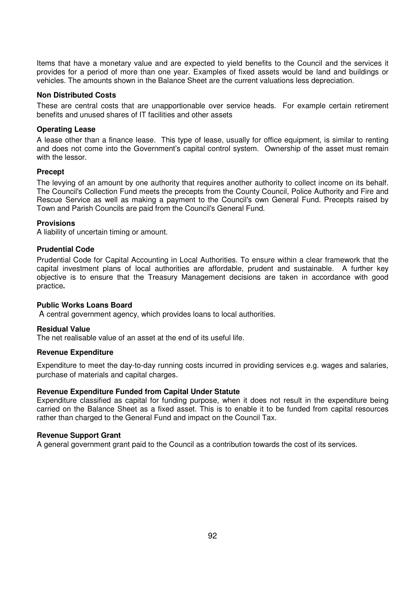Items that have a monetary value and are expected to yield benefits to the Council and the services it provides for a period of more than one year. Examples of fixed assets would be land and buildings or vehicles. The amounts shown in the Balance Sheet are the current valuations less depreciation.

#### **Non Distributed Costs**

These are central costs that are unapportionable over service heads. For example certain retirement benefits and unused shares of IT facilities and other assets

#### **Operating Lease**

A lease other than a finance lease. This type of lease, usually for office equipment, is similar to renting and does not come into the Government's capital control system. Ownership of the asset must remain with the lessor.

#### **Precept**

The levying of an amount by one authority that requires another authority to collect income on its behalf. The Council's Collection Fund meets the precepts from the County Council, Police Authority and Fire and Rescue Service as well as making a payment to the Council's own General Fund. Precepts raised by Town and Parish Councils are paid from the Council's General Fund.

#### **Provisions**

A liability of uncertain timing or amount.

#### **Prudential Code**

Prudential Code for Capital Accounting in Local Authorities. To ensure within a clear framework that the capital investment plans of local authorities are affordable, prudent and sustainable. A further key objective is to ensure that the Treasury Management decisions are taken in accordance with good practice**.** 

#### **Public Works Loans Board**

A central government agency, which provides loans to local authorities.

#### **Residual Value**

The net realisable value of an asset at the end of its useful life.

#### **Revenue Expenditure**

Expenditure to meet the day-to-day running costs incurred in providing services e.g. wages and salaries, purchase of materials and capital charges.

#### **Revenue Expenditure Funded from Capital Under Statute**

Expenditure classified as capital for funding purpose, when it does not result in the expenditure being carried on the Balance Sheet as a fixed asset. This is to enable it to be funded from capital resources rather than charged to the General Fund and impact on the Council Tax.

#### **Revenue Support Grant**

A general government grant paid to the Council as a contribution towards the cost of its services.